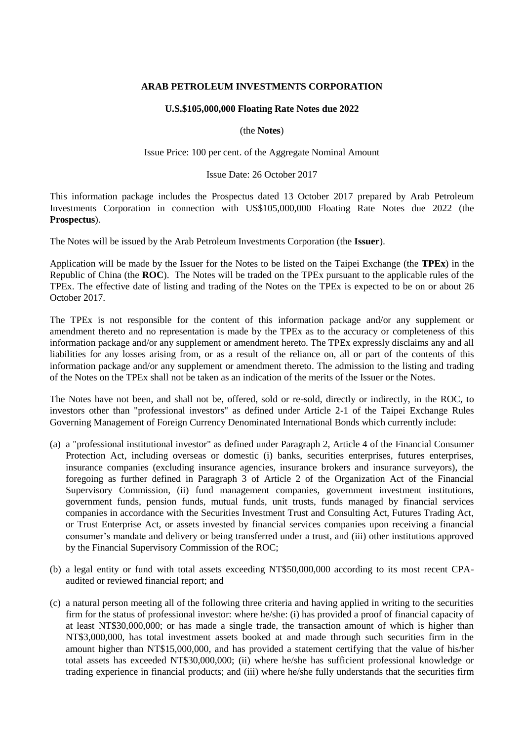# **ARAB PETROLEUM INVESTMENTS CORPORATION**

## **U.S.\$105,000,000 Floating Rate Notes due 2022**

(the **Notes**)

Issue Price: 100 per cent. of the Aggregate Nominal Amount

#### Issue Date: 26 October 2017

This information package includes the Prospectus dated 13 October 2017 prepared by Arab Petroleum Investments Corporation in connection with US\$105,000,000 Floating Rate Notes due 2022 (the **Prospectus**).

The Notes will be issued by the Arab Petroleum Investments Corporation (the **Issuer**).

Application will be made by the Issuer for the Notes to be listed on the Taipei Exchange (the **TPEx**) in the Republic of China (the **ROC**). The Notes will be traded on the TPEx pursuant to the applicable rules of the TPEx. The effective date of listing and trading of the Notes on the TPEx is expected to be on or about 26 October 2017.

The TPEx is not responsible for the content of this information package and/or any supplement or amendment thereto and no representation is made by the TPEx as to the accuracy or completeness of this information package and/or any supplement or amendment hereto. The TPEx expressly disclaims any and all liabilities for any losses arising from, or as a result of the reliance on, all or part of the contents of this information package and/or any supplement or amendment thereto. The admission to the listing and trading of the Notes on the TPEx shall not be taken as an indication of the merits of the Issuer or the Notes.

The Notes have not been, and shall not be, offered, sold or re-sold, directly or indirectly, in the ROC, to investors other than "professional investors" as defined under Article 2-1 of the Taipei Exchange Rules Governing Management of Foreign Currency Denominated International Bonds which currently include:

- (a) a "professional institutional investor" as defined under Paragraph 2, Article 4 of the Financial Consumer Protection Act, including overseas or domestic (i) banks, securities enterprises, futures enterprises, insurance companies (excluding insurance agencies, insurance brokers and insurance surveyors), the foregoing as further defined in Paragraph 3 of Article 2 of the Organization Act of the Financial Supervisory Commission, (ii) fund management companies, government investment institutions, government funds, pension funds, mutual funds, unit trusts, funds managed by financial services companies in accordance with the Securities Investment Trust and Consulting Act, Futures Trading Act, or Trust Enterprise Act, or assets invested by financial services companies upon receiving a financial consumer's mandate and delivery or being transferred under a trust, and (iii) other institutions approved by the Financial Supervisory Commission of the ROC;
- (b) a legal entity or fund with total assets exceeding NT\$50,000,000 according to its most recent CPAaudited or reviewed financial report; and
- (c) a natural person meeting all of the following three criteria and having applied in writing to the securities firm for the status of professional investor: where he/she: (i) has provided a proof of financial capacity of at least NT\$30,000,000; or has made a single trade, the transaction amount of which is higher than NT\$3,000,000, has total investment assets booked at and made through such securities firm in the amount higher than NT\$15,000,000, and has provided a statement certifying that the value of his/her total assets has exceeded NT\$30,000,000; (ii) where he/she has sufficient professional knowledge or trading experience in financial products; and (iii) where he/she fully understands that the securities firm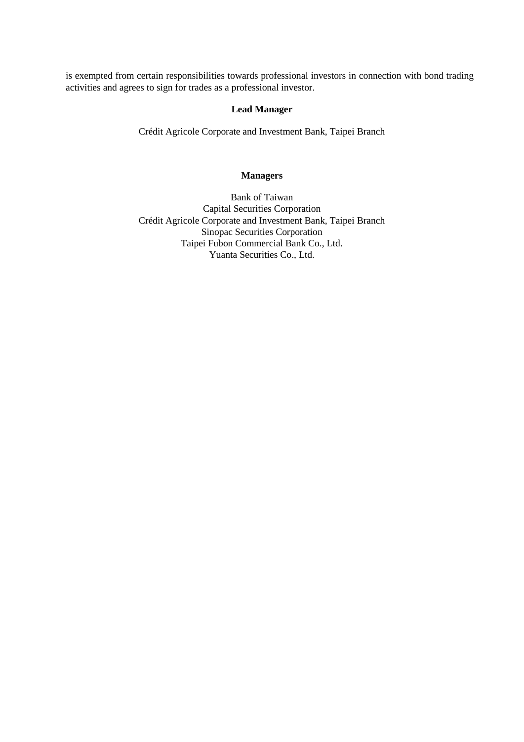is exempted from certain responsibilities towards professional investors in connection with bond trading activities and agrees to sign for trades as a professional investor.

# **Lead Manager**

Crédit Agricole Corporate and Investment Bank, Taipei Branch

# **Managers**

Bank of Taiwan Capital Securities Corporation Crédit Agricole Corporate and Investment Bank, Taipei Branch Sinopac Securities Corporation Taipei Fubon Commercial Bank Co., Ltd. Yuanta Securities Co., Ltd.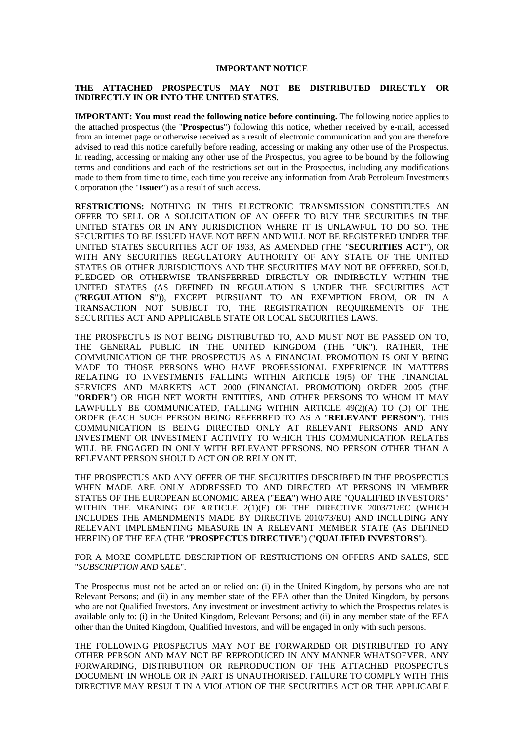#### **IMPORTANT NOTICE**

### **THE ATTACHED PROSPECTUS MAY NOT BE DISTRIBUTED DIRECTLY OR INDIRECTLY IN OR INTO THE UNITED STATES.**

**IMPORTANT: You must read the following notice before continuing.** The following notice applies to the attached prospectus (the "**Prospectus**") following this notice, whether received by e-mail, accessed from an internet page or otherwise received as a result of electronic communication and you are therefore advised to read this notice carefully before reading, accessing or making any other use of the Prospectus. In reading, accessing or making any other use of the Prospectus, you agree to be bound by the following terms and conditions and each of the restrictions set out in the Prospectus, including any modifications made to them from time to time, each time you receive any information from Arab Petroleum Investments Corporation (the "**Issuer**") as a result of such access.

**RESTRICTIONS:** NOTHING IN THIS ELECTRONIC TRANSMISSION CONSTITUTES AN OFFER TO SELL OR A SOLICITATION OF AN OFFER TO BUY THE SECURITIES IN THE UNITED STATES OR IN ANY JURISDICTION WHERE IT IS UNLAWFUL TO DO SO. THE SECURITIES TO BE ISSUED HAVE NOT BEEN AND WILL NOT BE REGISTERED UNDER THE UNITED STATES SECURITIES ACT OF 1933, AS AMENDED (THE "**SECURITIES ACT**"), OR WITH ANY SECURITIES REGULATORY AUTHORITY OF ANY STATE OF THE UNITED STATES OR OTHER JURISDICTIONS AND THE SECURITIES MAY NOT BE OFFERED, SOLD, PLEDGED OR OTHERWISE TRANSFERRED DIRECTLY OR INDIRECTLY WITHIN THE UNITED STATES (AS DEFINED IN REGULATION S UNDER THE SECURITIES ACT ("**REGULATION S**")), EXCEPT PURSUANT TO AN EXEMPTION FROM, OR IN A TRANSACTION NOT SUBJECT TO, THE REGISTRATION REQUIREMENTS OF THE SECURITIES ACT AND APPLICABLE STATE OR LOCAL SECURITIES LAWS.

THE PROSPECTUS IS NOT BEING DISTRIBUTED TO, AND MUST NOT BE PASSED ON TO, THE GENERAL PUBLIC IN THE UNITED KINGDOM (THE "**UK**"). RATHER, THE COMMUNICATION OF THE PROSPECTUS AS A FINANCIAL PROMOTION IS ONLY BEING MADE TO THOSE PERSONS WHO HAVE PROFESSIONAL EXPERIENCE IN MATTERS RELATING TO INVESTMENTS FALLING WITHIN ARTICLE 19(5) OF THE FINANCIAL SERVICES AND MARKETS ACT 2000 (FINANCIAL PROMOTION) ORDER 2005 (THE "**ORDER**") OR HIGH NET WORTH ENTITIES, AND OTHER PERSONS TO WHOM IT MAY LAWFULLY BE COMMUNICATED, FALLING WITHIN ARTICLE 49(2)(A) TO (D) OF THE ORDER (EACH SUCH PERSON BEING REFERRED TO AS A "**RELEVANT PERSON**"). THIS COMMUNICATION IS BEING DIRECTED ONLY AT RELEVANT PERSONS AND ANY INVESTMENT OR INVESTMENT ACTIVITY TO WHICH THIS COMMUNICATION RELATES WILL BE ENGAGED IN ONLY WITH RELEVANT PERSONS. NO PERSON OTHER THAN A RELEVANT PERSON SHOULD ACT ON OR RELY ON IT.

THE PROSPECTUS AND ANY OFFER OF THE SECURITIES DESCRIBED IN THE PROSPECTUS WHEN MADE ARE ONLY ADDRESSED TO AND DIRECTED AT PERSONS IN MEMBER STATES OF THE EUROPEAN ECONOMIC AREA ("**EEA**") WHO ARE "QUALIFIED INVESTORS" WITHIN THE MEANING OF ARTICLE 2(1)(E) OF THE DIRECTIVE 2003/71/EC (WHICH INCLUDES THE AMENDMENTS MADE BY DIRECTIVE 2010/73/EU) AND INCLUDING ANY RELEVANT IMPLEMENTING MEASURE IN A RELEVANT MEMBER STATE (AS DEFINED HEREIN) OF THE EEA (THE "**PROSPECTUS DIRECTIVE**") ("**QUALIFIED INVESTORS**").

FOR A MORE COMPLETE DESCRIPTION OF RESTRICTIONS ON OFFERS AND SALES, SEE "*SUBSCRIPTION AND SALE*".

The Prospectus must not be acted on or relied on: (i) in the United Kingdom, by persons who are not Relevant Persons; and (ii) in any member state of the EEA other than the United Kingdom, by persons who are not Qualified Investors. Any investment or investment activity to which the Prospectus relates is available only to: (i) in the United Kingdom, Relevant Persons; and (ii) in any member state of the EEA other than the United Kingdom, Qualified Investors, and will be engaged in only with such persons.

THE FOLLOWING PROSPECTUS MAY NOT BE FORWARDED OR DISTRIBUTED TO ANY OTHER PERSON AND MAY NOT BE REPRODUCED IN ANY MANNER WHATSOEVER. ANY FORWARDING, DISTRIBUTION OR REPRODUCTION OF THE ATTACHED PROSPECTUS DOCUMENT IN WHOLE OR IN PART IS UNAUTHORISED. FAILURE TO COMPLY WITH THIS DIRECTIVE MAY RESULT IN A VIOLATION OF THE SECURITIES ACT OR THE APPLICABLE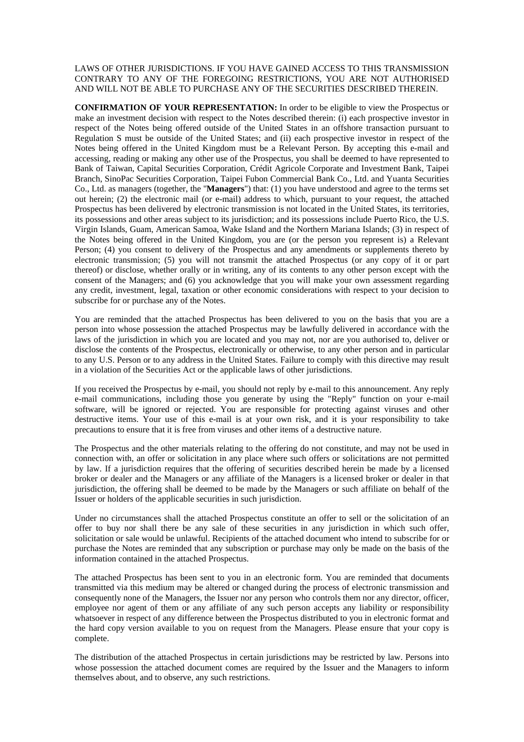LAWS OF OTHER JURISDICTIONS. IF YOU HAVE GAINED ACCESS TO THIS TRANSMISSION CONTRARY TO ANY OF THE FOREGOING RESTRICTIONS, YOU ARE NOT AUTHORISED AND WILL NOT BE ABLE TO PURCHASE ANY OF THE SECURITIES DESCRIBED THEREIN.

**CONFIRMATION OF YOUR REPRESENTATION:** In order to be eligible to view the Prospectus or make an investment decision with respect to the Notes described therein: (i) each prospective investor in respect of the Notes being offered outside of the United States in an offshore transaction pursuant to Regulation S must be outside of the United States; and (ii) each prospective investor in respect of the Notes being offered in the United Kingdom must be a Relevant Person. By accepting this e-mail and accessing, reading or making any other use of the Prospectus, you shall be deemed to have represented to Bank of Taiwan, Capital Securities Corporation, Crédit Agricole Corporate and Investment Bank, Taipei Branch, SinoPac Securities Corporation, Taipei Fubon Commercial Bank Co., Ltd. and Yuanta Securities Co., Ltd. as managers (together, the "**Managers**") that: (1) you have understood and agree to the terms set out herein; (2) the electronic mail (or e-mail) address to which, pursuant to your request, the attached Prospectus has been delivered by electronic transmission is not located in the United States, its territories, its possessions and other areas subject to its jurisdiction; and its possessions include Puerto Rico, the U.S. Virgin Islands, Guam, American Samoa, Wake Island and the Northern Mariana Islands; (3) in respect of the Notes being offered in the United Kingdom, you are (or the person you represent is) a Relevant Person; (4) you consent to delivery of the Prospectus and any amendments or supplements thereto by electronic transmission; (5) you will not transmit the attached Prospectus (or any copy of it or part thereof) or disclose, whether orally or in writing, any of its contents to any other person except with the consent of the Managers; and (6) you acknowledge that you will make your own assessment regarding any credit, investment, legal, taxation or other economic considerations with respect to your decision to subscribe for or purchase any of the Notes.

You are reminded that the attached Prospectus has been delivered to you on the basis that you are a person into whose possession the attached Prospectus may be lawfully delivered in accordance with the laws of the jurisdiction in which you are located and you may not, nor are you authorised to, deliver or disclose the contents of the Prospectus, electronically or otherwise, to any other person and in particular to any U.S. Person or to any address in the United States. Failure to comply with this directive may result in a violation of the Securities Act or the applicable laws of other jurisdictions.

If you received the Prospectus by e-mail, you should not reply by e-mail to this announcement. Any reply e-mail communications, including those you generate by using the "Reply" function on your e-mail software, will be ignored or rejected. You are responsible for protecting against viruses and other destructive items. Your use of this e-mail is at your own risk, and it is your responsibility to take precautions to ensure that it is free from viruses and other items of a destructive nature.

The Prospectus and the other materials relating to the offering do not constitute, and may not be used in connection with, an offer or solicitation in any place where such offers or solicitations are not permitted by law. If a jurisdiction requires that the offering of securities described herein be made by a licensed broker or dealer and the Managers or any affiliate of the Managers is a licensed broker or dealer in that jurisdiction, the offering shall be deemed to be made by the Managers or such affiliate on behalf of the Issuer or holders of the applicable securities in such jurisdiction.

Under no circumstances shall the attached Prospectus constitute an offer to sell or the solicitation of an offer to buy nor shall there be any sale of these securities in any jurisdiction in which such offer, solicitation or sale would be unlawful. Recipients of the attached document who intend to subscribe for or purchase the Notes are reminded that any subscription or purchase may only be made on the basis of the information contained in the attached Prospectus.

The attached Prospectus has been sent to you in an electronic form. You are reminded that documents transmitted via this medium may be altered or changed during the process of electronic transmission and consequently none of the Managers, the Issuer nor any person who controls them nor any director, officer, employee nor agent of them or any affiliate of any such person accepts any liability or responsibility whatsoever in respect of any difference between the Prospectus distributed to you in electronic format and the hard copy version available to you on request from the Managers. Please ensure that your copy is complete.

The distribution of the attached Prospectus in certain jurisdictions may be restricted by law. Persons into whose possession the attached document comes are required by the Issuer and the Managers to inform themselves about, and to observe, any such restrictions.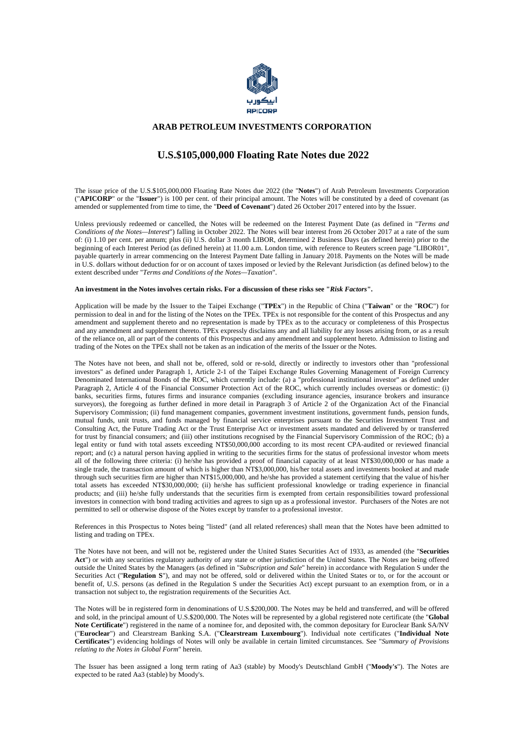

#### **ARAB PETROLEUM INVESTMENTS CORPORATION**

# **U.S.\$105,000,000 Floating Rate Notes due 2022**

The issue price of the U.S.\$105,000,000 Floating Rate Notes due 2022 (the "**Notes**") of Arab Petroleum Investments Corporation ("**APICORP**" or the "**Issuer**") is 100 per cent. of their principal amount. The Notes will be constituted by a deed of covenant (as amended or supplemented from time to time, the "**Deed of Covenant**") dated 26 October 2017 entered into by the Issuer.

Unless previously redeemed or cancelled, the Notes will be redeemed on the Interest Payment Date (as defined in "*Terms and Conditions of the Notes—Interest*") falling in October 2022. The Notes will bear interest from 26 October 2017 at a rate of the sum of: (i) 1.10 per cent. per annum; plus (ii) U.S. dollar 3 month LIBOR, determined 2 Business Days (as defined herein) prior to the beginning of each Interest Period (as defined herein) at 11.00 a.m. London time, with reference to Reuters screen page "LIBOR01", payable quarterly in arrear commencing on the Interest Payment Date falling in January 2018. Payments on the Notes will be made in U.S. dollars without deduction for or on account of taxes imposed or levied by the Relevant Jurisdiction (as defined below) to the extent described under "*Terms and Conditions of the Notes—Taxation*".

#### **An investment in the Notes involves certain risks. For a discussion of these risks see "***Risk Factors***".**

Application will be made by the Issuer to the Taipei Exchange ("**TPEx**") in the Republic of China ("**Taiwan**" or the "**ROC**") for permission to deal in and for the listing of the Notes on the TPEx. TPEx is not responsible for the content of this Prospectus and any amendment and supplement thereto and no representation is made by TPEx as to the accuracy or completeness of this Prospectus and any amendment and supplement thereto. TPEx expressly disclaims any and all liability for any losses arising from, or as a result of the reliance on, all or part of the contents of this Prospectus and any amendment and supplement hereto. Admission to listing and trading of the Notes on the TPEx shall not be taken as an indication of the merits of the Issuer or the Notes.

The Notes have not been, and shall not be, offered, sold or re-sold, directly or indirectly to investors other than "professional investors" as defined under Paragraph 1, Article 2-1 of the Taipei Exchange Rules Governing Management of Foreign Currency Denominated International Bonds of the ROC, which currently include: (a) a "professional institutional investor" as defined under Paragraph 2, Article 4 of the Financial Consumer Protection Act of the ROC, which currently includes overseas or domestic: (i) banks, securities firms, futures firms and insurance companies (excluding insurance agencies, insurance brokers and insurance surveyors), the foregoing as further defined in more detail in Paragraph 3 of Article 2 of the Organization Act of the Financial Supervisory Commission; (ii) fund management companies, government investment institutions, government funds, pension funds, mutual funds, unit trusts, and funds managed by financial service enterprises pursuant to the Securities Investment Trust and Consulting Act, the Future Trading Act or the Trust Enterprise Act or investment assets mandated and delivered by or transferred for trust by financial consumers; and (iii) other institutions recognised by the Financial Supervisory Commission of the ROC; (b) a legal entity or fund with total assets exceeding NT\$50,000,000 according to its most recent CPA-audited or reviewed financial report; and (c) a natural person having applied in writing to the securities firms for the status of professional investor whom meets all of the following three criteria: (i) he/she has provided a proof of financial capacity of at least NT\$30,000,000 or has made a single trade, the transaction amount of which is higher than NT\$3,000,000, his/her total assets and investments booked at and made through such securities firm are higher than NT\$15,000,000, and he/she has provided a statement certifying that the value of his/her total assets has exceeded NT\$30,000,000; (ii) he/she has sufficient professional knowledge or trading experience in financial products; and (iii) he/she fully understands that the securities firm is exempted from certain responsibilities toward professional investors in connection with bond trading activities and agrees to sign up as a professional investor. Purchasers of the Notes are not permitted to sell or otherwise dispose of the Notes except by transfer to a professional investor.

References in this Prospectus to Notes being "listed" (and all related references) shall mean that the Notes have been admitted to listing and trading on TPEx.

The Notes have not been, and will not be, registered under the United States Securities Act of 1933, as amended (the "**Securities Act**") or with any securities regulatory authority of any state or other jurisdiction of the United States. The Notes are being offered outside the United States by the Managers (as defined in "*Subscription and Sale*" herein) in accordance with Regulation S under the Securities Act ("**Regulation S**"), and may not be offered, sold or delivered within the United States or to, or for the account or benefit of, U.S. persons (as defined in the Regulation S under the Securities Act) except pursuant to an exemption from, or in a transaction not subject to, the registration requirements of the Securities Act.

The Notes will be in registered form in denominations of U.S.\$200,000. The Notes may be held and transferred, and will be offered and sold, in the principal amount of U.S.\$200,000. The Notes will be represented by a global registered note certificate (the "**Global Note Certificate**") registered in the name of a nominee for, and deposited with, the common depositary for Euroclear Bank SA/NV ("**Euroclear**") and Clearstream Banking S.A. ("**Clearstream Luxembourg**"). Individual note certificates ("**Individual Note Certificates**") evidencing holdings of Notes will only be available in certain limited circumstances. See "*Summary of Provisions relating to the Notes in Global Form*" herein.

The Issuer has been assigned a long term rating of Aa3 (stable) by Moody's Deutschland GmbH ("**Moody's**"). The Notes are expected to be rated Aa3 (stable) by Moody's.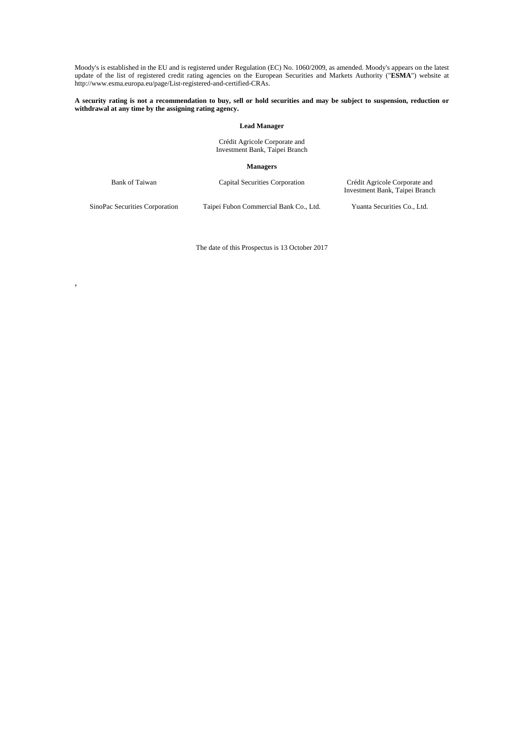Moody's is established in the EU and is registered under Regulation (EC) No. 1060/2009, as amended. Moody's appears on the latest update of the list of registered credit rating agencies on the European Securities and Markets Authority ("**ESMA**") website at http://www.esma.europa.eu/page/List-registered-and-certified-CRAs.

#### **A security rating is not a recommendation to buy, sell or hold securities and may be subject to suspension, reduction or withdrawal at any time by the assigning rating agency.**

#### **Lead Manager**

Crédit Agricole Corporate and Investment Bank, Taipei Branch

 **Managers** 

Bank of Taiwan Capital Securities Corporation Crédit Agricole Corporate and Investment Bank, Taipei Branch

,

SinoPac Securities Corporation Taipei Fubon Commercial Bank Co., Ltd. Yuanta Securities Co., Ltd.

The date of this Prospectus is 13 October 2017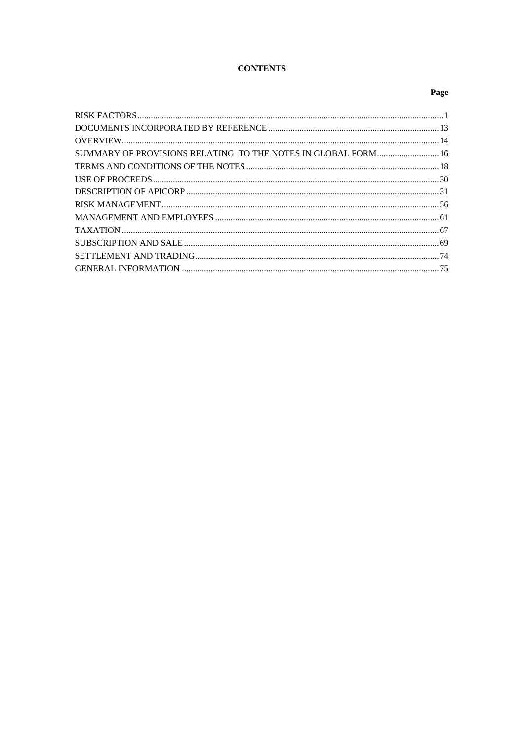# **CONTENTS**

# Page

| SUMMARY OF PROVISIONS RELATING TO THE NOTES IN GLOBAL FORM 16 |  |
|---------------------------------------------------------------|--|
|                                                               |  |
|                                                               |  |
|                                                               |  |
|                                                               |  |
|                                                               |  |
|                                                               |  |
|                                                               |  |
|                                                               |  |
|                                                               |  |
|                                                               |  |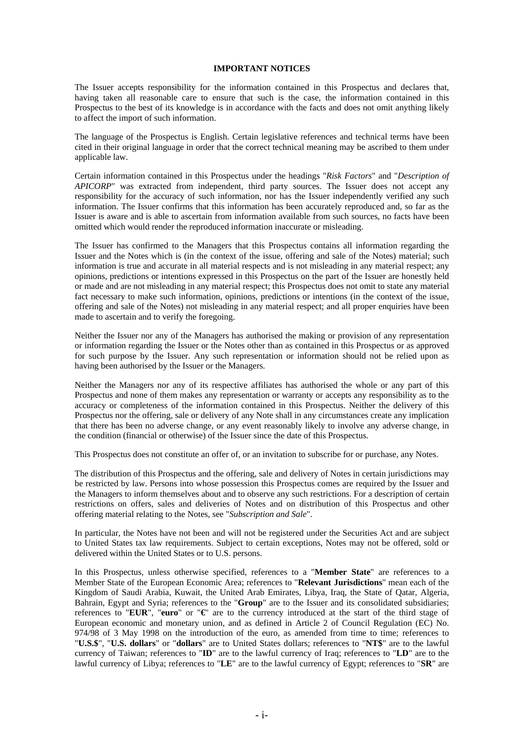#### **IMPORTANT NOTICES**

The Issuer accepts responsibility for the information contained in this Prospectus and declares that, having taken all reasonable care to ensure that such is the case, the information contained in this Prospectus to the best of its knowledge is in accordance with the facts and does not omit anything likely to affect the import of such information.

The language of the Prospectus is English. Certain legislative references and technical terms have been cited in their original language in order that the correct technical meaning may be ascribed to them under applicable law.

Certain information contained in this Prospectus under the headings "*Risk Factors*" and "*Description of APICORP*" was extracted from independent, third party sources. The Issuer does not accept any responsibility for the accuracy of such information, nor has the Issuer independently verified any such information. The Issuer confirms that this information has been accurately reproduced and, so far as the Issuer is aware and is able to ascertain from information available from such sources, no facts have been omitted which would render the reproduced information inaccurate or misleading.

The Issuer has confirmed to the Managers that this Prospectus contains all information regarding the Issuer and the Notes which is (in the context of the issue, offering and sale of the Notes) material; such information is true and accurate in all material respects and is not misleading in any material respect; any opinions, predictions or intentions expressed in this Prospectus on the part of the Issuer are honestly held or made and are not misleading in any material respect; this Prospectus does not omit to state any material fact necessary to make such information, opinions, predictions or intentions (in the context of the issue, offering and sale of the Notes) not misleading in any material respect; and all proper enquiries have been made to ascertain and to verify the foregoing.

Neither the Issuer nor any of the Managers has authorised the making or provision of any representation or information regarding the Issuer or the Notes other than as contained in this Prospectus or as approved for such purpose by the Issuer. Any such representation or information should not be relied upon as having been authorised by the Issuer or the Managers.

Neither the Managers nor any of its respective affiliates has authorised the whole or any part of this Prospectus and none of them makes any representation or warranty or accepts any responsibility as to the accuracy or completeness of the information contained in this Prospectus. Neither the delivery of this Prospectus nor the offering, sale or delivery of any Note shall in any circumstances create any implication that there has been no adverse change, or any event reasonably likely to involve any adverse change, in the condition (financial or otherwise) of the Issuer since the date of this Prospectus.

This Prospectus does not constitute an offer of, or an invitation to subscribe for or purchase, any Notes.

The distribution of this Prospectus and the offering, sale and delivery of Notes in certain jurisdictions may be restricted by law. Persons into whose possession this Prospectus comes are required by the Issuer and the Managers to inform themselves about and to observe any such restrictions. For a description of certain restrictions on offers, sales and deliveries of Notes and on distribution of this Prospectus and other offering material relating to the Notes, see "*Subscription and Sale*".

In particular, the Notes have not been and will not be registered under the Securities Act and are subject to United States tax law requirements. Subject to certain exceptions, Notes may not be offered, sold or delivered within the United States or to U.S. persons.

In this Prospectus, unless otherwise specified, references to a "**Member State**" are references to a Member State of the European Economic Area; references to "**Relevant Jurisdictions**" mean each of the Kingdom of Saudi Arabia, Kuwait, the United Arab Emirates, Libya, Iraq, the State of Qatar, Algeria, Bahrain, Egypt and Syria; references to the "**Group**" are to the Issuer and its consolidated subsidiaries; references to "**EUR**", "**euro**" or "**€**" are to the currency introduced at the start of the third stage of European economic and monetary union, and as defined in Article 2 of Council Regulation (EC) No. 974/98 of 3 May 1998 on the introduction of the euro, as amended from time to time; references to "**U.S.\$**", "**U.S. dollars**" or "**dollars**" are to United States dollars; references to "**NT\$**" are to the lawful currency of Taiwan; references to "**ID**" are to the lawful currency of Iraq; references to "**LD**" are to the lawful currency of Libya; references to "**LE**" are to the lawful currency of Egypt; references to "**SR**" are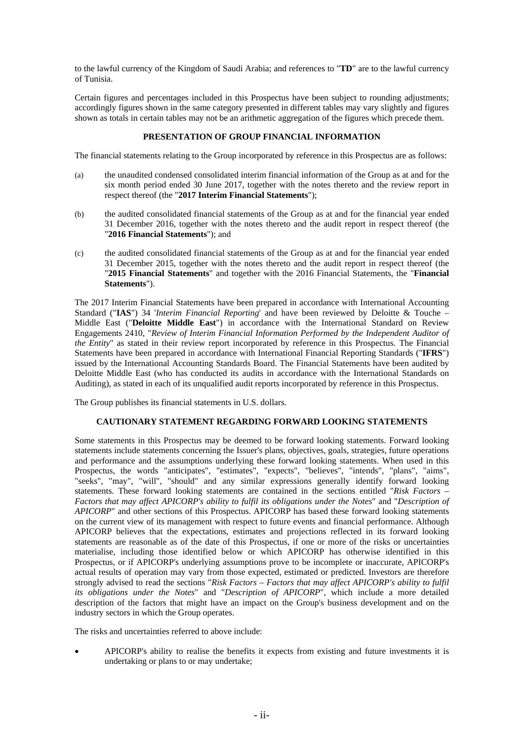to the lawful currency of the Kingdom of Saudi Arabia; and references to "**TD**" are to the lawful currency of Tunisia.

Certain figures and percentages included in this Prospectus have been subject to rounding adjustments; accordingly figures shown in the same category presented in different tables may vary slightly and figures shown as totals in certain tables may not be an arithmetic aggregation of the figures which precede them.

# **PRESENTATION OF GROUP FINANCIAL INFORMATION**

The financial statements relating to the Group incorporated by reference in this Prospectus are as follows:

- (a) the unaudited condensed consolidated interim financial information of the Group as at and for the six month period ended 30 June 2017, together with the notes thereto and the review report in respect thereof (the "**2017 Interim Financial Statements**");
- (b) the audited consolidated financial statements of the Group as at and for the financial year ended 31 December 2016, together with the notes thereto and the audit report in respect thereof (the "**2016 Financial Statements**"); and
- (c) the audited consolidated financial statements of the Group as at and for the financial year ended 31 December 2015, together with the notes thereto and the audit report in respect thereof (the "**2015 Financial Statements**" and together with the 2016 Financial Statements, the "**Financial Statements**").

The 2017 Interim Financial Statements have been prepared in accordance with International Accounting Standard ("**IAS**") 34 '*Interim Financial Reporting*' and have been reviewed by Deloitte & Touche – Middle East ("**Deloitte Middle East**") in accordance with the International Standard on Review Engagements 2410, "*Review of Interim Financial Information Performed by the Independent Auditor of the Entity*" as stated in their review report incorporated by reference in this Prospectus. The Financial Statements have been prepared in accordance with International Financial Reporting Standards ("**IFRS**") issued by the International Accounting Standards Board. The Financial Statements have been audited by Deloitte Middle East (who has conducted its audits in accordance with the International Standards on Auditing), as stated in each of its unqualified audit reports incorporated by reference in this Prospectus.

The Group publishes its financial statements in U.S. dollars.

# **CAUTIONARY STATEMENT REGARDING FORWARD LOOKING STATEMENTS**

Some statements in this Prospectus may be deemed to be forward looking statements. Forward looking statements include statements concerning the Issuer's plans, objectives, goals, strategies, future operations and performance and the assumptions underlying these forward looking statements. When used in this Prospectus, the words "anticipates", "estimates", "expects", "believes", "intends", "plans", "aims", "seeks", "may", "will", "should" and any similar expressions generally identify forward looking statements. These forward looking statements are contained in the sections entitled "*Risk Factors – Factors that may affect APICORP's ability to fulfil its obligations under the Notes*" and "*Description of APICORP*" and other sections of this Prospectus. APICORP has based these forward looking statements on the current view of its management with respect to future events and financial performance. Although APICORP believes that the expectations, estimates and projections reflected in its forward looking statements are reasonable as of the date of this Prospectus, if one or more of the risks or uncertainties materialise, including those identified below or which APICORP has otherwise identified in this Prospectus, or if APICORP's underlying assumptions prove to be incomplete or inaccurate, APICORP's actual results of operation may vary from those expected, estimated or predicted. Investors are therefore strongly advised to read the sections "*Risk Factors – Factors that may affect APICORP's ability to fulfil its obligations under the Notes*" and "*Description of APICORP*", which include a more detailed description of the factors that might have an impact on the Group's business development and on the industry sectors in which the Group operates.

The risks and uncertainties referred to above include:

 APICORP's ability to realise the benefits it expects from existing and future investments it is undertaking or plans to or may undertake;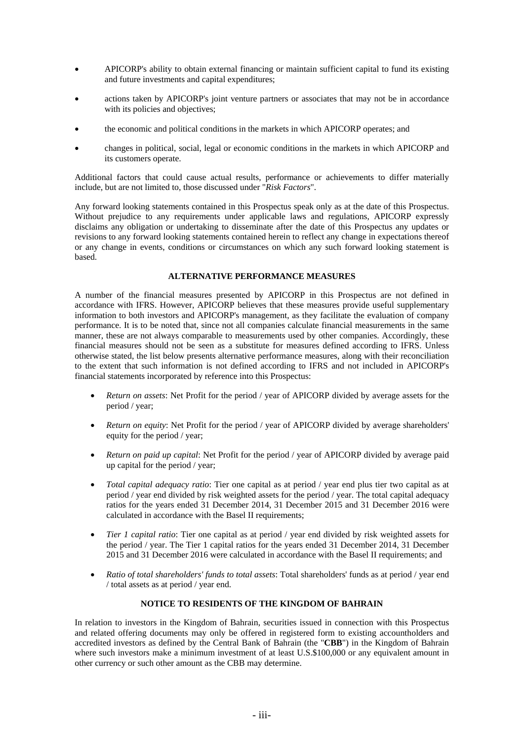- APICORP's ability to obtain external financing or maintain sufficient capital to fund its existing and future investments and capital expenditures;
- actions taken by APICORP's joint venture partners or associates that may not be in accordance with its policies and objectives;
- the economic and political conditions in the markets in which APICORP operates; and
- changes in political, social, legal or economic conditions in the markets in which APICORP and its customers operate.

Additional factors that could cause actual results, performance or achievements to differ materially include, but are not limited to, those discussed under "*Risk Factors*".

Any forward looking statements contained in this Prospectus speak only as at the date of this Prospectus. Without prejudice to any requirements under applicable laws and regulations, APICORP expressly disclaims any obligation or undertaking to disseminate after the date of this Prospectus any updates or revisions to any forward looking statements contained herein to reflect any change in expectations thereof or any change in events, conditions or circumstances on which any such forward looking statement is based.

# **ALTERNATIVE PERFORMANCE MEASURES**

A number of the financial measures presented by APICORP in this Prospectus are not defined in accordance with IFRS. However, APICORP believes that these measures provide useful supplementary information to both investors and APICORP's management, as they facilitate the evaluation of company performance. It is to be noted that, since not all companies calculate financial measurements in the same manner, these are not always comparable to measurements used by other companies. Accordingly, these financial measures should not be seen as a substitute for measures defined according to IFRS. Unless otherwise stated, the list below presents alternative performance measures, along with their reconciliation to the extent that such information is not defined according to IFRS and not included in APICORP's financial statements incorporated by reference into this Prospectus:

- *Return on assets*: Net Profit for the period / year of APICORP divided by average assets for the period / year;
- *Return on equity*: Net Profit for the period / year of APICORP divided by average shareholders' equity for the period / year;
- *Return on paid up capital*: Net Profit for the period / year of APICORP divided by average paid up capital for the period / year;
- *Total capital adequacy ratio*: Tier one capital as at period / year end plus tier two capital as at period / year end divided by risk weighted assets for the period / year. The total capital adequacy ratios for the years ended 31 December 2014, 31 December 2015 and 31 December 2016 were calculated in accordance with the Basel II requirements;
- *Tier 1 capital ratio*: Tier one capital as at period / year end divided by risk weighted assets for the period / year. The Tier 1 capital ratios for the years ended 31 December 2014, 31 December 2015 and 31 December 2016 were calculated in accordance with the Basel II requirements; and
- *Ratio of total shareholders' funds to total assets*: Total shareholders' funds as at period / year end / total assets as at period / year end.

# **NOTICE TO RESIDENTS OF THE KINGDOM OF BAHRAIN**

In relation to investors in the Kingdom of Bahrain, securities issued in connection with this Prospectus and related offering documents may only be offered in registered form to existing accountholders and accredited investors as defined by the Central Bank of Bahrain (the "**CBB**") in the Kingdom of Bahrain where such investors make a minimum investment of at least U.S.\$100,000 or any equivalent amount in other currency or such other amount as the CBB may determine.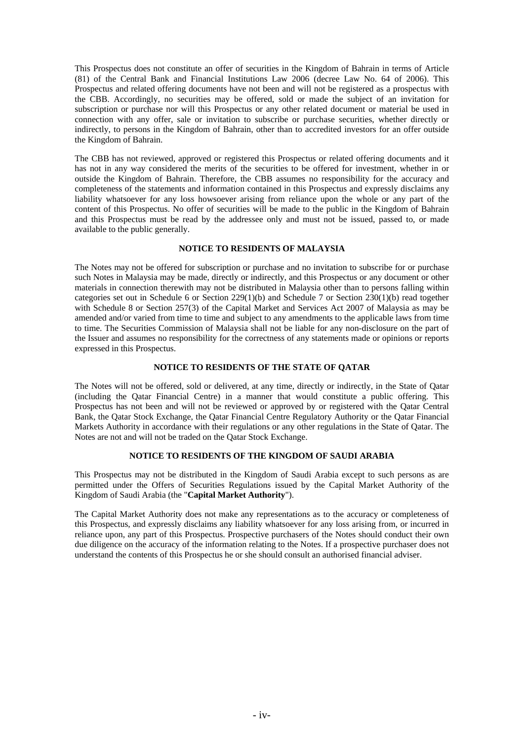This Prospectus does not constitute an offer of securities in the Kingdom of Bahrain in terms of Article (81) of the Central Bank and Financial Institutions Law 2006 (decree Law No. 64 of 2006). This Prospectus and related offering documents have not been and will not be registered as a prospectus with the CBB. Accordingly, no securities may be offered, sold or made the subject of an invitation for subscription or purchase nor will this Prospectus or any other related document or material be used in connection with any offer, sale or invitation to subscribe or purchase securities, whether directly or indirectly, to persons in the Kingdom of Bahrain, other than to accredited investors for an offer outside the Kingdom of Bahrain.

The CBB has not reviewed, approved or registered this Prospectus or related offering documents and it has not in any way considered the merits of the securities to be offered for investment, whether in or outside the Kingdom of Bahrain. Therefore, the CBB assumes no responsibility for the accuracy and completeness of the statements and information contained in this Prospectus and expressly disclaims any liability whatsoever for any loss howsoever arising from reliance upon the whole or any part of the content of this Prospectus. No offer of securities will be made to the public in the Kingdom of Bahrain and this Prospectus must be read by the addressee only and must not be issued, passed to, or made available to the public generally.

# **NOTICE TO RESIDENTS OF MALAYSIA**

The Notes may not be offered for subscription or purchase and no invitation to subscribe for or purchase such Notes in Malaysia may be made, directly or indirectly, and this Prospectus or any document or other materials in connection therewith may not be distributed in Malaysia other than to persons falling within categories set out in Schedule 6 or Section 229(1)(b) and Schedule 7 or Section 230(1)(b) read together with Schedule 8 or Section 257(3) of the Capital Market and Services Act 2007 of Malaysia as may be amended and/or varied from time to time and subject to any amendments to the applicable laws from time to time. The Securities Commission of Malaysia shall not be liable for any non-disclosure on the part of the Issuer and assumes no responsibility for the correctness of any statements made or opinions or reports expressed in this Prospectus.

### **NOTICE TO RESIDENTS OF THE STATE OF QATAR**

The Notes will not be offered, sold or delivered, at any time, directly or indirectly, in the State of Qatar (including the Qatar Financial Centre) in a manner that would constitute a public offering. This Prospectus has not been and will not be reviewed or approved by or registered with the Qatar Central Bank, the Qatar Stock Exchange, the Qatar Financial Centre Regulatory Authority or the Qatar Financial Markets Authority in accordance with their regulations or any other regulations in the State of Qatar. The Notes are not and will not be traded on the Qatar Stock Exchange.

### **NOTICE TO RESIDENTS OF THE KINGDOM OF SAUDI ARABIA**

This Prospectus may not be distributed in the Kingdom of Saudi Arabia except to such persons as are permitted under the Offers of Securities Regulations issued by the Capital Market Authority of the Kingdom of Saudi Arabia (the "**Capital Market Authority**").

The Capital Market Authority does not make any representations as to the accuracy or completeness of this Prospectus, and expressly disclaims any liability whatsoever for any loss arising from, or incurred in reliance upon, any part of this Prospectus. Prospective purchasers of the Notes should conduct their own due diligence on the accuracy of the information relating to the Notes. If a prospective purchaser does not understand the contents of this Prospectus he or she should consult an authorised financial adviser.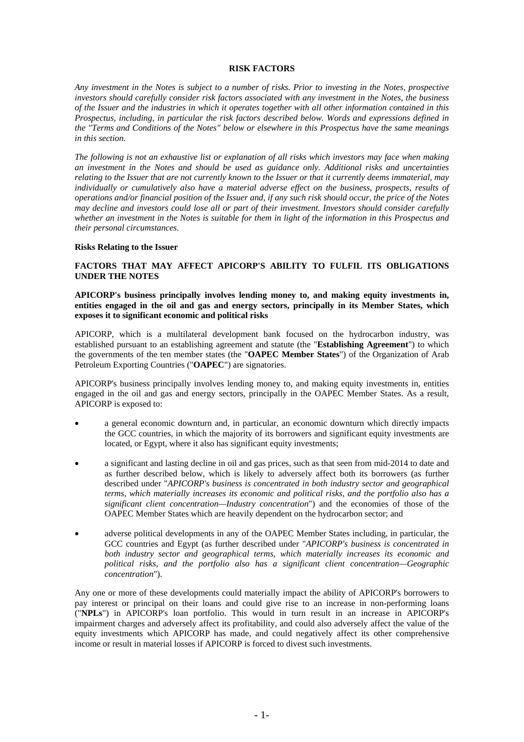#### **RISK FACTORS**

*Any investment in the Notes is subject to a number of risks. Prior to investing in the Notes, prospective investors should carefully consider risk factors associated with any investment in the Notes, the business of the Issuer and the industries in which it operates together with all other information contained in this Prospectus, including, in particular the risk factors described below. Words and expressions defined in the "Terms and Conditions of the Notes" below or elsewhere in this Prospectus have the same meanings in this section.* 

*The following is not an exhaustive list or explanation of all risks which investors may face when making an investment in the Notes and should be used as guidance only. Additional risks and uncertainties relating to the Issuer that are not currently known to the Issuer or that it currently deems immaterial, may individually or cumulatively also have a material adverse effect on the business, prospects, results of operations and/or financial position of the Issuer and, if any such risk should occur, the price of the Notes may decline and investors could lose all or part of their investment. Investors should consider carefully whether an investment in the Notes is suitable for them in light of the information in this Prospectus and their personal circumstances.* 

#### **Risks Relating to the Issuer**

### **FACTORS THAT MAY AFFECT APICORP'S ABILITY TO FULFIL ITS OBLIGATIONS UNDER THE NOTES**

**APICORP's business principally involves lending money to, and making equity investments in, entities engaged in the oil and gas and energy sectors, principally in its Member States, which exposes it to significant economic and political risks** 

APICORP, which is a multilateral development bank focused on the hydrocarbon industry, was established pursuant to an establishing agreement and statute (the "**Establishing Agreement**") to which the governments of the ten member states (the "**OAPEC Member States**") of the Organization of Arab Petroleum Exporting Countries ("**OAPEC**") are signatories.

APICORP's business principally involves lending money to, and making equity investments in, entities engaged in the oil and gas and energy sectors, principally in the OAPEC Member States. As a result, APICORP is exposed to:

- a general economic downturn and, in particular, an economic downturn which directly impacts the GCC countries, in which the majority of its borrowers and significant equity investments are located, or Egypt, where it also has significant equity investments;
- a significant and lasting decline in oil and gas prices, such as that seen from mid-2014 to date and as further described below, which is likely to adversely affect both its borrowers (as further described under "*APICORP's business is concentrated in both industry sector and geographical terms, which materially increases its economic and political risks, and the portfolio also has a significant client concentration—Industry concentration*") and the economies of those of the OAPEC Member States which are heavily dependent on the hydrocarbon sector; and
- adverse political developments in any of the OAPEC Member States including, in particular, the GCC countries and Egypt (as further described under "*APICORP's business is concentrated in both industry sector and geographical terms, which materially increases its economic and political risks, and the portfolio also has a significant client concentration—Geographic concentration*").

Any one or more of these developments could materially impact the ability of APICORP's borrowers to pay interest or principal on their loans and could give rise to an increase in non-performing loans ("**NPLs**") in APICORP's loan portfolio. This would in turn result in an increase in APICORP's impairment charges and adversely affect its profitability, and could also adversely affect the value of the equity investments which APICORP has made, and could negatively affect its other comprehensive income or result in material losses if APICORP is forced to divest such investments.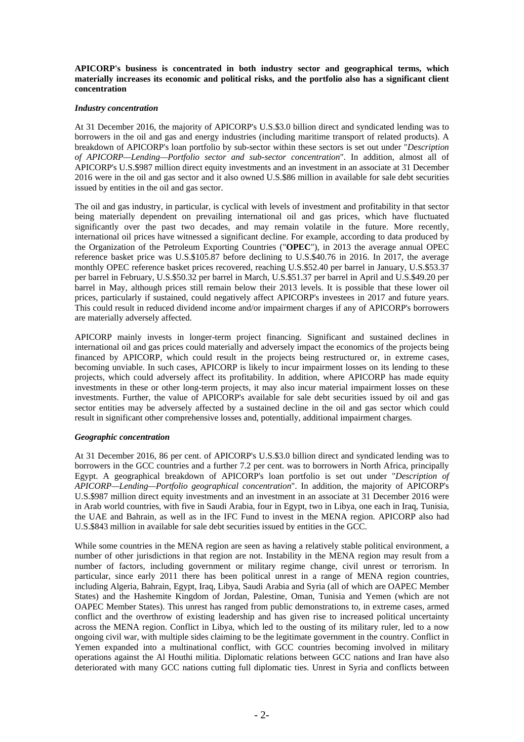**APICORP's business is concentrated in both industry sector and geographical terms, which materially increases its economic and political risks, and the portfolio also has a significant client concentration** 

### *Industry concentration*

At 31 December 2016, the majority of APICORP's U.S.\$3.0 billion direct and syndicated lending was to borrowers in the oil and gas and energy industries (including maritime transport of related products). A breakdown of APICORP's loan portfolio by sub-sector within these sectors is set out under "*Description of APICORP—Lending—Portfolio sector and sub-sector concentration*". In addition, almost all of APICORP's U.S.\$987 million direct equity investments and an investment in an associate at 31 December 2016 were in the oil and gas sector and it also owned U.S.\$86 million in available for sale debt securities issued by entities in the oil and gas sector.

The oil and gas industry, in particular, is cyclical with levels of investment and profitability in that sector being materially dependent on prevailing international oil and gas prices, which have fluctuated significantly over the past two decades, and may remain volatile in the future. More recently, international oil prices have witnessed a significant decline. For example, according to data produced by the Organization of the Petroleum Exporting Countries ("**OPEC**"), in 2013 the average annual OPEC reference basket price was U.S.\$105.87 before declining to U.S.\$40.76 in 2016. In 2017, the average monthly OPEC reference basket prices recovered, reaching U.S.\$52.40 per barrel in January, U.S.\$53.37 per barrel in February, U.S.\$50.32 per barrel in March, U.S.\$51.37 per barrel in April and U.S.\$49.20 per barrel in May, although prices still remain below their 2013 levels. It is possible that these lower oil prices, particularly if sustained, could negatively affect APICORP's investees in 2017 and future years. This could result in reduced dividend income and/or impairment charges if any of APICORP's borrowers are materially adversely affected.

APICORP mainly invests in longer-term project financing. Significant and sustained declines in international oil and gas prices could materially and adversely impact the economics of the projects being financed by APICORP, which could result in the projects being restructured or, in extreme cases, becoming unviable. In such cases, APICORP is likely to incur impairment losses on its lending to these projects, which could adversely affect its profitability. In addition, where APICORP has made equity investments in these or other long-term projects, it may also incur material impairment losses on these investments. Further, the value of APICORP's available for sale debt securities issued by oil and gas sector entities may be adversely affected by a sustained decline in the oil and gas sector which could result in significant other comprehensive losses and, potentially, additional impairment charges.

### *Geographic concentration*

At 31 December 2016, 86 per cent. of APICORP's U.S.\$3.0 billion direct and syndicated lending was to borrowers in the GCC countries and a further 7.2 per cent. was to borrowers in North Africa, principally Egypt. A geographical breakdown of APICORP's loan portfolio is set out under "*Description of APICORP—Lending—Portfolio geographical concentration*". In addition, the majority of APICORP's U.S.\$987 million direct equity investments and an investment in an associate at 31 December 2016 were in Arab world countries, with five in Saudi Arabia, four in Egypt, two in Libya, one each in Iraq, Tunisia, the UAE and Bahrain, as well as in the IFC Fund to invest in the MENA region. APICORP also had U.S.\$843 million in available for sale debt securities issued by entities in the GCC.

While some countries in the MENA region are seen as having a relatively stable political environment, a number of other jurisdictions in that region are not. Instability in the MENA region may result from a number of factors, including government or military regime change, civil unrest or terrorism. In particular, since early 2011 there has been political unrest in a range of MENA region countries, including Algeria, Bahrain, Egypt, Iraq, Libya, Saudi Arabia and Syria (all of which are OAPEC Member States) and the Hashemite Kingdom of Jordan, Palestine, Oman, Tunisia and Yemen (which are not OAPEC Member States). This unrest has ranged from public demonstrations to, in extreme cases, armed conflict and the overthrow of existing leadership and has given rise to increased political uncertainty across the MENA region. Conflict in Libya, which led to the ousting of its military ruler, led to a now ongoing civil war, with multiple sides claiming to be the legitimate government in the country. Conflict in Yemen expanded into a multinational conflict, with GCC countries becoming involved in military operations against the Al Houthi militia. Diplomatic relations between GCC nations and Iran have also deteriorated with many GCC nations cutting full diplomatic ties. Unrest in Syria and conflicts between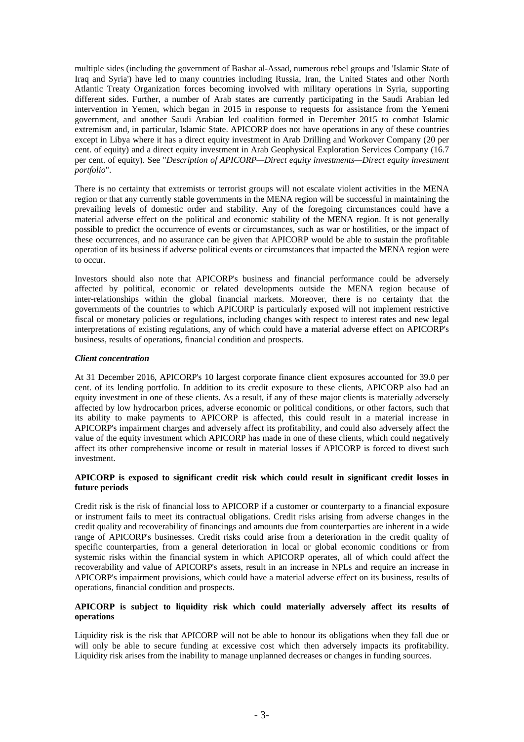multiple sides (including the government of Bashar al-Assad, numerous rebel groups and 'Islamic State of Iraq and Syria') have led to many countries including Russia, Iran, the United States and other North Atlantic Treaty Organization forces becoming involved with military operations in Syria, supporting different sides. Further, a number of Arab states are currently participating in the Saudi Arabian led intervention in Yemen, which began in 2015 in response to requests for assistance from the Yemeni government, and another Saudi Arabian led coalition formed in December 2015 to combat Islamic extremism and, in particular, Islamic State. APICORP does not have operations in any of these countries except in Libya where it has a direct equity investment in Arab Drilling and Workover Company (20 per cent. of equity) and a direct equity investment in Arab Geophysical Exploration Services Company (16.7 per cent. of equity). See "*Description of APICORP—Direct equity investments—Direct equity investment portfolio*".

There is no certainty that extremists or terrorist groups will not escalate violent activities in the MENA region or that any currently stable governments in the MENA region will be successful in maintaining the prevailing levels of domestic order and stability. Any of the foregoing circumstances could have a material adverse effect on the political and economic stability of the MENA region. It is not generally possible to predict the occurrence of events or circumstances, such as war or hostilities, or the impact of these occurrences, and no assurance can be given that APICORP would be able to sustain the profitable operation of its business if adverse political events or circumstances that impacted the MENA region were to occur.

Investors should also note that APICORP's business and financial performance could be adversely affected by political, economic or related developments outside the MENA region because of inter-relationships within the global financial markets. Moreover, there is no certainty that the governments of the countries to which APICORP is particularly exposed will not implement restrictive fiscal or monetary policies or regulations, including changes with respect to interest rates and new legal interpretations of existing regulations, any of which could have a material adverse effect on APICORP's business, results of operations, financial condition and prospects.

### *Client concentration*

At 31 December 2016, APICORP's 10 largest corporate finance client exposures accounted for 39.0 per cent. of its lending portfolio. In addition to its credit exposure to these clients, APICORP also had an equity investment in one of these clients. As a result, if any of these major clients is materially adversely affected by low hydrocarbon prices, adverse economic or political conditions, or other factors, such that its ability to make payments to APICORP is affected, this could result in a material increase in APICORP's impairment charges and adversely affect its profitability, and could also adversely affect the value of the equity investment which APICORP has made in one of these clients, which could negatively affect its other comprehensive income or result in material losses if APICORP is forced to divest such investment.

## **APICORP is exposed to significant credit risk which could result in significant credit losses in future periods**

Credit risk is the risk of financial loss to APICORP if a customer or counterparty to a financial exposure or instrument fails to meet its contractual obligations. Credit risks arising from adverse changes in the credit quality and recoverability of financings and amounts due from counterparties are inherent in a wide range of APICORP's businesses. Credit risks could arise from a deterioration in the credit quality of specific counterparties, from a general deterioration in local or global economic conditions or from systemic risks within the financial system in which APICORP operates, all of which could affect the recoverability and value of APICORP's assets, result in an increase in NPLs and require an increase in APICORP's impairment provisions, which could have a material adverse effect on its business, results of operations, financial condition and prospects.

### **APICORP is subject to liquidity risk which could materially adversely affect its results of operations**

Liquidity risk is the risk that APICORP will not be able to honour its obligations when they fall due or will only be able to secure funding at excessive cost which then adversely impacts its profitability. Liquidity risk arises from the inability to manage unplanned decreases or changes in funding sources.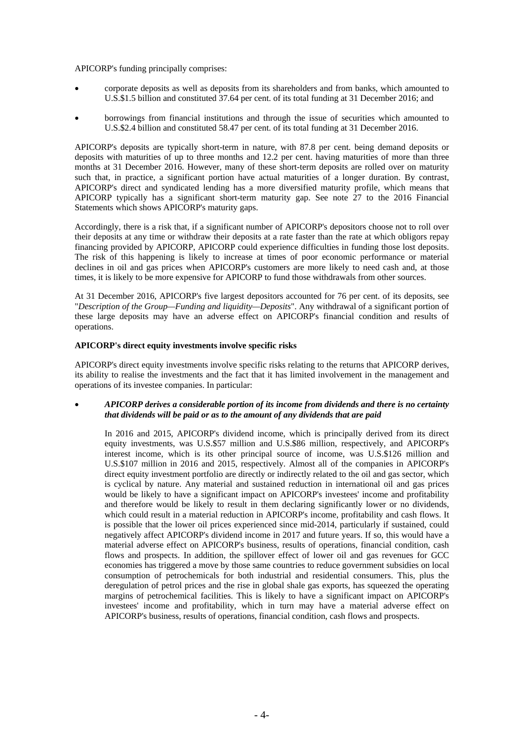APICORP's funding principally comprises:

- corporate deposits as well as deposits from its shareholders and from banks, which amounted to U.S.\$1.5 billion and constituted 37.64 per cent. of its total funding at 31 December 2016; and
- borrowings from financial institutions and through the issue of securities which amounted to U.S.\$2.4 billion and constituted 58.47 per cent. of its total funding at 31 December 2016.

APICORP's deposits are typically short-term in nature, with 87.8 per cent. being demand deposits or deposits with maturities of up to three months and 12.2 per cent. having maturities of more than three months at 31 December 2016. However, many of these short-term deposits are rolled over on maturity such that, in practice, a significant portion have actual maturities of a longer duration. By contrast, APICORP's direct and syndicated lending has a more diversified maturity profile, which means that APICORP typically has a significant short-term maturity gap. See note 27 to the 2016 Financial Statements which shows APICORP's maturity gaps.

Accordingly, there is a risk that, if a significant number of APICORP's depositors choose not to roll over their deposits at any time or withdraw their deposits at a rate faster than the rate at which obligors repay financing provided by APICORP, APICORP could experience difficulties in funding those lost deposits. The risk of this happening is likely to increase at times of poor economic performance or material declines in oil and gas prices when APICORP's customers are more likely to need cash and, at those times, it is likely to be more expensive for APICORP to fund those withdrawals from other sources.

At 31 December 2016, APICORP's five largest depositors accounted for 76 per cent. of its deposits, see "*Description of the Group—Funding and liquidity—Deposits*". Any withdrawal of a significant portion of these large deposits may have an adverse effect on APICORP's financial condition and results of operations.

#### **APICORP's direct equity investments involve specific risks**

APICORP's direct equity investments involve specific risks relating to the returns that APICORP derives, its ability to realise the investments and the fact that it has limited involvement in the management and operations of its investee companies. In particular:

#### *APICORP derives a considerable portion of its income from dividends and there is no certainty that dividends will be paid or as to the amount of any dividends that are paid*

In 2016 and 2015, APICORP's dividend income, which is principally derived from its direct equity investments, was U.S.\$57 million and U.S.\$86 million, respectively, and APICORP's interest income, which is its other principal source of income, was U.S.\$126 million and U.S.\$107 million in 2016 and 2015, respectively. Almost all of the companies in APICORP's direct equity investment portfolio are directly or indirectly related to the oil and gas sector, which is cyclical by nature. Any material and sustained reduction in international oil and gas prices would be likely to have a significant impact on APICORP's investees' income and profitability and therefore would be likely to result in them declaring significantly lower or no dividends, which could result in a material reduction in APICORP's income, profitability and cash flows. It is possible that the lower oil prices experienced since mid-2014, particularly if sustained, could negatively affect APICORP's dividend income in 2017 and future years. If so, this would have a material adverse effect on APICORP's business, results of operations, financial condition, cash flows and prospects. In addition, the spillover effect of lower oil and gas revenues for GCC economies has triggered a move by those same countries to reduce government subsidies on local consumption of petrochemicals for both industrial and residential consumers. This, plus the deregulation of petrol prices and the rise in global shale gas exports, has squeezed the operating margins of petrochemical facilities. This is likely to have a significant impact on APICORP's investees' income and profitability, which in turn may have a material adverse effect on APICORP's business, results of operations, financial condition, cash flows and prospects.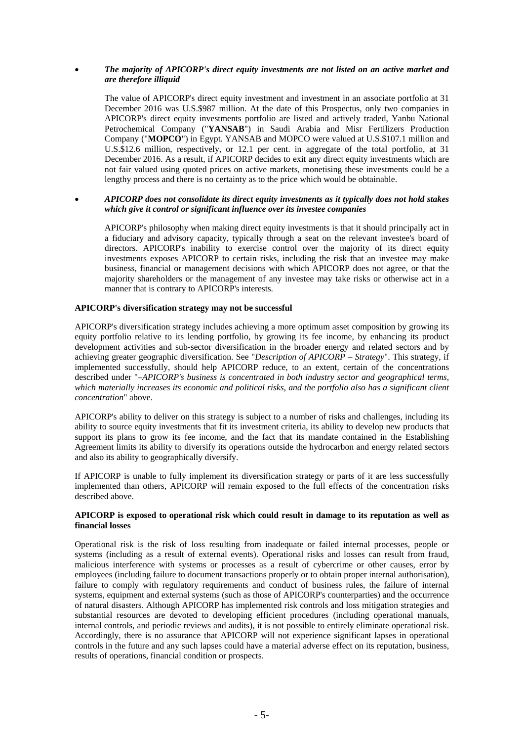### *The majority of APICORP's direct equity investments are not listed on an active market and are therefore illiquid*

The value of APICORP's direct equity investment and investment in an associate portfolio at 31 December 2016 was U.S.\$987 million. At the date of this Prospectus, only two companies in APICORP's direct equity investments portfolio are listed and actively traded, Yanbu National Petrochemical Company ("**YANSAB**") in Saudi Arabia and Misr Fertilizers Production Company ("**MOPCO**") in Egypt. YANSAB and MOPCO were valued at U.S.\$107.1 million and U.S.\$12.6 million, respectively, or 12.1 per cent. in aggregate of the total portfolio, at 31 December 2016. As a result, if APICORP decides to exit any direct equity investments which are not fair valued using quoted prices on active markets, monetising these investments could be a lengthy process and there is no certainty as to the price which would be obtainable.

#### *APICORP does not consolidate its direct equity investments as it typically does not hold stakes which give it control or significant influence over its investee companies*

APICORP's philosophy when making direct equity investments is that it should principally act in a fiduciary and advisory capacity, typically through a seat on the relevant investee's board of directors. APICORP's inability to exercise control over the majority of its direct equity investments exposes APICORP to certain risks, including the risk that an investee may make business, financial or management decisions with which APICORP does not agree, or that the majority shareholders or the management of any investee may take risks or otherwise act in a manner that is contrary to APICORP's interests.

### **APICORP's diversification strategy may not be successful**

APICORP's diversification strategy includes achieving a more optimum asset composition by growing its equity portfolio relative to its lending portfolio, by growing its fee income, by enhancing its product development activities and sub-sector diversification in the broader energy and related sectors and by achieving greater geographic diversification. See "*Description of APICORP – Strategy*". This strategy, if implemented successfully, should help APICORP reduce, to an extent, certain of the concentrations described under "*–APICORP's business is concentrated in both industry sector and geographical terms, which materially increases its economic and political risks, and the portfolio also has a significant client concentration*" above.

APICORP's ability to deliver on this strategy is subject to a number of risks and challenges, including its ability to source equity investments that fit its investment criteria, its ability to develop new products that support its plans to grow its fee income, and the fact that its mandate contained in the Establishing Agreement limits its ability to diversify its operations outside the hydrocarbon and energy related sectors and also its ability to geographically diversify.

If APICORP is unable to fully implement its diversification strategy or parts of it are less successfully implemented than others, APICORP will remain exposed to the full effects of the concentration risks described above.

### **APICORP is exposed to operational risk which could result in damage to its reputation as well as financial losses**

Operational risk is the risk of loss resulting from inadequate or failed internal processes, people or systems (including as a result of external events). Operational risks and losses can result from fraud, malicious interference with systems or processes as a result of cybercrime or other causes, error by employees (including failure to document transactions properly or to obtain proper internal authorisation), failure to comply with regulatory requirements and conduct of business rules, the failure of internal systems, equipment and external systems (such as those of APICORP's counterparties) and the occurrence of natural disasters. Although APICORP has implemented risk controls and loss mitigation strategies and substantial resources are devoted to developing efficient procedures (including operational manuals, internal controls, and periodic reviews and audits), it is not possible to entirely eliminate operational risk. Accordingly, there is no assurance that APICORP will not experience significant lapses in operational controls in the future and any such lapses could have a material adverse effect on its reputation, business, results of operations, financial condition or prospects.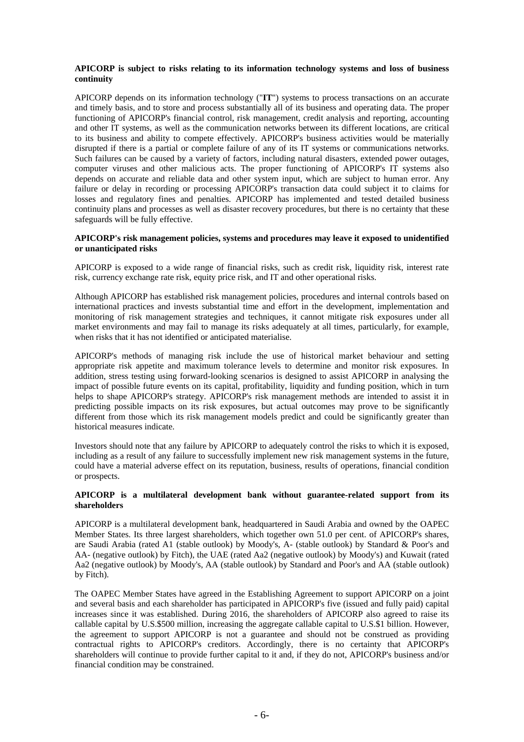### **APICORP is subject to risks relating to its information technology systems and loss of business continuity**

APICORP depends on its information technology ("**IT**") systems to process transactions on an accurate and timely basis, and to store and process substantially all of its business and operating data. The proper functioning of APICORP's financial control, risk management, credit analysis and reporting, accounting and other IT systems, as well as the communication networks between its different locations, are critical to its business and ability to compete effectively. APICORP's business activities would be materially disrupted if there is a partial or complete failure of any of its IT systems or communications networks. Such failures can be caused by a variety of factors, including natural disasters, extended power outages, computer viruses and other malicious acts. The proper functioning of APICORP's IT systems also depends on accurate and reliable data and other system input, which are subject to human error. Any failure or delay in recording or processing APICORP's transaction data could subject it to claims for losses and regulatory fines and penalties. APICORP has implemented and tested detailed business continuity plans and processes as well as disaster recovery procedures, but there is no certainty that these safeguards will be fully effective.

#### **APICORP's risk management policies, systems and procedures may leave it exposed to unidentified or unanticipated risks**

APICORP is exposed to a wide range of financial risks, such as credit risk, liquidity risk, interest rate risk, currency exchange rate risk, equity price risk, and IT and other operational risks.

Although APICORP has established risk management policies, procedures and internal controls based on international practices and invests substantial time and effort in the development, implementation and monitoring of risk management strategies and techniques, it cannot mitigate risk exposures under all market environments and may fail to manage its risks adequately at all times, particularly, for example, when risks that it has not identified or anticipated materialise.

APICORP's methods of managing risk include the use of historical market behaviour and setting appropriate risk appetite and maximum tolerance levels to determine and monitor risk exposures. In addition, stress testing using forward-looking scenarios is designed to assist APICORP in analysing the impact of possible future events on its capital, profitability, liquidity and funding position, which in turn helps to shape APICORP's strategy. APICORP's risk management methods are intended to assist it in predicting possible impacts on its risk exposures, but actual outcomes may prove to be significantly different from those which its risk management models predict and could be significantly greater than historical measures indicate.

Investors should note that any failure by APICORP to adequately control the risks to which it is exposed, including as a result of any failure to successfully implement new risk management systems in the future, could have a material adverse effect on its reputation, business, results of operations, financial condition or prospects.

### **APICORP is a multilateral development bank without guarantee-related support from its shareholders**

APICORP is a multilateral development bank, headquartered in Saudi Arabia and owned by the OAPEC Member States. Its three largest shareholders, which together own 51.0 per cent. of APICORP's shares, are Saudi Arabia (rated A1 (stable outlook) by Moody's, A- (stable outlook) by Standard & Poor's and AA- (negative outlook) by Fitch), the UAE (rated Aa2 (negative outlook) by Moody's) and Kuwait (rated Aa2 (negative outlook) by Moody's, AA (stable outlook) by Standard and Poor's and AA (stable outlook) by Fitch).

The OAPEC Member States have agreed in the Establishing Agreement to support APICORP on a joint and several basis and each shareholder has participated in APICORP's five (issued and fully paid) capital increases since it was established. During 2016, the shareholders of APICORP also agreed to raise its callable capital by U.S.\$500 million, increasing the aggregate callable capital to U.S.\$1 billion. However, the agreement to support APICORP is not a guarantee and should not be construed as providing contractual rights to APICORP's creditors. Accordingly, there is no certainty that APICORP's shareholders will continue to provide further capital to it and, if they do not, APICORP's business and/or financial condition may be constrained.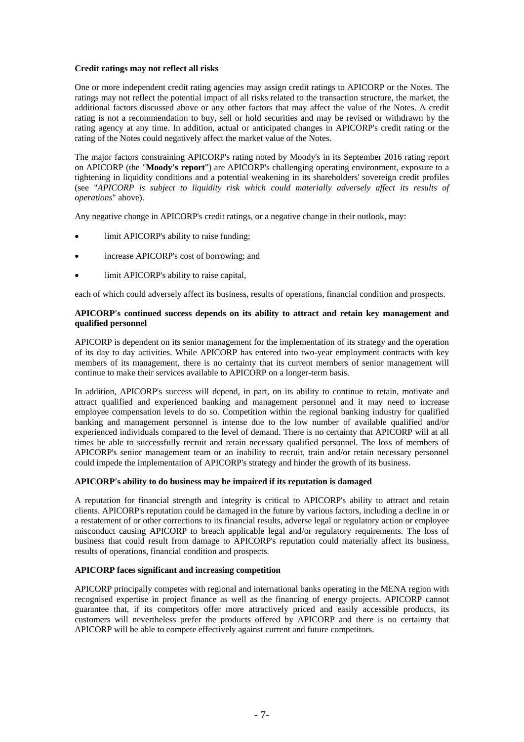#### **Credit ratings may not reflect all risks**

One or more independent credit rating agencies may assign credit ratings to APICORP or the Notes. The ratings may not reflect the potential impact of all risks related to the transaction structure, the market, the additional factors discussed above or any other factors that may affect the value of the Notes. A credit rating is not a recommendation to buy, sell or hold securities and may be revised or withdrawn by the rating agency at any time. In addition, actual or anticipated changes in APICORP's credit rating or the rating of the Notes could negatively affect the market value of the Notes.

The major factors constraining APICORP's rating noted by Moody's in its September 2016 rating report on APICORP (the "**Moody's report**") are APICORP's challenging operating environment, exposure to a tightening in liquidity conditions and a potential weakening in its shareholders' sovereign credit profiles (see "*APICORP is subject to liquidity risk which could materially adversely affect its results of operations*" above).

Any negative change in APICORP's credit ratings, or a negative change in their outlook, may:

- limit APICORP's ability to raise funding;
- increase APICORP's cost of borrowing; and
- limit APICORP's ability to raise capital,

each of which could adversely affect its business, results of operations, financial condition and prospects.

### **APICORP's continued success depends on its ability to attract and retain key management and qualified personnel**

APICORP is dependent on its senior management for the implementation of its strategy and the operation of its day to day activities. While APICORP has entered into two-year employment contracts with key members of its management, there is no certainty that its current members of senior management will continue to make their services available to APICORP on a longer-term basis.

In addition, APICORP's success will depend, in part, on its ability to continue to retain, motivate and attract qualified and experienced banking and management personnel and it may need to increase employee compensation levels to do so. Competition within the regional banking industry for qualified banking and management personnel is intense due to the low number of available qualified and/or experienced individuals compared to the level of demand. There is no certainty that APICORP will at all times be able to successfully recruit and retain necessary qualified personnel. The loss of members of APICORP's senior management team or an inability to recruit, train and/or retain necessary personnel could impede the implementation of APICORP's strategy and hinder the growth of its business.

### **APICORP's ability to do business may be impaired if its reputation is damaged**

A reputation for financial strength and integrity is critical to APICORP's ability to attract and retain clients. APICORP's reputation could be damaged in the future by various factors, including a decline in or a restatement of or other corrections to its financial results, adverse legal or regulatory action or employee misconduct causing APICORP to breach applicable legal and/or regulatory requirements. The loss of business that could result from damage to APICORP's reputation could materially affect its business, results of operations, financial condition and prospects.

### **APICORP faces significant and increasing competition**

APICORP principally competes with regional and international banks operating in the MENA region with recognised expertise in project finance as well as the financing of energy projects. APICORP cannot guarantee that, if its competitors offer more attractively priced and easily accessible products, its customers will nevertheless prefer the products offered by APICORP and there is no certainty that APICORP will be able to compete effectively against current and future competitors.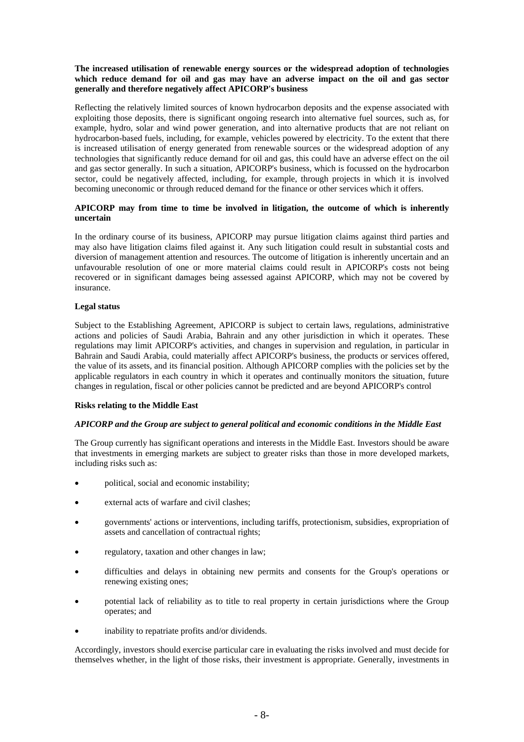### **The increased utilisation of renewable energy sources or the widespread adoption of technologies which reduce demand for oil and gas may have an adverse impact on the oil and gas sector generally and therefore negatively affect APICORP's business**

Reflecting the relatively limited sources of known hydrocarbon deposits and the expense associated with exploiting those deposits, there is significant ongoing research into alternative fuel sources, such as, for example, hydro, solar and wind power generation, and into alternative products that are not reliant on hydrocarbon-based fuels, including, for example, vehicles powered by electricity. To the extent that there is increased utilisation of energy generated from renewable sources or the widespread adoption of any technologies that significantly reduce demand for oil and gas, this could have an adverse effect on the oil and gas sector generally. In such a situation, APICORP's business, which is focussed on the hydrocarbon sector, could be negatively affected, including, for example, through projects in which it is involved becoming uneconomic or through reduced demand for the finance or other services which it offers.

### **APICORP may from time to time be involved in litigation, the outcome of which is inherently uncertain**

In the ordinary course of its business, APICORP may pursue litigation claims against third parties and may also have litigation claims filed against it. Any such litigation could result in substantial costs and diversion of management attention and resources. The outcome of litigation is inherently uncertain and an unfavourable resolution of one or more material claims could result in APICORP's costs not being recovered or in significant damages being assessed against APICORP, which may not be covered by insurance.

## **Legal status**

Subject to the Establishing Agreement, APICORP is subject to certain laws, regulations, administrative actions and policies of Saudi Arabia, Bahrain and any other jurisdiction in which it operates. These regulations may limit APICORP's activities, and changes in supervision and regulation, in particular in Bahrain and Saudi Arabia, could materially affect APICORP's business, the products or services offered, the value of its assets, and its financial position. Although APICORP complies with the policies set by the applicable regulators in each country in which it operates and continually monitors the situation, future changes in regulation, fiscal or other policies cannot be predicted and are beyond APICORP's control

### **Risks relating to the Middle East**

### *APICORP and the Group are subject to general political and economic conditions in the Middle East*

The Group currently has significant operations and interests in the Middle East. Investors should be aware that investments in emerging markets are subject to greater risks than those in more developed markets, including risks such as:

- political, social and economic instability;
- external acts of warfare and civil clashes;
- governments' actions or interventions, including tariffs, protectionism, subsidies, expropriation of assets and cancellation of contractual rights;
- regulatory, taxation and other changes in law;
- difficulties and delays in obtaining new permits and consents for the Group's operations or renewing existing ones;
- potential lack of reliability as to title to real property in certain jurisdictions where the Group operates; and
- inability to repatriate profits and/or dividends.

Accordingly, investors should exercise particular care in evaluating the risks involved and must decide for themselves whether, in the light of those risks, their investment is appropriate. Generally, investments in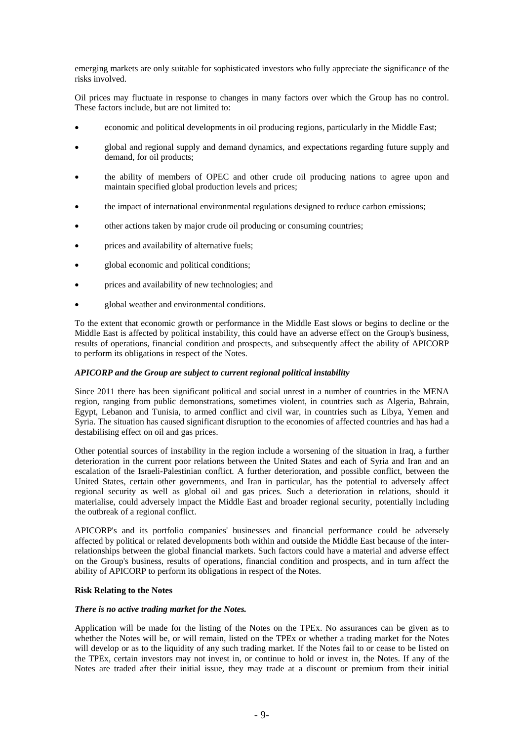emerging markets are only suitable for sophisticated investors who fully appreciate the significance of the risks involved.

Oil prices may fluctuate in response to changes in many factors over which the Group has no control. These factors include, but are not limited to:

- economic and political developments in oil producing regions, particularly in the Middle East;
- global and regional supply and demand dynamics, and expectations regarding future supply and demand, for oil products;
- the ability of members of OPEC and other crude oil producing nations to agree upon and maintain specified global production levels and prices;
- the impact of international environmental regulations designed to reduce carbon emissions;
- other actions taken by major crude oil producing or consuming countries;
- prices and availability of alternative fuels;
- global economic and political conditions;
- prices and availability of new technologies; and
- global weather and environmental conditions.

To the extent that economic growth or performance in the Middle East slows or begins to decline or the Middle East is affected by political instability, this could have an adverse effect on the Group's business, results of operations, financial condition and prospects, and subsequently affect the ability of APICORP to perform its obligations in respect of the Notes.

### *APICORP and the Group are subject to current regional political instability*

Since 2011 there has been significant political and social unrest in a number of countries in the MENA region, ranging from public demonstrations, sometimes violent, in countries such as Algeria, Bahrain, Egypt, Lebanon and Tunisia, to armed conflict and civil war, in countries such as Libya, Yemen and Syria. The situation has caused significant disruption to the economies of affected countries and has had a destabilising effect on oil and gas prices.

Other potential sources of instability in the region include a worsening of the situation in Iraq, a further deterioration in the current poor relations between the United States and each of Syria and Iran and an escalation of the Israeli-Palestinian conflict. A further deterioration, and possible conflict, between the United States, certain other governments, and Iran in particular, has the potential to adversely affect regional security as well as global oil and gas prices. Such a deterioration in relations, should it materialise, could adversely impact the Middle East and broader regional security, potentially including the outbreak of a regional conflict.

APICORP's and its portfolio companies' businesses and financial performance could be adversely affected by political or related developments both within and outside the Middle East because of the interrelationships between the global financial markets. Such factors could have a material and adverse effect on the Group's business, results of operations, financial condition and prospects, and in turn affect the ability of APICORP to perform its obligations in respect of the Notes.

#### **Risk Relating to the Notes**

#### *There is no active trading market for the Notes.*

Application will be made for the listing of the Notes on the TPEx. No assurances can be given as to whether the Notes will be, or will remain, listed on the TPEx or whether a trading market for the Notes will develop or as to the liquidity of any such trading market. If the Notes fail to or cease to be listed on the TPEx, certain investors may not invest in, or continue to hold or invest in, the Notes. If any of the Notes are traded after their initial issue, they may trade at a discount or premium from their initial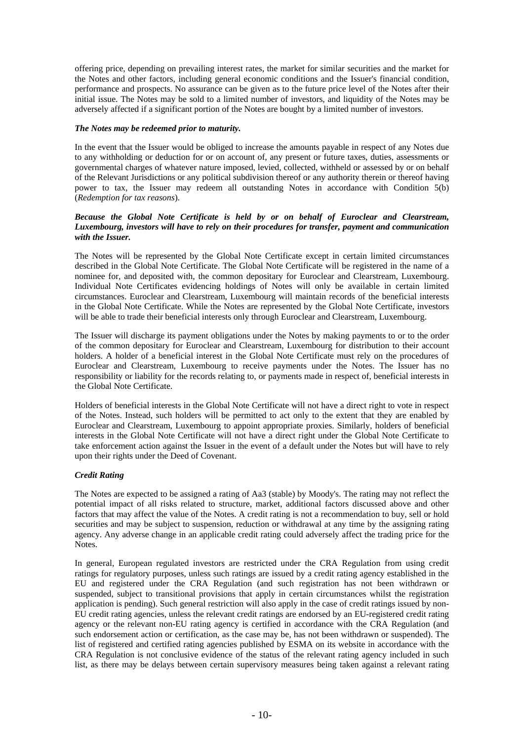offering price, depending on prevailing interest rates, the market for similar securities and the market for the Notes and other factors, including general economic conditions and the Issuer's financial condition, performance and prospects. No assurance can be given as to the future price level of the Notes after their initial issue. The Notes may be sold to a limited number of investors, and liquidity of the Notes may be adversely affected if a significant portion of the Notes are bought by a limited number of investors.

#### *The Notes may be redeemed prior to maturity.*

In the event that the Issuer would be obliged to increase the amounts payable in respect of any Notes due to any withholding or deduction for or on account of, any present or future taxes, duties, assessments or governmental charges of whatever nature imposed, levied, collected, withheld or assessed by or on behalf of the Relevant Jurisdictions or any political subdivision thereof or any authority therein or thereof having power to tax, the Issuer may redeem all outstanding Notes in accordance with Condition 5(b) (*Redemption for tax reasons*).

### *Because the Global Note Certificate is held by or on behalf of Euroclear and Clearstream, Luxembourg, investors will have to rely on their procedures for transfer, payment and communication with the Issuer.*

The Notes will be represented by the Global Note Certificate except in certain limited circumstances described in the Global Note Certificate. The Global Note Certificate will be registered in the name of a nominee for, and deposited with, the common depositary for Euroclear and Clearstream, Luxembourg. Individual Note Certificates evidencing holdings of Notes will only be available in certain limited circumstances. Euroclear and Clearstream, Luxembourg will maintain records of the beneficial interests in the Global Note Certificate. While the Notes are represented by the Global Note Certificate, investors will be able to trade their beneficial interests only through Euroclear and Clearstream, Luxembourg.

The Issuer will discharge its payment obligations under the Notes by making payments to or to the order of the common depositary for Euroclear and Clearstream, Luxembourg for distribution to their account holders. A holder of a beneficial interest in the Global Note Certificate must rely on the procedures of Euroclear and Clearstream, Luxembourg to receive payments under the Notes. The Issuer has no responsibility or liability for the records relating to, or payments made in respect of, beneficial interests in the Global Note Certificate.

Holders of beneficial interests in the Global Note Certificate will not have a direct right to vote in respect of the Notes. Instead, such holders will be permitted to act only to the extent that they are enabled by Euroclear and Clearstream, Luxembourg to appoint appropriate proxies. Similarly, holders of beneficial interests in the Global Note Certificate will not have a direct right under the Global Note Certificate to take enforcement action against the Issuer in the event of a default under the Notes but will have to rely upon their rights under the Deed of Covenant.

### *Credit Rating*

The Notes are expected to be assigned a rating of Aa3 (stable) by Moody's. The rating may not reflect the potential impact of all risks related to structure, market, additional factors discussed above and other factors that may affect the value of the Notes. A credit rating is not a recommendation to buy, sell or hold securities and may be subject to suspension, reduction or withdrawal at any time by the assigning rating agency. Any adverse change in an applicable credit rating could adversely affect the trading price for the Notes.

In general, European regulated investors are restricted under the CRA Regulation from using credit ratings for regulatory purposes, unless such ratings are issued by a credit rating agency established in the EU and registered under the CRA Regulation (and such registration has not been withdrawn or suspended, subject to transitional provisions that apply in certain circumstances whilst the registration application is pending). Such general restriction will also apply in the case of credit ratings issued by non-EU credit rating agencies, unless the relevant credit ratings are endorsed by an EU-registered credit rating agency or the relevant non-EU rating agency is certified in accordance with the CRA Regulation (and such endorsement action or certification, as the case may be, has not been withdrawn or suspended). The list of registered and certified rating agencies published by ESMA on its website in accordance with the CRA Regulation is not conclusive evidence of the status of the relevant rating agency included in such list, as there may be delays between certain supervisory measures being taken against a relevant rating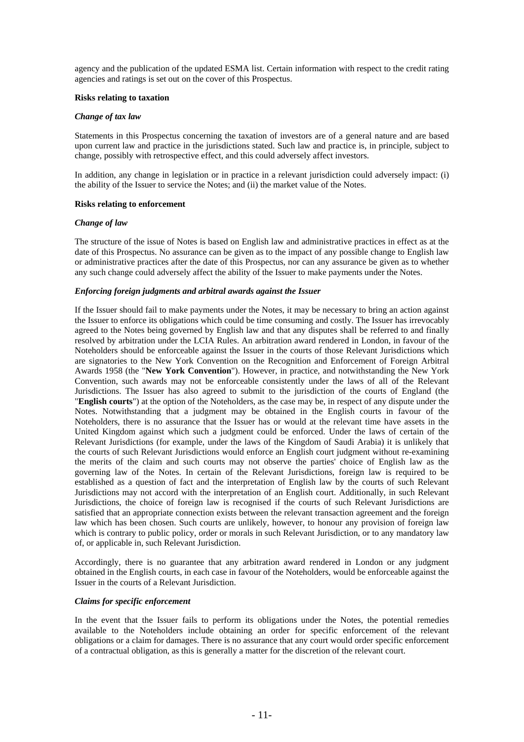agency and the publication of the updated ESMA list. Certain information with respect to the credit rating agencies and ratings is set out on the cover of this Prospectus.

#### **Risks relating to taxation**

#### *Change of tax law*

Statements in this Prospectus concerning the taxation of investors are of a general nature and are based upon current law and practice in the jurisdictions stated. Such law and practice is, in principle, subject to change, possibly with retrospective effect, and this could adversely affect investors.

In addition, any change in legislation or in practice in a relevant jurisdiction could adversely impact: (i) the ability of the Issuer to service the Notes; and (ii) the market value of the Notes.

#### **Risks relating to enforcement**

#### *Change of law*

The structure of the issue of Notes is based on English law and administrative practices in effect as at the date of this Prospectus. No assurance can be given as to the impact of any possible change to English law or administrative practices after the date of this Prospectus, nor can any assurance be given as to whether any such change could adversely affect the ability of the Issuer to make payments under the Notes.

#### *Enforcing foreign judgments and arbitral awards against the Issuer*

If the Issuer should fail to make payments under the Notes, it may be necessary to bring an action against the Issuer to enforce its obligations which could be time consuming and costly. The Issuer has irrevocably agreed to the Notes being governed by English law and that any disputes shall be referred to and finally resolved by arbitration under the LCIA Rules. An arbitration award rendered in London, in favour of the Noteholders should be enforceable against the Issuer in the courts of those Relevant Jurisdictions which are signatories to the New York Convention on the Recognition and Enforcement of Foreign Arbitral Awards 1958 (the "**New York Convention**"). However, in practice, and notwithstanding the New York Convention, such awards may not be enforceable consistently under the laws of all of the Relevant Jurisdictions. The Issuer has also agreed to submit to the jurisdiction of the courts of England (the "**English courts**") at the option of the Noteholders, as the case may be, in respect of any dispute under the Notes. Notwithstanding that a judgment may be obtained in the English courts in favour of the Noteholders, there is no assurance that the Issuer has or would at the relevant time have assets in the United Kingdom against which such a judgment could be enforced. Under the laws of certain of the Relevant Jurisdictions (for example, under the laws of the Kingdom of Saudi Arabia) it is unlikely that the courts of such Relevant Jurisdictions would enforce an English court judgment without re-examining the merits of the claim and such courts may not observe the parties' choice of English law as the governing law of the Notes. In certain of the Relevant Jurisdictions, foreign law is required to be established as a question of fact and the interpretation of English law by the courts of such Relevant Jurisdictions may not accord with the interpretation of an English court. Additionally, in such Relevant Jurisdictions, the choice of foreign law is recognised if the courts of such Relevant Jurisdictions are satisfied that an appropriate connection exists between the relevant transaction agreement and the foreign law which has been chosen. Such courts are unlikely, however, to honour any provision of foreign law which is contrary to public policy, order or morals in such Relevant Jurisdiction, or to any mandatory law of, or applicable in, such Relevant Jurisdiction.

Accordingly, there is no guarantee that any arbitration award rendered in London or any judgment obtained in the English courts, in each case in favour of the Noteholders, would be enforceable against the Issuer in the courts of a Relevant Jurisdiction.

### *Claims for specific enforcement*

In the event that the Issuer fails to perform its obligations under the Notes, the potential remedies available to the Noteholders include obtaining an order for specific enforcement of the relevant obligations or a claim for damages. There is no assurance that any court would order specific enforcement of a contractual obligation, as this is generally a matter for the discretion of the relevant court.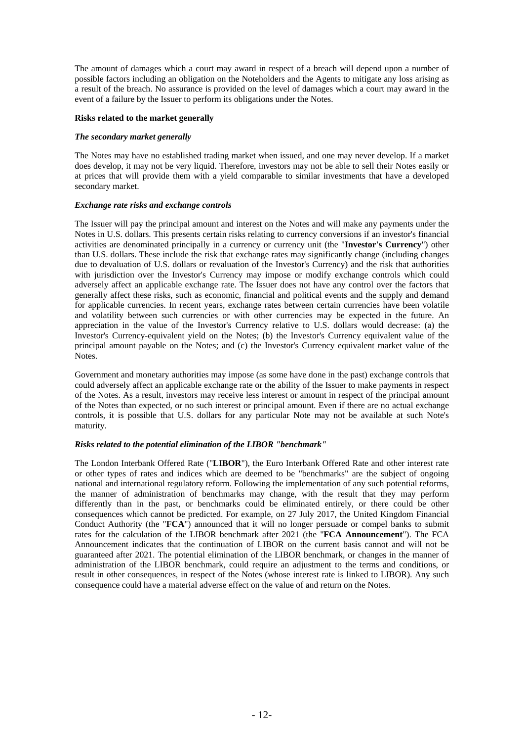The amount of damages which a court may award in respect of a breach will depend upon a number of possible factors including an obligation on the Noteholders and the Agents to mitigate any loss arising as a result of the breach. No assurance is provided on the level of damages which a court may award in the event of a failure by the Issuer to perform its obligations under the Notes.

#### **Risks related to the market generally**

#### *The secondary market generally*

The Notes may have no established trading market when issued, and one may never develop. If a market does develop, it may not be very liquid. Therefore, investors may not be able to sell their Notes easily or at prices that will provide them with a yield comparable to similar investments that have a developed secondary market.

#### *Exchange rate risks and exchange controls*

The Issuer will pay the principal amount and interest on the Notes and will make any payments under the Notes in U.S. dollars. This presents certain risks relating to currency conversions if an investor's financial activities are denominated principally in a currency or currency unit (the "**Investor's Currency**") other than U.S. dollars. These include the risk that exchange rates may significantly change (including changes due to devaluation of U.S. dollars or revaluation of the Investor's Currency) and the risk that authorities with jurisdiction over the Investor's Currency may impose or modify exchange controls which could adversely affect an applicable exchange rate. The Issuer does not have any control over the factors that generally affect these risks, such as economic, financial and political events and the supply and demand for applicable currencies. In recent years, exchange rates between certain currencies have been volatile and volatility between such currencies or with other currencies may be expected in the future. An appreciation in the value of the Investor's Currency relative to U.S. dollars would decrease: (a) the Investor's Currency-equivalent yield on the Notes; (b) the Investor's Currency equivalent value of the principal amount payable on the Notes; and (c) the Investor's Currency equivalent market value of the Notes.

Government and monetary authorities may impose (as some have done in the past) exchange controls that could adversely affect an applicable exchange rate or the ability of the Issuer to make payments in respect of the Notes. As a result, investors may receive less interest or amount in respect of the principal amount of the Notes than expected, or no such interest or principal amount. Even if there are no actual exchange controls, it is possible that U.S. dollars for any particular Note may not be available at such Note's maturity.

### *Risks related to the potential elimination of the LIBOR "benchmark"*

The London Interbank Offered Rate ("**LIBOR**"), the Euro Interbank Offered Rate and other interest rate or other types of rates and indices which are deemed to be "benchmarks" are the subject of ongoing national and international regulatory reform. Following the implementation of any such potential reforms, the manner of administration of benchmarks may change, with the result that they may perform differently than in the past, or benchmarks could be eliminated entirely, or there could be other consequences which cannot be predicted. For example, on 27 July 2017, the United Kingdom Financial Conduct Authority (the "**FCA**") announced that it will no longer persuade or compel banks to submit rates for the calculation of the LIBOR benchmark after 2021 (the "**FCA Announcement**"). The FCA Announcement indicates that the continuation of LIBOR on the current basis cannot and will not be guaranteed after 2021. The potential elimination of the LIBOR benchmark, or changes in the manner of administration of the LIBOR benchmark, could require an adjustment to the terms and conditions, or result in other consequences, in respect of the Notes (whose interest rate is linked to LIBOR). Any such consequence could have a material adverse effect on the value of and return on the Notes.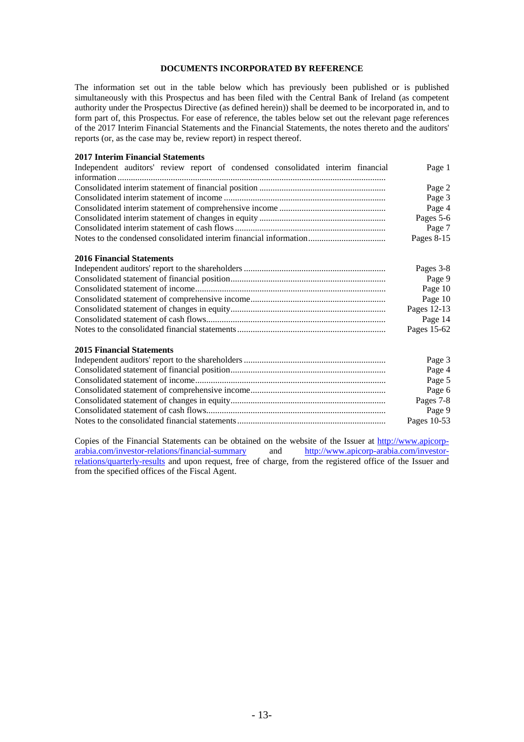## **DOCUMENTS INCORPORATED BY REFERENCE**

The information set out in the table below which has previously been published or is published simultaneously with this Prospectus and has been filed with the Central Bank of Ireland (as competent authority under the Prospectus Directive (as defined herein)) shall be deemed to be incorporated in, and to form part of, this Prospectus. For ease of reference, the tables below set out the relevant page references of the 2017 Interim Financial Statements and the Financial Statements, the notes thereto and the auditors' reports (or, as the case may be, review report) in respect thereof.

#### **2017 Interim Financial Statements**

| Independent auditors' review report of condensed consolidated interim financial | Page 1        |
|---------------------------------------------------------------------------------|---------------|
|                                                                                 |               |
|                                                                                 | Page 2        |
|                                                                                 | Page 3        |
|                                                                                 | Page 4        |
|                                                                                 | Pages 5-6     |
|                                                                                 | Page 7        |
|                                                                                 | Pages $8-15$  |
| <b>2016 Financial Statements</b>                                                |               |
|                                                                                 | Pages 3-8     |
|                                                                                 | Page 9        |
|                                                                                 | Page 10       |
|                                                                                 | Page 10       |
|                                                                                 | Pages 12-13   |
|                                                                                 | Page 14       |
|                                                                                 | Pages $15-62$ |

#### **2015 Financial Statements**

| Page 3      |
|-------------|
| Page 4      |
| Page 5      |
| Page 6      |
| Pages 7-8   |
| Page 9      |
| Pages 10-53 |

Copies of the Financial Statements can be obtained on the website of the Issuer at http://www.apicorp-<br>
arabia.com/investor-relations/financial-summary and http://www.apicorp-arabia.com/investorarabia.com/investor-relations/financial-summary relations/quarterly-results and upon request, free of charge, from the registered office of the Issuer and from the specified offices of the Fiscal Agent.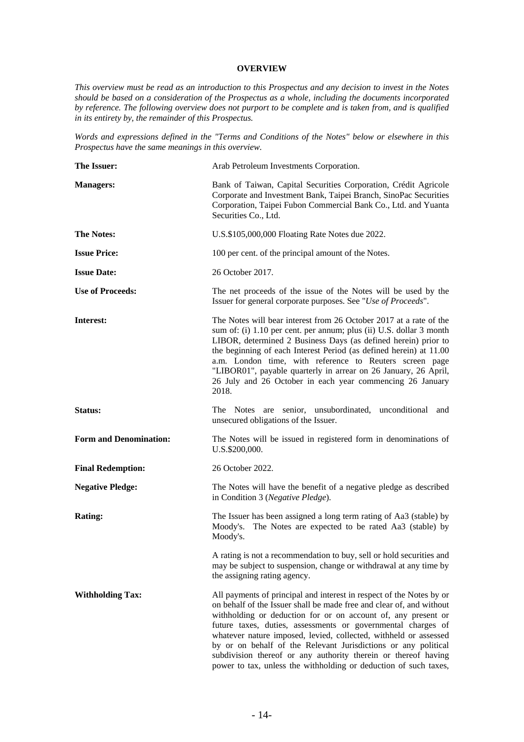### **OVERVIEW**

*This overview must be read as an introduction to this Prospectus and any decision to invest in the Notes should be based on a consideration of the Prospectus as a whole, including the documents incorporated by reference. The following overview does not purport to be complete and is taken from, and is qualified in its entirety by, the remainder of this Prospectus.* 

*Words and expressions defined in the "Terms and Conditions of the Notes" below or elsewhere in this Prospectus have the same meanings in this overview.* 

| The Issuer:                   | Arab Petroleum Investments Corporation.                                                                                                                                                                                                                                                                                                                                                                                                                                                                                                                   |
|-------------------------------|-----------------------------------------------------------------------------------------------------------------------------------------------------------------------------------------------------------------------------------------------------------------------------------------------------------------------------------------------------------------------------------------------------------------------------------------------------------------------------------------------------------------------------------------------------------|
| <b>Managers:</b>              | Bank of Taiwan, Capital Securities Corporation, Crédit Agricole<br>Corporate and Investment Bank, Taipei Branch, SinoPac Securities<br>Corporation, Taipei Fubon Commercial Bank Co., Ltd. and Yuanta<br>Securities Co., Ltd.                                                                                                                                                                                                                                                                                                                             |
| <b>The Notes:</b>             | U.S.\$105,000,000 Floating Rate Notes due 2022.                                                                                                                                                                                                                                                                                                                                                                                                                                                                                                           |
| <b>Issue Price:</b>           | 100 per cent. of the principal amount of the Notes.                                                                                                                                                                                                                                                                                                                                                                                                                                                                                                       |
| <b>Issue Date:</b>            | 26 October 2017.                                                                                                                                                                                                                                                                                                                                                                                                                                                                                                                                          |
| <b>Use of Proceeds:</b>       | The net proceeds of the issue of the Notes will be used by the<br>Issuer for general corporate purposes. See "Use of Proceeds".                                                                                                                                                                                                                                                                                                                                                                                                                           |
| Interest:                     | The Notes will bear interest from 26 October 2017 at a rate of the<br>sum of: (i) 1.10 per cent. per annum; plus (ii) U.S. dollar 3 month<br>LIBOR, determined 2 Business Days (as defined herein) prior to<br>the beginning of each Interest Period (as defined herein) at 11.00<br>a.m. London time, with reference to Reuters screen page<br>"LIBOR01", payable quarterly in arrear on 26 January, 26 April,<br>26 July and 26 October in each year commencing 26 January<br>2018.                                                                     |
| Status:                       | The Notes are senior, unsubordinated, unconditional<br>and<br>unsecured obligations of the Issuer.                                                                                                                                                                                                                                                                                                                                                                                                                                                        |
| <b>Form and Denomination:</b> | The Notes will be issued in registered form in denominations of<br>U.S.\$200,000.                                                                                                                                                                                                                                                                                                                                                                                                                                                                         |
| <b>Final Redemption:</b>      | 26 October 2022.                                                                                                                                                                                                                                                                                                                                                                                                                                                                                                                                          |
| <b>Negative Pledge:</b>       | The Notes will have the benefit of a negative pledge as described<br>in Condition 3 (Negative Pledge).                                                                                                                                                                                                                                                                                                                                                                                                                                                    |
| <b>Rating:</b>                | The Issuer has been assigned a long term rating of Aa3 (stable) by<br>The Notes are expected to be rated Aa3 (stable) by<br>Moody's.<br>Moody's.                                                                                                                                                                                                                                                                                                                                                                                                          |
|                               | A rating is not a recommendation to buy, sell or hold securities and<br>may be subject to suspension, change or withdrawal at any time by<br>the assigning rating agency.                                                                                                                                                                                                                                                                                                                                                                                 |
| <b>Withholding Tax:</b>       | All payments of principal and interest in respect of the Notes by or<br>on behalf of the Issuer shall be made free and clear of, and without<br>withholding or deduction for or on account of, any present or<br>future taxes, duties, assessments or governmental charges of<br>whatever nature imposed, levied, collected, withheld or assessed<br>by or on behalf of the Relevant Jurisdictions or any political<br>subdivision thereof or any authority therein or thereof having<br>power to tax, unless the withholding or deduction of such taxes, |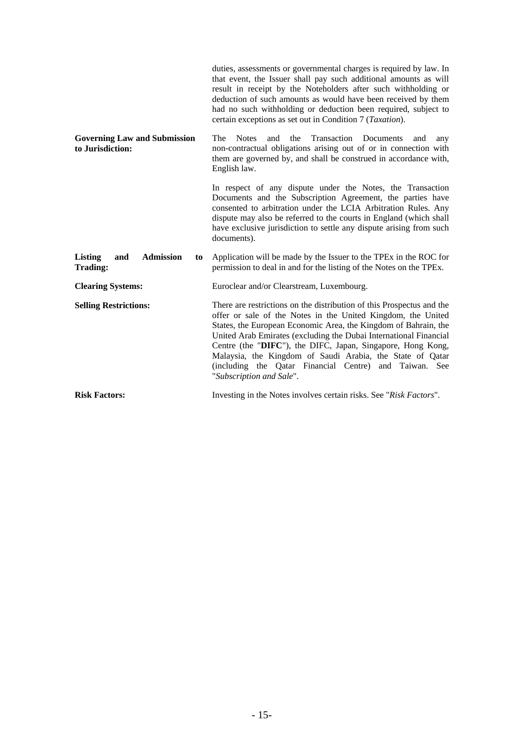|                                                             | duties, assessments or governmental charges is required by law. In<br>that event, the Issuer shall pay such additional amounts as will<br>result in receipt by the Noteholders after such withholding or<br>deduction of such amounts as would have been received by them<br>had no such withholding or deduction been required, subject to<br>certain exceptions as set out in Condition 7 (Taxation).                                                                                         |
|-------------------------------------------------------------|-------------------------------------------------------------------------------------------------------------------------------------------------------------------------------------------------------------------------------------------------------------------------------------------------------------------------------------------------------------------------------------------------------------------------------------------------------------------------------------------------|
| <b>Governing Law and Submission</b><br>to Jurisdiction:     | The<br>Transaction<br>Documents<br><b>Notes</b><br>and<br>the<br>and<br>any<br>non-contractual obligations arising out of or in connection with<br>them are governed by, and shall be construed in accordance with,<br>English law.                                                                                                                                                                                                                                                             |
|                                                             | In respect of any dispute under the Notes, the Transaction<br>Documents and the Subscription Agreement, the parties have<br>consented to arbitration under the LCIA Arbitration Rules. Any<br>dispute may also be referred to the courts in England (which shall<br>have exclusive jurisdiction to settle any dispute arising from such<br>documents).                                                                                                                                          |
| <b>Admission</b><br><b>Listing</b><br>and<br>to<br>Trading: | Application will be made by the Issuer to the TPEx in the ROC for<br>permission to deal in and for the listing of the Notes on the TPEx.                                                                                                                                                                                                                                                                                                                                                        |
| <b>Clearing Systems:</b>                                    | Euroclear and/or Clearstream, Luxembourg.                                                                                                                                                                                                                                                                                                                                                                                                                                                       |
| <b>Selling Restrictions:</b>                                | There are restrictions on the distribution of this Prospectus and the<br>offer or sale of the Notes in the United Kingdom, the United<br>States, the European Economic Area, the Kingdom of Bahrain, the<br>United Arab Emirates (excluding the Dubai International Financial<br>Centre (the "DIFC"), the DIFC, Japan, Singapore, Hong Kong,<br>Malaysia, the Kingdom of Saudi Arabia, the State of Qatar<br>(including the Qatar Financial Centre) and Taiwan. See<br>"Subscription and Sale". |
|                                                             |                                                                                                                                                                                                                                                                                                                                                                                                                                                                                                 |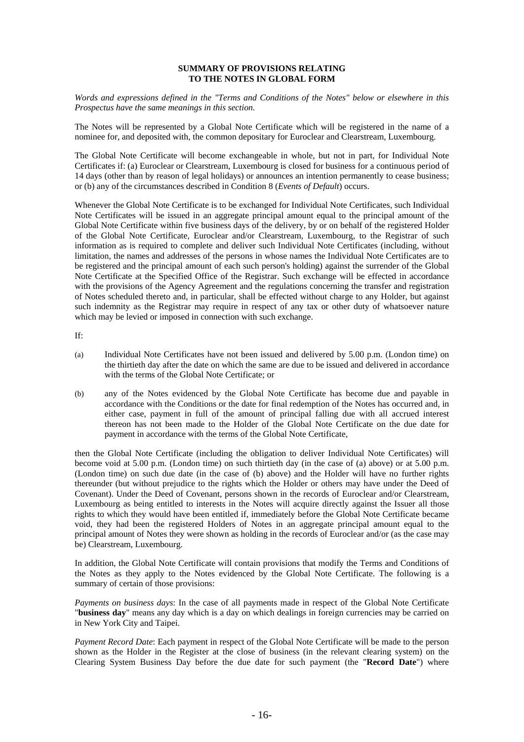#### **SUMMARY OF PROVISIONS RELATING TO THE NOTES IN GLOBAL FORM**

*Words and expressions defined in the "Terms and Conditions of the Notes" below or elsewhere in this Prospectus have the same meanings in this section.* 

The Notes will be represented by a Global Note Certificate which will be registered in the name of a nominee for, and deposited with, the common depositary for Euroclear and Clearstream, Luxembourg.

The Global Note Certificate will become exchangeable in whole, but not in part, for Individual Note Certificates if: (a) Euroclear or Clearstream, Luxembourg is closed for business for a continuous period of 14 days (other than by reason of legal holidays) or announces an intention permanently to cease business; or (b) any of the circumstances described in Condition 8 (*Events of Default*) occurs.

Whenever the Global Note Certificate is to be exchanged for Individual Note Certificates, such Individual Note Certificates will be issued in an aggregate principal amount equal to the principal amount of the Global Note Certificate within five business days of the delivery, by or on behalf of the registered Holder of the Global Note Certificate, Euroclear and/or Clearstream, Luxembourg, to the Registrar of such information as is required to complete and deliver such Individual Note Certificates (including, without limitation, the names and addresses of the persons in whose names the Individual Note Certificates are to be registered and the principal amount of each such person's holding) against the surrender of the Global Note Certificate at the Specified Office of the Registrar. Such exchange will be effected in accordance with the provisions of the Agency Agreement and the regulations concerning the transfer and registration of Notes scheduled thereto and, in particular, shall be effected without charge to any Holder, but against such indemnity as the Registrar may require in respect of any tax or other duty of whatsoever nature which may be levied or imposed in connection with such exchange.

If:

- (a) Individual Note Certificates have not been issued and delivered by 5.00 p.m. (London time) on the thirtieth day after the date on which the same are due to be issued and delivered in accordance with the terms of the Global Note Certificate; or
- (b) any of the Notes evidenced by the Global Note Certificate has become due and payable in accordance with the Conditions or the date for final redemption of the Notes has occurred and, in either case, payment in full of the amount of principal falling due with all accrued interest thereon has not been made to the Holder of the Global Note Certificate on the due date for payment in accordance with the terms of the Global Note Certificate,

then the Global Note Certificate (including the obligation to deliver Individual Note Certificates) will become void at 5.00 p.m. (London time) on such thirtieth day (in the case of (a) above) or at 5.00 p.m. (London time) on such due date (in the case of (b) above) and the Holder will have no further rights thereunder (but without prejudice to the rights which the Holder or others may have under the Deed of Covenant). Under the Deed of Covenant, persons shown in the records of Euroclear and/or Clearstream, Luxembourg as being entitled to interests in the Notes will acquire directly against the Issuer all those rights to which they would have been entitled if, immediately before the Global Note Certificate became void, they had been the registered Holders of Notes in an aggregate principal amount equal to the principal amount of Notes they were shown as holding in the records of Euroclear and/or (as the case may be) Clearstream, Luxembourg.

In addition, the Global Note Certificate will contain provisions that modify the Terms and Conditions of the Notes as they apply to the Notes evidenced by the Global Note Certificate. The following is a summary of certain of those provisions:

*Payments on business days*: In the case of all payments made in respect of the Global Note Certificate "**business day**" means any day which is a day on which dealings in foreign currencies may be carried on in New York City and Taipei.

*Payment Record Date*: Each payment in respect of the Global Note Certificate will be made to the person shown as the Holder in the Register at the close of business (in the relevant clearing system) on the Clearing System Business Day before the due date for such payment (the "**Record Date**") where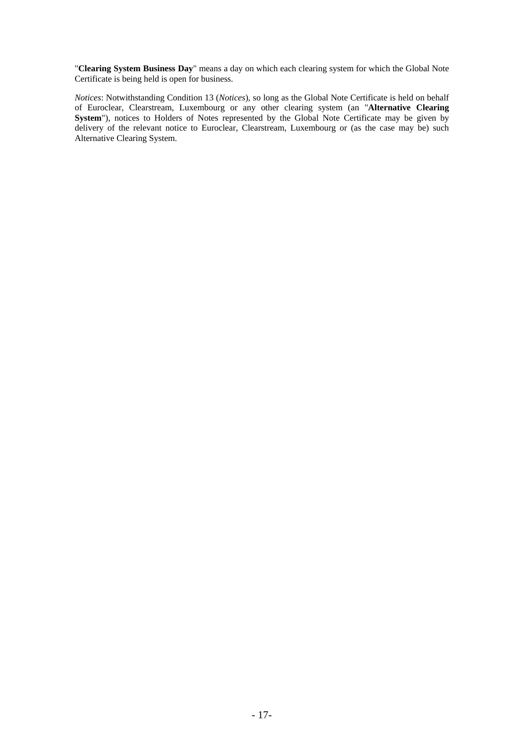"**Clearing System Business Day**" means a day on which each clearing system for which the Global Note Certificate is being held is open for business.

*Notices*: Notwithstanding Condition 13 (*Notices*), so long as the Global Note Certificate is held on behalf of Euroclear, Clearstream, Luxembourg or any other clearing system (an "**Alternative Clearing**  System"), notices to Holders of Notes represented by the Global Note Certificate may be given by delivery of the relevant notice to Euroclear, Clearstream, Luxembourg or (as the case may be) such Alternative Clearing System.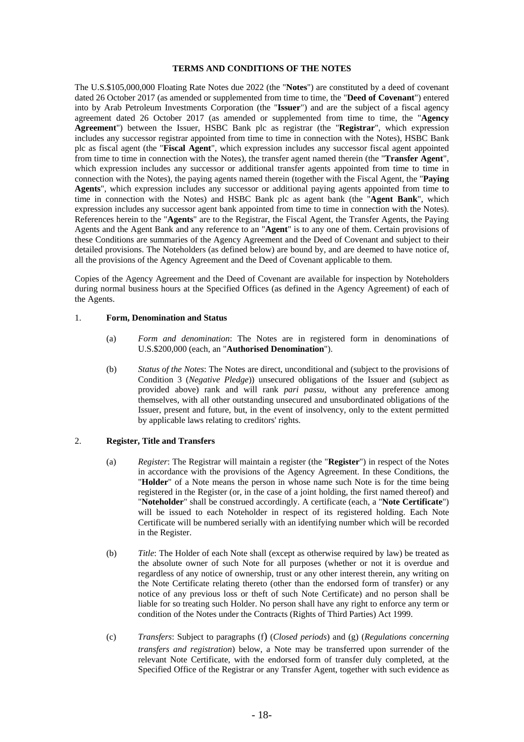#### **TERMS AND CONDITIONS OF THE NOTES**

The U.S.\$105,000,000 Floating Rate Notes due 2022 (the "**Notes**") are constituted by a deed of covenant dated 26 October 2017 (as amended or supplemented from time to time, the "**Deed of Covenant**") entered into by Arab Petroleum Investments Corporation (the "**Issuer**") and are the subject of a fiscal agency agreement dated 26 October 2017 (as amended or supplemented from time to time, the "**Agency Agreement**") between the Issuer, HSBC Bank plc as registrar (the "**Registrar**", which expression includes any successor registrar appointed from time to time in connection with the Notes), HSBC Bank plc as fiscal agent (the "**Fiscal Agent**", which expression includes any successor fiscal agent appointed from time to time in connection with the Notes), the transfer agent named therein (the "**Transfer Agent**", which expression includes any successor or additional transfer agents appointed from time to time in connection with the Notes), the paying agents named therein (together with the Fiscal Agent, the "**Paying Agents**", which expression includes any successor or additional paying agents appointed from time to time in connection with the Notes) and HSBC Bank plc as agent bank (the "**Agent Bank**", which expression includes any successor agent bank appointed from time to time in connection with the Notes). References herein to the "**Agents**" are to the Registrar, the Fiscal Agent, the Transfer Agents, the Paying Agents and the Agent Bank and any reference to an "**Agent**" is to any one of them. Certain provisions of these Conditions are summaries of the Agency Agreement and the Deed of Covenant and subject to their detailed provisions. The Noteholders (as defined below) are bound by, and are deemed to have notice of, all the provisions of the Agency Agreement and the Deed of Covenant applicable to them.

Copies of the Agency Agreement and the Deed of Covenant are available for inspection by Noteholders during normal business hours at the Specified Offices (as defined in the Agency Agreement) of each of the Agents.

#### 1. **Form, Denomination and Status**

- (a) *Form and denomination*: The Notes are in registered form in denominations of U.S.\$200,000 (each, an "**Authorised Denomination**").
- (b) *Status of the Notes*: The Notes are direct, unconditional and (subject to the provisions of Condition 3 (*Negative Pledge*)) unsecured obligations of the Issuer and (subject as provided above) rank and will rank *pari passu*, without any preference among themselves, with all other outstanding unsecured and unsubordinated obligations of the Issuer, present and future, but, in the event of insolvency, only to the extent permitted by applicable laws relating to creditors' rights.

#### 2. **Register, Title and Transfers**

- (a) *Register*: The Registrar will maintain a register (the "**Register**") in respect of the Notes in accordance with the provisions of the Agency Agreement. In these Conditions, the "**Holder**" of a Note means the person in whose name such Note is for the time being registered in the Register (or, in the case of a joint holding, the first named thereof) and "**Noteholder**" shall be construed accordingly. A certificate (each, a "**Note Certificate**") will be issued to each Noteholder in respect of its registered holding. Each Note Certificate will be numbered serially with an identifying number which will be recorded in the Register.
- (b) *Title*: The Holder of each Note shall (except as otherwise required by law) be treated as the absolute owner of such Note for all purposes (whether or not it is overdue and regardless of any notice of ownership, trust or any other interest therein, any writing on the Note Certificate relating thereto (other than the endorsed form of transfer) or any notice of any previous loss or theft of such Note Certificate) and no person shall be liable for so treating such Holder. No person shall have any right to enforce any term or condition of the Notes under the Contracts (Rights of Third Parties) Act 1999.
- (c) *Transfers*: Subject to paragraphs (f) (*Closed periods*) and (g) (*Regulations concerning transfers and registration*) below, a Note may be transferred upon surrender of the relevant Note Certificate, with the endorsed form of transfer duly completed, at the Specified Office of the Registrar or any Transfer Agent, together with such evidence as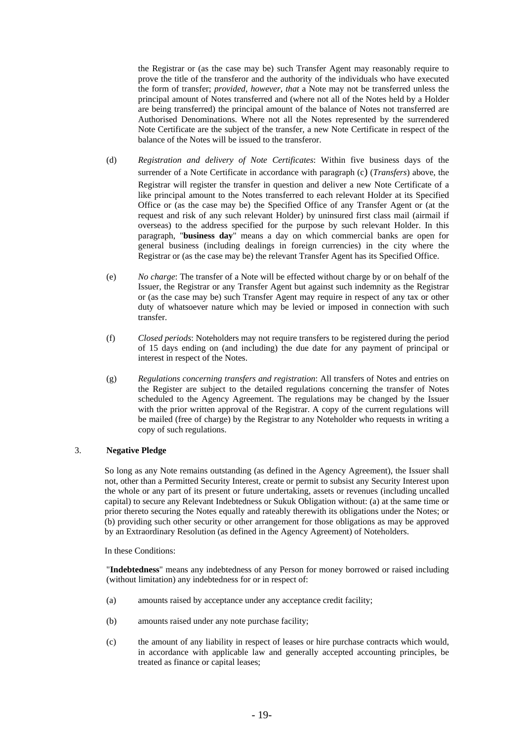the Registrar or (as the case may be) such Transfer Agent may reasonably require to prove the title of the transferor and the authority of the individuals who have executed the form of transfer; *provided, however, that* a Note may not be transferred unless the principal amount of Notes transferred and (where not all of the Notes held by a Holder are being transferred) the principal amount of the balance of Notes not transferred are Authorised Denominations. Where not all the Notes represented by the surrendered Note Certificate are the subject of the transfer, a new Note Certificate in respect of the balance of the Notes will be issued to the transferor.

- (d) *Registration and delivery of Note Certificates*: Within five business days of the surrender of a Note Certificate in accordance with paragraph (c) (*Transfers*) above, the Registrar will register the transfer in question and deliver a new Note Certificate of a like principal amount to the Notes transferred to each relevant Holder at its Specified Office or (as the case may be) the Specified Office of any Transfer Agent or (at the request and risk of any such relevant Holder) by uninsured first class mail (airmail if overseas) to the address specified for the purpose by such relevant Holder. In this paragraph, "**business day**" means a day on which commercial banks are open for general business (including dealings in foreign currencies) in the city where the Registrar or (as the case may be) the relevant Transfer Agent has its Specified Office.
- (e) *No charge*: The transfer of a Note will be effected without charge by or on behalf of the Issuer, the Registrar or any Transfer Agent but against such indemnity as the Registrar or (as the case may be) such Transfer Agent may require in respect of any tax or other duty of whatsoever nature which may be levied or imposed in connection with such transfer.
- (f) *Closed periods*: Noteholders may not require transfers to be registered during the period of 15 days ending on (and including) the due date for any payment of principal or interest in respect of the Notes.
- (g) *Regulations concerning transfers and registration*: All transfers of Notes and entries on the Register are subject to the detailed regulations concerning the transfer of Notes scheduled to the Agency Agreement. The regulations may be changed by the Issuer with the prior written approval of the Registrar. A copy of the current regulations will be mailed (free of charge) by the Registrar to any Noteholder who requests in writing a copy of such regulations.

### 3. **Negative Pledge**

So long as any Note remains outstanding (as defined in the Agency Agreement), the Issuer shall not, other than a Permitted Security Interest, create or permit to subsist any Security Interest upon the whole or any part of its present or future undertaking, assets or revenues (including uncalled capital) to secure any Relevant Indebtedness or Sukuk Obligation without: (a) at the same time or prior thereto securing the Notes equally and rateably therewith its obligations under the Notes; or (b) providing such other security or other arrangement for those obligations as may be approved by an Extraordinary Resolution (as defined in the Agency Agreement) of Noteholders.

In these Conditions:

"**Indebtedness**" means any indebtedness of any Person for money borrowed or raised including (without limitation) any indebtedness for or in respect of:

- (a) amounts raised by acceptance under any acceptance credit facility;
- (b) amounts raised under any note purchase facility;
- (c) the amount of any liability in respect of leases or hire purchase contracts which would, in accordance with applicable law and generally accepted accounting principles, be treated as finance or capital leases;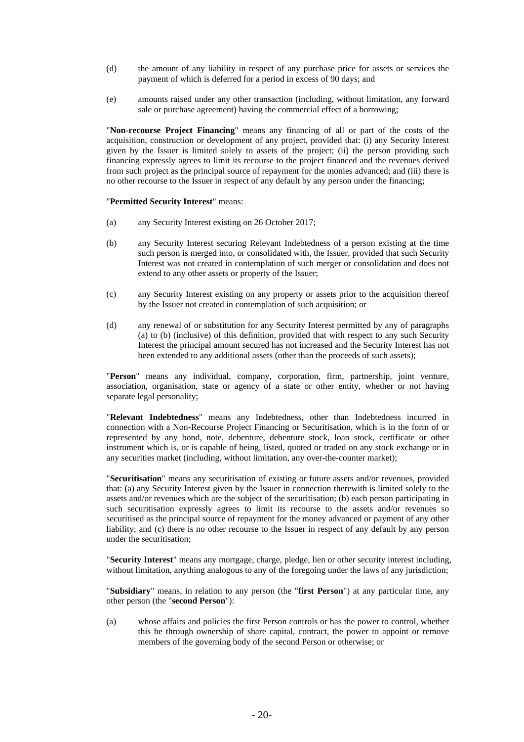- (d) the amount of any liability in respect of any purchase price for assets or services the payment of which is deferred for a period in excess of 90 days; and
- (e) amounts raised under any other transaction (including, without limitation, any forward sale or purchase agreement) having the commercial effect of a borrowing;

"**Non-recourse Project Financing**" means any financing of all or part of the costs of the acquisition, construction or development of any project, provided that: (i) any Security Interest given by the Issuer is limited solely to assets of the project; (ii) the person providing such financing expressly agrees to limit its recourse to the project financed and the revenues derived from such project as the principal source of repayment for the monies advanced; and (iii) there is no other recourse to the Issuer in respect of any default by any person under the financing;

#### "**Permitted Security Interest**" means:

- (a) any Security Interest existing on 26 October 2017;
- (b) any Security Interest securing Relevant Indebtedness of a person existing at the time such person is merged into, or consolidated with, the Issuer, provided that such Security Interest was not created in contemplation of such merger or consolidation and does not extend to any other assets or property of the Issuer;
- (c) any Security Interest existing on any property or assets prior to the acquisition thereof by the Issuer not created in contemplation of such acquisition; or
- (d) any renewal of or substitution for any Security Interest permitted by any of paragraphs (a) to (b) (inclusive) of this definition, provided that with respect to any such Security Interest the principal amount secured has not increased and the Security Interest has not been extended to any additional assets (other than the proceeds of such assets);

"**Person**" means any individual, company, corporation, firm, partnership, joint venture, association, organisation, state or agency of a state or other entity, whether or not having separate legal personality;

"**Relevant Indebtedness**" means any Indebtedness, other than Indebtedness incurred in connection with a Non-Recourse Project Financing or Securitisation, which is in the form of or represented by any bond, note, debenture, debenture stock, loan stock, certificate or other instrument which is, or is capable of being, listed, quoted or traded on any stock exchange or in any securities market (including, without limitation, any over-the-counter market);

"**Securitisation**" means any securitisation of existing or future assets and/or revenues, provided that: (a) any Security Interest given by the Issuer in connection therewith is limited solely to the assets and/or revenues which are the subject of the securitisation; (b) each person participating in such securitisation expressly agrees to limit its recourse to the assets and/or revenues so securitised as the principal source of repayment for the money advanced or payment of any other liability; and (c) there is no other recourse to the Issuer in respect of any default by any person under the securitisation;

"**Security Interest**" means any mortgage, charge, pledge, lien or other security interest including, without limitation, anything analogous to any of the foregoing under the laws of any jurisdiction;

"**Subsidiary**" means, in relation to any person (the "**first Person**") at any particular time, any other person (the "**second Person**"):

(a) whose affairs and policies the first Person controls or has the power to control, whether this be through ownership of share capital, contract, the power to appoint or remove members of the governing body of the second Person or otherwise; or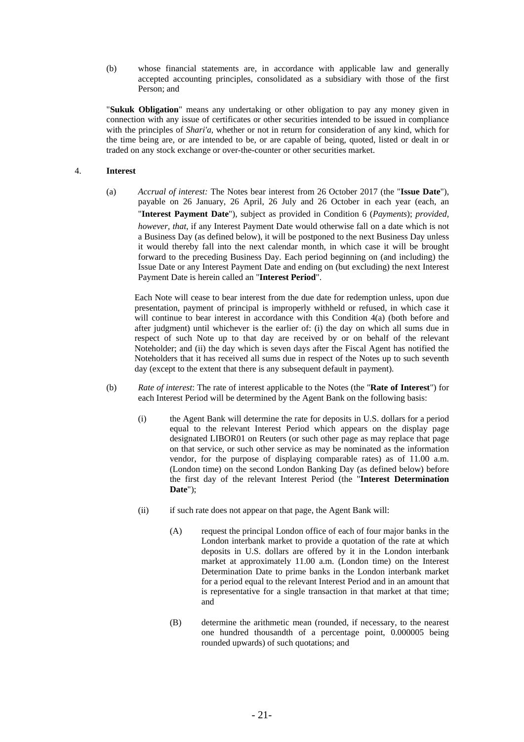(b) whose financial statements are, in accordance with applicable law and generally accepted accounting principles, consolidated as a subsidiary with those of the first Person; and

"**Sukuk Obligation**" means any undertaking or other obligation to pay any money given in connection with any issue of certificates or other securities intended to be issued in compliance with the principles of *Shari'a*, whether or not in return for consideration of any kind, which for the time being are, or are intended to be, or are capable of being, quoted, listed or dealt in or traded on any stock exchange or over-the-counter or other securities market.

### 4. **Interest**

(a) *Accrual of interest:* The Notes bear interest from 26 October 2017 (the "**Issue Date**"), payable on 26 January, 26 April, 26 July and 26 October in each year (each, an "**Interest Payment Date**"), subject as provided in Condition 6 (*Payments*); *provided, however, that*, if any Interest Payment Date would otherwise fall on a date which is not a Business Day (as defined below), it will be postponed to the next Business Day unless it would thereby fall into the next calendar month, in which case it will be brought forward to the preceding Business Day. Each period beginning on (and including) the Issue Date or any Interest Payment Date and ending on (but excluding) the next Interest Payment Date is herein called an "**Interest Period**".

Each Note will cease to bear interest from the due date for redemption unless, upon due presentation, payment of principal is improperly withheld or refused, in which case it will continue to bear interest in accordance with this Condition 4(a) (both before and after judgment) until whichever is the earlier of: (i) the day on which all sums due in respect of such Note up to that day are received by or on behalf of the relevant Noteholder; and (ii) the day which is seven days after the Fiscal Agent has notified the Noteholders that it has received all sums due in respect of the Notes up to such seventh day (except to the extent that there is any subsequent default in payment).

- (b) *Rate of interest*: The rate of interest applicable to the Notes (the "**Rate of Interest**") for each Interest Period will be determined by the Agent Bank on the following basis:
	- (i) the Agent Bank will determine the rate for deposits in U.S. dollars for a period equal to the relevant Interest Period which appears on the display page designated LIBOR01 on Reuters (or such other page as may replace that page on that service, or such other service as may be nominated as the information vendor, for the purpose of displaying comparable rates) as of 11.00 a.m. (London time) on the second London Banking Day (as defined below) before the first day of the relevant Interest Period (the "**Interest Determination Date**");
	- (ii) if such rate does not appear on that page, the Agent Bank will:
		- (A) request the principal London office of each of four major banks in the London interbank market to provide a quotation of the rate at which deposits in U.S. dollars are offered by it in the London interbank market at approximately 11.00 a.m. (London time) on the Interest Determination Date to prime banks in the London interbank market for a period equal to the relevant Interest Period and in an amount that is representative for a single transaction in that market at that time; and
		- (B) determine the arithmetic mean (rounded, if necessary, to the nearest one hundred thousandth of a percentage point, 0.000005 being rounded upwards) of such quotations; and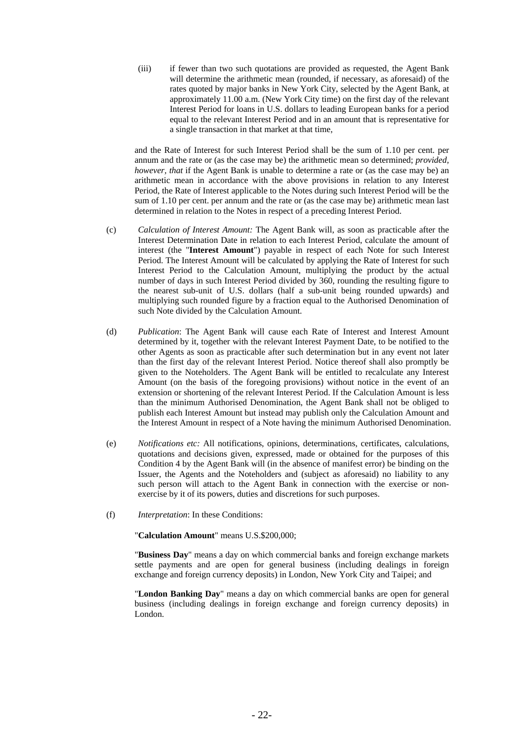(iii) if fewer than two such quotations are provided as requested, the Agent Bank will determine the arithmetic mean (rounded, if necessary, as aforesaid) of the rates quoted by major banks in New York City, selected by the Agent Bank, at approximately 11.00 a.m. (New York City time) on the first day of the relevant Interest Period for loans in U.S. dollars to leading European banks for a period equal to the relevant Interest Period and in an amount that is representative for a single transaction in that market at that time,

and the Rate of Interest for such Interest Period shall be the sum of 1.10 per cent. per annum and the rate or (as the case may be) the arithmetic mean so determined; *provided, however, that* if the Agent Bank is unable to determine a rate or (as the case may be) an arithmetic mean in accordance with the above provisions in relation to any Interest Period, the Rate of Interest applicable to the Notes during such Interest Period will be the sum of 1.10 per cent. per annum and the rate or (as the case may be) arithmetic mean last determined in relation to the Notes in respect of a preceding Interest Period.

- (c) *Calculation of Interest Amount:* The Agent Bank will, as soon as practicable after the Interest Determination Date in relation to each Interest Period, calculate the amount of interest (the "**Interest Amount**") payable in respect of each Note for such Interest Period. The Interest Amount will be calculated by applying the Rate of Interest for such Interest Period to the Calculation Amount, multiplying the product by the actual number of days in such Interest Period divided by 360, rounding the resulting figure to the nearest sub-unit of U.S. dollars (half a sub-unit being rounded upwards) and multiplying such rounded figure by a fraction equal to the Authorised Denomination of such Note divided by the Calculation Amount.
- (d) *Publication*: The Agent Bank will cause each Rate of Interest and Interest Amount determined by it, together with the relevant Interest Payment Date, to be notified to the other Agents as soon as practicable after such determination but in any event not later than the first day of the relevant Interest Period. Notice thereof shall also promptly be given to the Noteholders. The Agent Bank will be entitled to recalculate any Interest Amount (on the basis of the foregoing provisions) without notice in the event of an extension or shortening of the relevant Interest Period. If the Calculation Amount is less than the minimum Authorised Denomination, the Agent Bank shall not be obliged to publish each Interest Amount but instead may publish only the Calculation Amount and the Interest Amount in respect of a Note having the minimum Authorised Denomination.
- (e) *Notifications etc:* All notifications, opinions, determinations, certificates, calculations, quotations and decisions given, expressed, made or obtained for the purposes of this Condition 4 by the Agent Bank will (in the absence of manifest error) be binding on the Issuer, the Agents and the Noteholders and (subject as aforesaid) no liability to any such person will attach to the Agent Bank in connection with the exercise or nonexercise by it of its powers, duties and discretions for such purposes.
- (f) *Interpretation*: In these Conditions:

"**Calculation Amount**" means U.S.\$200,000;

"**Business Day**" means a day on which commercial banks and foreign exchange markets settle payments and are open for general business (including dealings in foreign exchange and foreign currency deposits) in London, New York City and Taipei; and

"**London Banking Day**" means a day on which commercial banks are open for general business (including dealings in foreign exchange and foreign currency deposits) in London.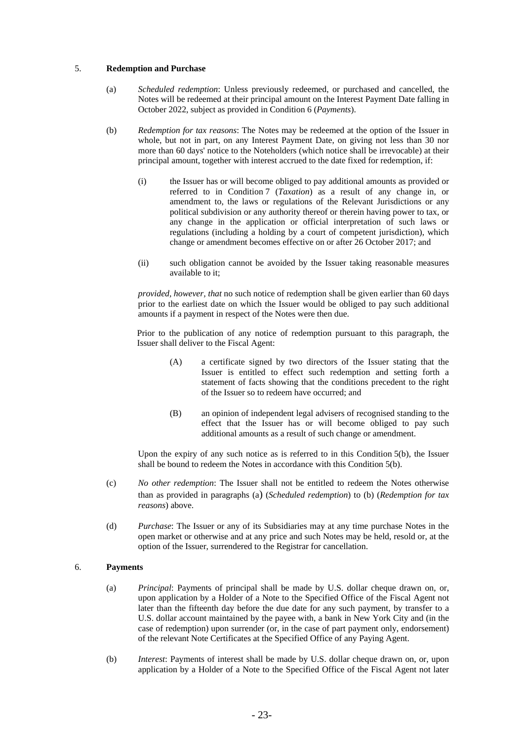#### 5. **Redemption and Purchase**

- (a) *Scheduled redemption*: Unless previously redeemed, or purchased and cancelled, the Notes will be redeemed at their principal amount on the Interest Payment Date falling in October 2022, subject as provided in Condition 6 (*Payments*).
- (b) *Redemption for tax reasons*: The Notes may be redeemed at the option of the Issuer in whole, but not in part, on any Interest Payment Date, on giving not less than 30 nor more than 60 days' notice to the Noteholders (which notice shall be irrevocable) at their principal amount, together with interest accrued to the date fixed for redemption, if:
	- (i) the Issuer has or will become obliged to pay additional amounts as provided or referred to in Condition 7 (*Taxation*) as a result of any change in, or amendment to, the laws or regulations of the Relevant Jurisdictions or any political subdivision or any authority thereof or therein having power to tax, or any change in the application or official interpretation of such laws or regulations (including a holding by a court of competent jurisdiction), which change or amendment becomes effective on or after 26 October 2017; and
	- (ii) such obligation cannot be avoided by the Issuer taking reasonable measures available to it;

*provided, however, that* no such notice of redemption shall be given earlier than 60 days prior to the earliest date on which the Issuer would be obliged to pay such additional amounts if a payment in respect of the Notes were then due.

Prior to the publication of any notice of redemption pursuant to this paragraph, the Issuer shall deliver to the Fiscal Agent:

- (A) a certificate signed by two directors of the Issuer stating that the Issuer is entitled to effect such redemption and setting forth a statement of facts showing that the conditions precedent to the right of the Issuer so to redeem have occurred; and
- (B) an opinion of independent legal advisers of recognised standing to the effect that the Issuer has or will become obliged to pay such additional amounts as a result of such change or amendment.

Upon the expiry of any such notice as is referred to in this Condition  $5(b)$ , the Issuer shall be bound to redeem the Notes in accordance with this Condition 5(b).

- (c) *No other redemption*: The Issuer shall not be entitled to redeem the Notes otherwise than as provided in paragraphs (a) (*Scheduled redemption*) to (b) (*Redemption for tax reasons*) above.
- (d) *Purchase*: The Issuer or any of its Subsidiaries may at any time purchase Notes in the open market or otherwise and at any price and such Notes may be held, resold or, at the option of the Issuer, surrendered to the Registrar for cancellation.

### 6. **Payments**

- (a) *Principal*: Payments of principal shall be made by U.S. dollar cheque drawn on, or, upon application by a Holder of a Note to the Specified Office of the Fiscal Agent not later than the fifteenth day before the due date for any such payment, by transfer to a U.S. dollar account maintained by the payee with, a bank in New York City and (in the case of redemption) upon surrender (or, in the case of part payment only, endorsement) of the relevant Note Certificates at the Specified Office of any Paying Agent.
- (b) *Interest*: Payments of interest shall be made by U.S. dollar cheque drawn on, or, upon application by a Holder of a Note to the Specified Office of the Fiscal Agent not later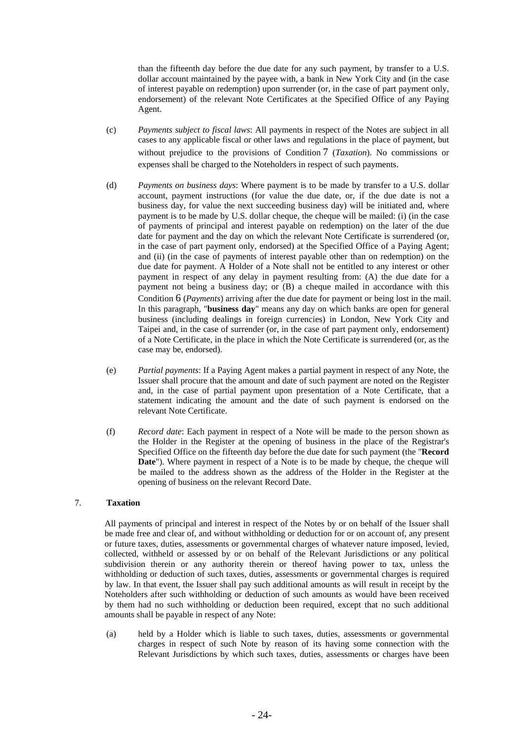than the fifteenth day before the due date for any such payment, by transfer to a U.S. dollar account maintained by the payee with, a bank in New York City and (in the case of interest payable on redemption) upon surrender (or, in the case of part payment only, endorsement) of the relevant Note Certificates at the Specified Office of any Paying Agent.

- (c) *Payments subject to fiscal laws*: All payments in respect of the Notes are subject in all cases to any applicable fiscal or other laws and regulations in the place of payment, but without prejudice to the provisions of Condition 7 (*Taxation*). No commissions or expenses shall be charged to the Noteholders in respect of such payments.
- (d) *Payments on business days*: Where payment is to be made by transfer to a U.S. dollar account, payment instructions (for value the due date, or, if the due date is not a business day, for value the next succeeding business day) will be initiated and, where payment is to be made by U.S. dollar cheque, the cheque will be mailed: (i) (in the case of payments of principal and interest payable on redemption) on the later of the due date for payment and the day on which the relevant Note Certificate is surrendered (or, in the case of part payment only, endorsed) at the Specified Office of a Paying Agent; and (ii) (in the case of payments of interest payable other than on redemption) on the due date for payment. A Holder of a Note shall not be entitled to any interest or other payment in respect of any delay in payment resulting from: (A) the due date for a payment not being a business day; or (B) a cheque mailed in accordance with this Condition 6 (*Payments*) arriving after the due date for payment or being lost in the mail. In this paragraph, "**business day**" means any day on which banks are open for general business (including dealings in foreign currencies) in London, New York City and Taipei and, in the case of surrender (or, in the case of part payment only, endorsement) of a Note Certificate, in the place in which the Note Certificate is surrendered (or, as the case may be, endorsed).
- (e) *Partial payments*: If a Paying Agent makes a partial payment in respect of any Note, the Issuer shall procure that the amount and date of such payment are noted on the Register and, in the case of partial payment upon presentation of a Note Certificate, that a statement indicating the amount and the date of such payment is endorsed on the relevant Note Certificate.
- (f) *Record date*: Each payment in respect of a Note will be made to the person shown as the Holder in the Register at the opening of business in the place of the Registrar's Specified Office on the fifteenth day before the due date for such payment (the "**Record Date**"). Where payment in respect of a Note is to be made by cheque, the cheque will be mailed to the address shown as the address of the Holder in the Register at the opening of business on the relevant Record Date.

### 7. **Taxation**

All payments of principal and interest in respect of the Notes by or on behalf of the Issuer shall be made free and clear of, and without withholding or deduction for or on account of, any present or future taxes, duties, assessments or governmental charges of whatever nature imposed, levied, collected, withheld or assessed by or on behalf of the Relevant Jurisdictions or any political subdivision therein or any authority therein or thereof having power to tax, unless the withholding or deduction of such taxes, duties, assessments or governmental charges is required by law. In that event, the Issuer shall pay such additional amounts as will result in receipt by the Noteholders after such withholding or deduction of such amounts as would have been received by them had no such withholding or deduction been required, except that no such additional amounts shall be payable in respect of any Note:

(a) held by a Holder which is liable to such taxes, duties, assessments or governmental charges in respect of such Note by reason of its having some connection with the Relevant Jurisdictions by which such taxes, duties, assessments or charges have been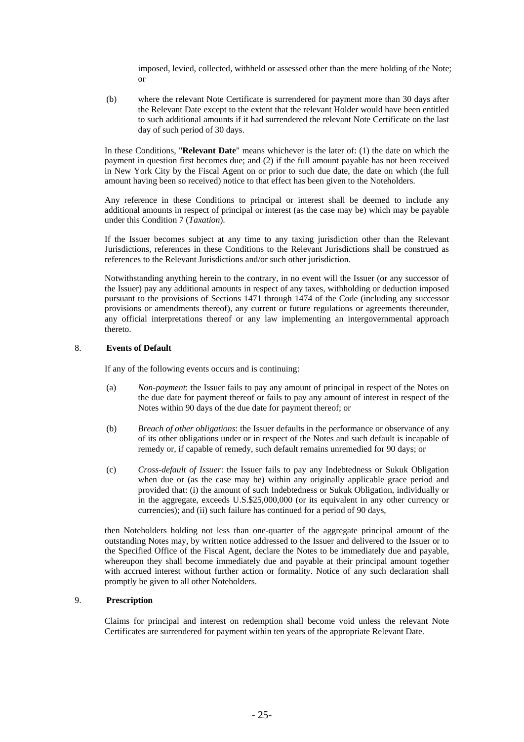imposed, levied, collected, withheld or assessed other than the mere holding of the Note; or

(b) where the relevant Note Certificate is surrendered for payment more than 30 days after the Relevant Date except to the extent that the relevant Holder would have been entitled to such additional amounts if it had surrendered the relevant Note Certificate on the last day of such period of 30 days.

In these Conditions, "**Relevant Date**" means whichever is the later of: (1) the date on which the payment in question first becomes due; and (2) if the full amount payable has not been received in New York City by the Fiscal Agent on or prior to such due date, the date on which (the full amount having been so received) notice to that effect has been given to the Noteholders.

Any reference in these Conditions to principal or interest shall be deemed to include any additional amounts in respect of principal or interest (as the case may be) which may be payable under this Condition 7 (*Taxation*).

If the Issuer becomes subject at any time to any taxing jurisdiction other than the Relevant Jurisdictions, references in these Conditions to the Relevant Jurisdictions shall be construed as references to the Relevant Jurisdictions and/or such other jurisdiction.

Notwithstanding anything herein to the contrary, in no event will the Issuer (or any successor of the Issuer) pay any additional amounts in respect of any taxes, withholding or deduction imposed pursuant to the provisions of Sections 1471 through 1474 of the Code (including any successor provisions or amendments thereof), any current or future regulations or agreements thereunder, any official interpretations thereof or any law implementing an intergovernmental approach thereto.

### 8. **Events of Default**

If any of the following events occurs and is continuing:

- (a) *Non-payment*: the Issuer fails to pay any amount of principal in respect of the Notes on the due date for payment thereof or fails to pay any amount of interest in respect of the Notes within 90 days of the due date for payment thereof; or
- (b) *Breach of other obligations*: the Issuer defaults in the performance or observance of any of its other obligations under or in respect of the Notes and such default is incapable of remedy or, if capable of remedy, such default remains unremedied for 90 days; or
- (c) *Cross-default of Issuer*: the Issuer fails to pay any Indebtedness or Sukuk Obligation when due or (as the case may be) within any originally applicable grace period and provided that: (i) the amount of such Indebtedness or Sukuk Obligation, individually or in the aggregate, exceeds U.S.\$25,000,000 (or its equivalent in any other currency or currencies); and (ii) such failure has continued for a period of 90 days,

then Noteholders holding not less than one-quarter of the aggregate principal amount of the outstanding Notes may, by written notice addressed to the Issuer and delivered to the Issuer or to the Specified Office of the Fiscal Agent, declare the Notes to be immediately due and payable, whereupon they shall become immediately due and payable at their principal amount together with accrued interest without further action or formality. Notice of any such declaration shall promptly be given to all other Noteholders.

### 9. **Prescription**

Claims for principal and interest on redemption shall become void unless the relevant Note Certificates are surrendered for payment within ten years of the appropriate Relevant Date.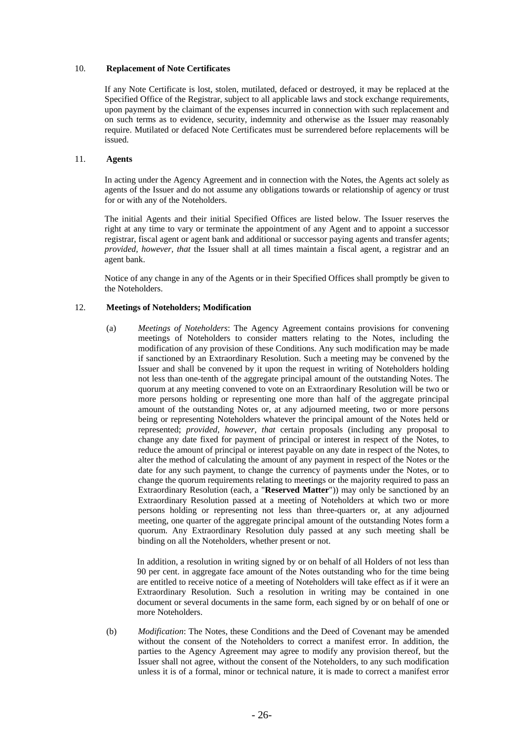#### 10. **Replacement of Note Certificates**

If any Note Certificate is lost, stolen, mutilated, defaced or destroyed, it may be replaced at the Specified Office of the Registrar, subject to all applicable laws and stock exchange requirements, upon payment by the claimant of the expenses incurred in connection with such replacement and on such terms as to evidence, security, indemnity and otherwise as the Issuer may reasonably require. Mutilated or defaced Note Certificates must be surrendered before replacements will be issued.

### 11. **Agents**

In acting under the Agency Agreement and in connection with the Notes, the Agents act solely as agents of the Issuer and do not assume any obligations towards or relationship of agency or trust for or with any of the Noteholders.

The initial Agents and their initial Specified Offices are listed below. The Issuer reserves the right at any time to vary or terminate the appointment of any Agent and to appoint a successor registrar, fiscal agent or agent bank and additional or successor paying agents and transfer agents; *provided, however, that* the Issuer shall at all times maintain a fiscal agent, a registrar and an agent bank.

Notice of any change in any of the Agents or in their Specified Offices shall promptly be given to the Noteholders.

### 12. **Meetings of Noteholders; Modification**

(a) *Meetings of Noteholders*: The Agency Agreement contains provisions for convening meetings of Noteholders to consider matters relating to the Notes, including the modification of any provision of these Conditions. Any such modification may be made if sanctioned by an Extraordinary Resolution. Such a meeting may be convened by the Issuer and shall be convened by it upon the request in writing of Noteholders holding not less than one-tenth of the aggregate principal amount of the outstanding Notes. The quorum at any meeting convened to vote on an Extraordinary Resolution will be two or more persons holding or representing one more than half of the aggregate principal amount of the outstanding Notes or, at any adjourned meeting, two or more persons being or representing Noteholders whatever the principal amount of the Notes held or represented; *provided, however, that* certain proposals (including any proposal to change any date fixed for payment of principal or interest in respect of the Notes, to reduce the amount of principal or interest payable on any date in respect of the Notes, to alter the method of calculating the amount of any payment in respect of the Notes or the date for any such payment, to change the currency of payments under the Notes, or to change the quorum requirements relating to meetings or the majority required to pass an Extraordinary Resolution (each, a "**Reserved Matter**")) may only be sanctioned by an Extraordinary Resolution passed at a meeting of Noteholders at which two or more persons holding or representing not less than three-quarters or, at any adjourned meeting, one quarter of the aggregate principal amount of the outstanding Notes form a quorum. Any Extraordinary Resolution duly passed at any such meeting shall be binding on all the Noteholders, whether present or not.

In addition, a resolution in writing signed by or on behalf of all Holders of not less than 90 per cent. in aggregate face amount of the Notes outstanding who for the time being are entitled to receive notice of a meeting of Noteholders will take effect as if it were an Extraordinary Resolution. Such a resolution in writing may be contained in one document or several documents in the same form, each signed by or on behalf of one or more Noteholders.

(b) *Modification*: The Notes, these Conditions and the Deed of Covenant may be amended without the consent of the Noteholders to correct a manifest error. In addition, the parties to the Agency Agreement may agree to modify any provision thereof, but the Issuer shall not agree, without the consent of the Noteholders, to any such modification unless it is of a formal, minor or technical nature, it is made to correct a manifest error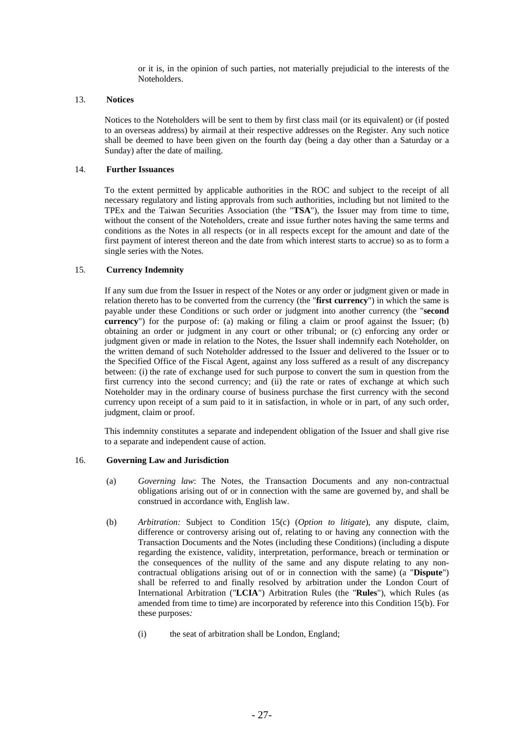or it is, in the opinion of such parties, not materially prejudicial to the interests of the Noteholders.

#### 13. **Notices**

Notices to the Noteholders will be sent to them by first class mail (or its equivalent) or (if posted to an overseas address) by airmail at their respective addresses on the Register. Any such notice shall be deemed to have been given on the fourth day (being a day other than a Saturday or a Sunday) after the date of mailing.

# 14. **Further Issuances**

To the extent permitted by applicable authorities in the ROC and subject to the receipt of all necessary regulatory and listing approvals from such authorities, including but not limited to the TPEx and the Taiwan Securities Association (the "**TSA**"), the Issuer may from time to time, without the consent of the Noteholders, create and issue further notes having the same terms and conditions as the Notes in all respects (or in all respects except for the amount and date of the first payment of interest thereon and the date from which interest starts to accrue) so as to form a single series with the Notes.

### 15. **Currency Indemnity**

If any sum due from the Issuer in respect of the Notes or any order or judgment given or made in relation thereto has to be converted from the currency (the "**first currency**") in which the same is payable under these Conditions or such order or judgment into another currency (the "**second currency**") for the purpose of: (a) making or filing a claim or proof against the Issuer; (b) obtaining an order or judgment in any court or other tribunal; or (c) enforcing any order or judgment given or made in relation to the Notes, the Issuer shall indemnify each Noteholder, on the written demand of such Noteholder addressed to the Issuer and delivered to the Issuer or to the Specified Office of the Fiscal Agent, against any loss suffered as a result of any discrepancy between: (i) the rate of exchange used for such purpose to convert the sum in question from the first currency into the second currency; and (ii) the rate or rates of exchange at which such Noteholder may in the ordinary course of business purchase the first currency with the second currency upon receipt of a sum paid to it in satisfaction, in whole or in part, of any such order, judgment, claim or proof.

This indemnity constitutes a separate and independent obligation of the Issuer and shall give rise to a separate and independent cause of action.

#### 16. **Governing Law and Jurisdiction**

- (a) *Governing law*: The Notes, the Transaction Documents and any non-contractual obligations arising out of or in connection with the same are governed by, and shall be construed in accordance with, English law.
- (b) *Arbitration:* Subject to Condition 15(c) (*Option to litigate*), any dispute, claim, difference or controversy arising out of, relating to or having any connection with the Transaction Documents and the Notes (including these Conditions) (including a dispute regarding the existence, validity, interpretation, performance, breach or termination or the consequences of the nullity of the same and any dispute relating to any noncontractual obligations arising out of or in connection with the same) (a "**Dispute**") shall be referred to and finally resolved by arbitration under the London Court of International Arbitration ("**LCIA**") Arbitration Rules (the "**Rules**"), which Rules (as amended from time to time) are incorporated by reference into this Condition 15(b). For these purposes*:* 
	- (i) the seat of arbitration shall be London, England;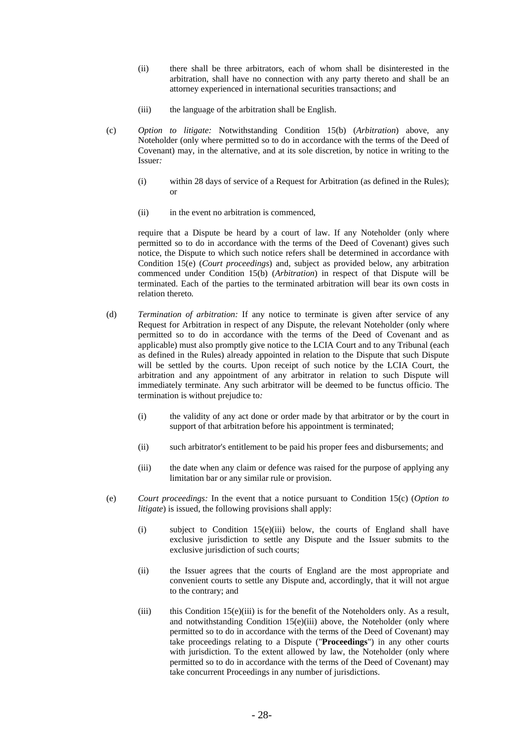- (ii) there shall be three arbitrators, each of whom shall be disinterested in the arbitration, shall have no connection with any party thereto and shall be an attorney experienced in international securities transactions; and
- (iii) the language of the arbitration shall be English.
- (c) *Option to litigate:* Notwithstanding Condition 15(b) (*Arbitration*) above, any Noteholder (only where permitted so to do in accordance with the terms of the Deed of Covenant) may, in the alternative, and at its sole discretion, by notice in writing to the Issuer*:* 
	- (i) within 28 days of service of a Request for Arbitration (as defined in the Rules); or
	- (ii) in the event no arbitration is commenced,

require that a Dispute be heard by a court of law. If any Noteholder (only where permitted so to do in accordance with the terms of the Deed of Covenant) gives such notice, the Dispute to which such notice refers shall be determined in accordance with Condition 15(e) (*Court proceedings*) and, subject as provided below, any arbitration commenced under Condition 15(b) (*Arbitration*) in respect of that Dispute will be terminated. Each of the parties to the terminated arbitration will bear its own costs in relation thereto*.* 

- (d) *Termination of arbitration:* If any notice to terminate is given after service of any Request for Arbitration in respect of any Dispute, the relevant Noteholder (only where permitted so to do in accordance with the terms of the Deed of Covenant and as applicable) must also promptly give notice to the LCIA Court and to any Tribunal (each as defined in the Rules) already appointed in relation to the Dispute that such Dispute will be settled by the courts. Upon receipt of such notice by the LCIA Court, the arbitration and any appointment of any arbitrator in relation to such Dispute will immediately terminate. Any such arbitrator will be deemed to be functus officio. The termination is without prejudice to*:* 
	- (i) the validity of any act done or order made by that arbitrator or by the court in support of that arbitration before his appointment is terminated;
	- (ii) such arbitrator's entitlement to be paid his proper fees and disbursements; and
	- (iii) the date when any claim or defence was raised for the purpose of applying any limitation bar or any similar rule or provision.
- (e) *Court proceedings:* In the event that a notice pursuant to Condition 15(c) (*Option to litigate*) is issued, the following provisions shall apply:
	- (i) subject to Condition 15(e)(iii) below, the courts of England shall have exclusive jurisdiction to settle any Dispute and the Issuer submits to the exclusive jurisdiction of such courts;
	- (ii) the Issuer agrees that the courts of England are the most appropriate and convenient courts to settle any Dispute and, accordingly, that it will not argue to the contrary; and
	- (iii) this Condition 15(e)(iii) is for the benefit of the Noteholders only. As a result, and notwithstanding Condition 15(e)(iii) above, the Noteholder (only where permitted so to do in accordance with the terms of the Deed of Covenant) may take proceedings relating to a Dispute ("**Proceedings**") in any other courts with jurisdiction. To the extent allowed by law, the Noteholder (only where permitted so to do in accordance with the terms of the Deed of Covenant) may take concurrent Proceedings in any number of jurisdictions.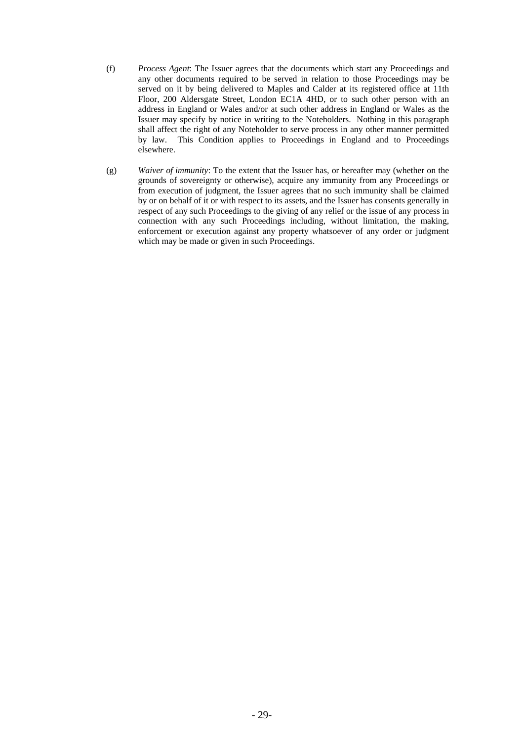- (f) *Process Agent*: The Issuer agrees that the documents which start any Proceedings and any other documents required to be served in relation to those Proceedings may be served on it by being delivered to Maples and Calder at its registered office at 11th Floor, 200 Aldersgate Street, London EC1A 4HD, or to such other person with an address in England or Wales and/or at such other address in England or Wales as the Issuer may specify by notice in writing to the Noteholders. Nothing in this paragraph shall affect the right of any Noteholder to serve process in any other manner permitted by law. This Condition applies to Proceedings in England and to Proceedings elsewhere.
- (g) *Waiver of immunity*: To the extent that the Issuer has, or hereafter may (whether on the grounds of sovereignty or otherwise), acquire any immunity from any Proceedings or from execution of judgment, the Issuer agrees that no such immunity shall be claimed by or on behalf of it or with respect to its assets, and the Issuer has consents generally in respect of any such Proceedings to the giving of any relief or the issue of any process in connection with any such Proceedings including, without limitation, the making, enforcement or execution against any property whatsoever of any order or judgment which may be made or given in such Proceedings.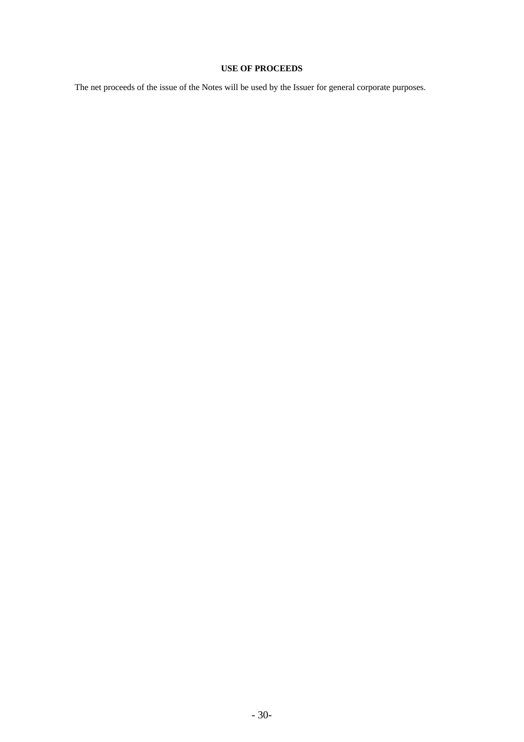# **USE OF PROCEEDS**

The net proceeds of the issue of the Notes will be used by the Issuer for general corporate purposes.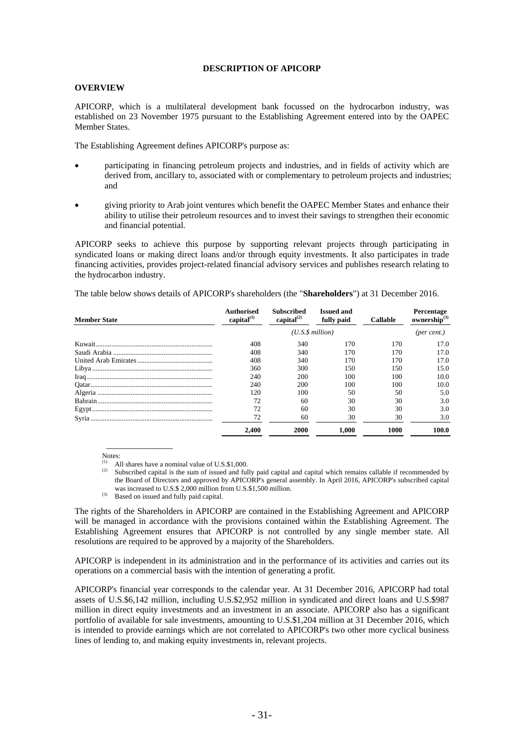#### **DESCRIPTION OF APICORP**

### **OVERVIEW**

APICORP, which is a multilateral development bank focussed on the hydrocarbon industry, was established on 23 November 1975 pursuant to the Establishing Agreement entered into by the OAPEC Member States.

The Establishing Agreement defines APICORP's purpose as:

- participating in financing petroleum projects and industries, and in fields of activity which are derived from, ancillary to, associated with or complementary to petroleum projects and industries; and
- giving priority to Arab joint ventures which benefit the OAPEC Member States and enhance their ability to utilise their petroleum resources and to invest their savings to strengthen their economic and financial potential.

APICORP seeks to achieve this purpose by supporting relevant projects through participating in syndicated loans or making direct loans and/or through equity investments. It also participates in trade financing activities, provides project-related financial advisory services and publishes research relating to the hydrocarbon industry.

The table below shows details of APICORP's shareholders (the "**Shareholders**") at 31 December 2016.

| <b>Member State</b> | <b>Authorised</b><br>capital $^{(1)}$ | <b>Subscribed</b><br>capital $^{(2)}$ | <b>Issued and</b><br>fully paid | <b>Callable</b> | Percentage<br>ownership <sup>(3)</sup> |
|---------------------|---------------------------------------|---------------------------------------|---------------------------------|-----------------|----------------------------------------|
|                     | (U.S.S.million)                       |                                       |                                 |                 | (per cent.)                            |
|                     | 408                                   | 340                                   | 170                             | 170             | 17.0                                   |
|                     | 408                                   | 340                                   | 170                             | 170             | 17.0                                   |
|                     | 408                                   | 340                                   | 170                             | 170             | 17.0                                   |
|                     | 360                                   | 300                                   | 150                             | 150             | 15.0                                   |
|                     | 240                                   | 200                                   | 100                             | 100             | 10.0                                   |
|                     | 240                                   | 200                                   | 100                             | 100             | 10.0                                   |
|                     | 120                                   | 100                                   | 50                              | 50              | 5.0                                    |
|                     | 72                                    | 60                                    | 30                              | 30              | 3.0                                    |
|                     | 72                                    | 60                                    | 30                              | 30              | 3.0                                    |
|                     | 72                                    | 60                                    | 30                              | 30              | 3.0                                    |
|                     | 2.400                                 | 2000                                  | 1.000                           | 1000            | 100.0                                  |

Notes:

 $\overline{\phantom{a}}$  , which is a set of the set of the set of the set of the set of the set of the set of the set of the set of the set of the set of the set of the set of the set of the set of the set of the set of the set of th

(1) All shares have a nominal value of U.S.\$1,000.<br>(2) Subscribed capital is the sum of issued and fully paid capital and capital which remains callable if recommended by the Board of Directors and approved by APICORP's general assembly. In April 2016, APICORP's subscribed capital was increased to U.S.\$ 2,000 million from U.S.\$1,500 million.

 $W^{(3)}$  Based on issued and fully paid capital.

The rights of the Shareholders in APICORP are contained in the Establishing Agreement and APICORP will be managed in accordance with the provisions contained within the Establishing Agreement. The Establishing Agreement ensures that APICORP is not controlled by any single member state. All resolutions are required to be approved by a majority of the Shareholders.

APICORP is independent in its administration and in the performance of its activities and carries out its operations on a commercial basis with the intention of generating a profit.

APICORP's financial year corresponds to the calendar year. At 31 December 2016, APICORP had total assets of U.S.\$6,142 million, including U.S.\$2,952 million in syndicated and direct loans and U.S.\$987 million in direct equity investments and an investment in an associate. APICORP also has a significant portfolio of available for sale investments, amounting to U.S.\$1,204 million at 31 December 2016, which is intended to provide earnings which are not correlated to APICORP's two other more cyclical business lines of lending to, and making equity investments in, relevant projects.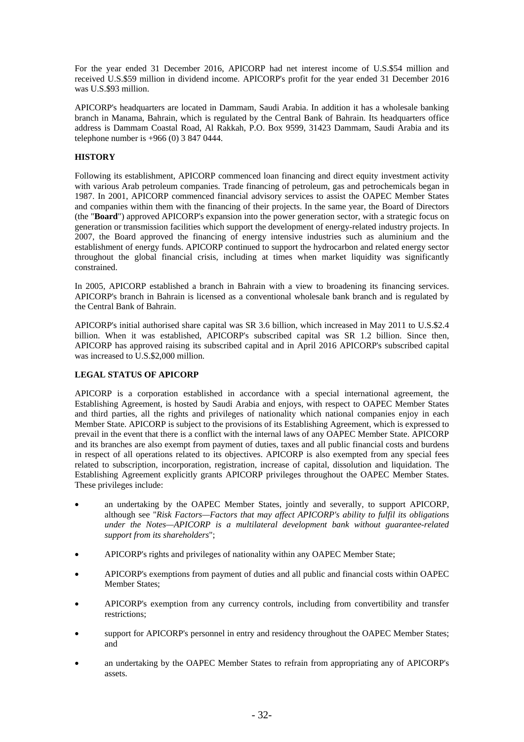For the year ended 31 December 2016, APICORP had net interest income of U.S.\$54 million and received U.S.\$59 million in dividend income. APICORP's profit for the year ended 31 December 2016 was U.S.\$93 million.

APICORP's headquarters are located in Dammam, Saudi Arabia. In addition it has a wholesale banking branch in Manama, Bahrain, which is regulated by the Central Bank of Bahrain. Its headquarters office address is Dammam Coastal Road, Al Rakkah, P.O. Box 9599, 31423 Dammam, Saudi Arabia and its telephone number is +966 (0) 3 847 0444.

# **HISTORY**

Following its establishment, APICORP commenced loan financing and direct equity investment activity with various Arab petroleum companies. Trade financing of petroleum, gas and petrochemicals began in 1987. In 2001, APICORP commenced financial advisory services to assist the OAPEC Member States and companies within them with the financing of their projects. In the same year, the Board of Directors (the "**Board**") approved APICORP's expansion into the power generation sector, with a strategic focus on generation or transmission facilities which support the development of energy-related industry projects. In 2007, the Board approved the financing of energy intensive industries such as aluminium and the establishment of energy funds. APICORP continued to support the hydrocarbon and related energy sector throughout the global financial crisis, including at times when market liquidity was significantly constrained.

In 2005, APICORP established a branch in Bahrain with a view to broadening its financing services. APICORP's branch in Bahrain is licensed as a conventional wholesale bank branch and is regulated by the Central Bank of Bahrain.

APICORP's initial authorised share capital was SR 3.6 billion, which increased in May 2011 to U.S.\$2.4 billion. When it was established, APICORP's subscribed capital was SR 1.2 billion. Since then, APICORP has approved raising its subscribed capital and in April 2016 APICORP's subscribed capital was increased to U.S.\$2,000 million.

### **LEGAL STATUS OF APICORP**

APICORP is a corporation established in accordance with a special international agreement, the Establishing Agreement, is hosted by Saudi Arabia and enjoys, with respect to OAPEC Member States and third parties, all the rights and privileges of nationality which national companies enjoy in each Member State. APICORP is subject to the provisions of its Establishing Agreement, which is expressed to prevail in the event that there is a conflict with the internal laws of any OAPEC Member State. APICORP and its branches are also exempt from payment of duties, taxes and all public financial costs and burdens in respect of all operations related to its objectives. APICORP is also exempted from any special fees related to subscription, incorporation, registration, increase of capital, dissolution and liquidation. The Establishing Agreement explicitly grants APICORP privileges throughout the OAPEC Member States. These privileges include:

- an undertaking by the OAPEC Member States, jointly and severally, to support APICORP, although see "*Risk Factors—Factors that may affect APICORP's ability to fulfil its obligations under the Notes—APICORP is a multilateral development bank without guarantee-related support from its shareholders*";
- APICORP's rights and privileges of nationality within any OAPEC Member State;
- APICORP's exemptions from payment of duties and all public and financial costs within OAPEC Member States;
- APICORP's exemption from any currency controls, including from convertibility and transfer restrictions;
- support for APICORP's personnel in entry and residency throughout the OAPEC Member States; and
- an undertaking by the OAPEC Member States to refrain from appropriating any of APICORP's assets.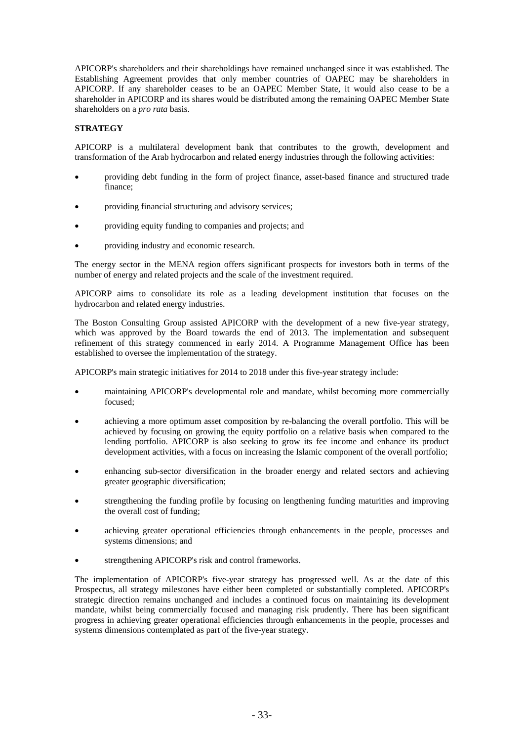APICORP's shareholders and their shareholdings have remained unchanged since it was established. The Establishing Agreement provides that only member countries of OAPEC may be shareholders in APICORP. If any shareholder ceases to be an OAPEC Member State, it would also cease to be a shareholder in APICORP and its shares would be distributed among the remaining OAPEC Member State shareholders on a *pro rata* basis.

# **STRATEGY**

APICORP is a multilateral development bank that contributes to the growth, development and transformation of the Arab hydrocarbon and related energy industries through the following activities:

- providing debt funding in the form of project finance, asset-based finance and structured trade finance;
- providing financial structuring and advisory services;
- providing equity funding to companies and projects; and
- providing industry and economic research.

The energy sector in the MENA region offers significant prospects for investors both in terms of the number of energy and related projects and the scale of the investment required.

APICORP aims to consolidate its role as a leading development institution that focuses on the hydrocarbon and related energy industries.

The Boston Consulting Group assisted APICORP with the development of a new five-year strategy, which was approved by the Board towards the end of 2013. The implementation and subsequent refinement of this strategy commenced in early 2014. A Programme Management Office has been established to oversee the implementation of the strategy.

APICORP's main strategic initiatives for 2014 to 2018 under this five-year strategy include:

- maintaining APICORP's developmental role and mandate, whilst becoming more commercially focused;
- achieving a more optimum asset composition by re-balancing the overall portfolio. This will be achieved by focusing on growing the equity portfolio on a relative basis when compared to the lending portfolio. APICORP is also seeking to grow its fee income and enhance its product development activities, with a focus on increasing the Islamic component of the overall portfolio;
- enhancing sub-sector diversification in the broader energy and related sectors and achieving greater geographic diversification;
- strengthening the funding profile by focusing on lengthening funding maturities and improving the overall cost of funding;
- achieving greater operational efficiencies through enhancements in the people, processes and systems dimensions; and
- strengthening APICORP's risk and control frameworks.

The implementation of APICORP's five-year strategy has progressed well. As at the date of this Prospectus, all strategy milestones have either been completed or substantially completed. APICORP's strategic direction remains unchanged and includes a continued focus on maintaining its development mandate, whilst being commercially focused and managing risk prudently. There has been significant progress in achieving greater operational efficiencies through enhancements in the people, processes and systems dimensions contemplated as part of the five-year strategy.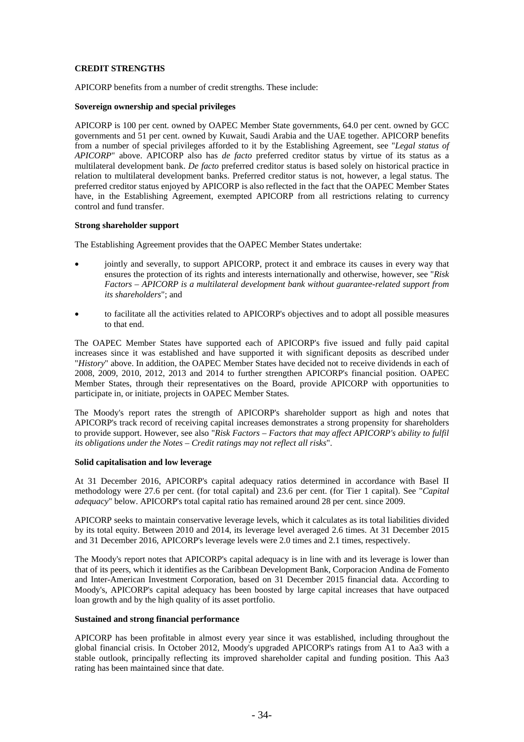### **CREDIT STRENGTHS**

APICORP benefits from a number of credit strengths. These include:

#### **Sovereign ownership and special privileges**

APICORP is 100 per cent. owned by OAPEC Member State governments, 64.0 per cent. owned by GCC governments and 51 per cent. owned by Kuwait, Saudi Arabia and the UAE together. APICORP benefits from a number of special privileges afforded to it by the Establishing Agreement, see "*Legal status of APICORP*" above. APICORP also has *de facto* preferred creditor status by virtue of its status as a multilateral development bank. *De facto* preferred creditor status is based solely on historical practice in relation to multilateral development banks. Preferred creditor status is not, however, a legal status. The preferred creditor status enjoyed by APICORP is also reflected in the fact that the OAPEC Member States have, in the Establishing Agreement, exempted APICORP from all restrictions relating to currency control and fund transfer.

### **Strong shareholder support**

The Establishing Agreement provides that the OAPEC Member States undertake:

- jointly and severally, to support APICORP, protect it and embrace its causes in every way that ensures the protection of its rights and interests internationally and otherwise, however, see "*Risk Factors – APICORP is a multilateral development bank without guarantee-related support from its shareholders*"; and
- to facilitate all the activities related to APICORP's objectives and to adopt all possible measures to that end.

The OAPEC Member States have supported each of APICORP's five issued and fully paid capital increases since it was established and have supported it with significant deposits as described under "*History*" above. In addition, the OAPEC Member States have decided not to receive dividends in each of 2008, 2009, 2010, 2012, 2013 and 2014 to further strengthen APICORP's financial position. OAPEC Member States, through their representatives on the Board, provide APICORP with opportunities to participate in, or initiate, projects in OAPEC Member States.

The Moody's report rates the strength of APICORP's shareholder support as high and notes that APICORP's track record of receiving capital increases demonstrates a strong propensity for shareholders to provide support. However, see also "*Risk Factors – Factors that may affect APICORP's ability to fulfil its obligations under the Notes – Credit ratings may not reflect all risks*".

#### **Solid capitalisation and low leverage**

At 31 December 2016, APICORP's capital adequacy ratios determined in accordance with Basel II methodology were 27.6 per cent. (for total capital) and 23.6 per cent. (for Tier 1 capital). See "*Capital adequacy*" below. APICORP's total capital ratio has remained around 28 per cent. since 2009.

APICORP seeks to maintain conservative leverage levels, which it calculates as its total liabilities divided by its total equity. Between 2010 and 2014, its leverage level averaged 2.6 times. At 31 December 2015 and 31 December 2016, APICORP's leverage levels were 2.0 times and 2.1 times, respectively.

The Moody's report notes that APICORP's capital adequacy is in line with and its leverage is lower than that of its peers, which it identifies as the Caribbean Development Bank, Corporacion Andina de Fomento and Inter-American Investment Corporation, based on 31 December 2015 financial data. According to Moody's, APICORP's capital adequacy has been boosted by large capital increases that have outpaced loan growth and by the high quality of its asset portfolio.

### **Sustained and strong financial performance**

APICORP has been profitable in almost every year since it was established, including throughout the global financial crisis. In October 2012, Moody's upgraded APICORP's ratings from A1 to Aa3 with a stable outlook, principally reflecting its improved shareholder capital and funding position. This Aa3 rating has been maintained since that date.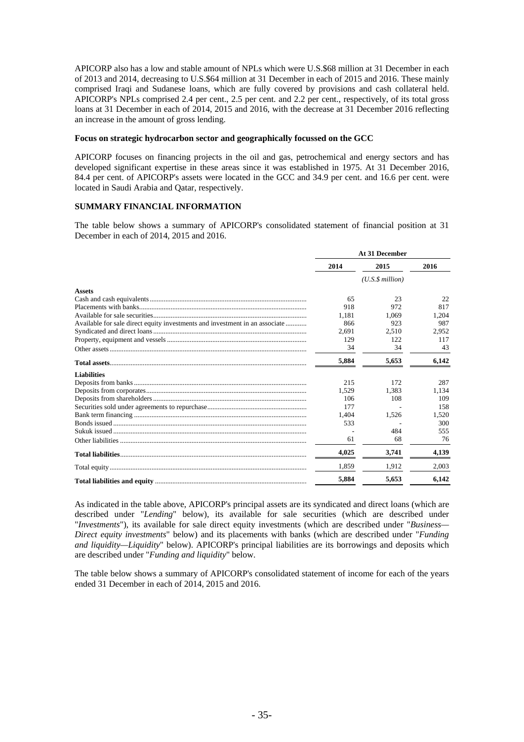APICORP also has a low and stable amount of NPLs which were U.S.\$68 million at 31 December in each of 2013 and 2014, decreasing to U.S.\$64 million at 31 December in each of 2015 and 2016. These mainly comprised Iraqi and Sudanese loans, which are fully covered by provisions and cash collateral held. APICORP's NPLs comprised 2.4 per cent., 2.5 per cent. and 2.2 per cent., respectively, of its total gross loans at 31 December in each of 2014, 2015 and 2016, with the decrease at 31 December 2016 reflecting an increase in the amount of gross lending.

#### **Focus on strategic hydrocarbon sector and geographically focussed on the GCC**

APICORP focuses on financing projects in the oil and gas, petrochemical and energy sectors and has developed significant expertise in these areas since it was established in 1975. At 31 December 2016, 84.4 per cent. of APICORP's assets were located in the GCC and 34.9 per cent. and 16.6 per cent. were located in Saudi Arabia and Qatar, respectively.

### **SUMMARY FINANCIAL INFORMATION**

The table below shows a summary of APICORP's consolidated statement of financial position at 31 December in each of 2014, 2015 and 2016.

|                                                                             | At 31 December |                      |       |  |
|-----------------------------------------------------------------------------|----------------|----------------------|-------|--|
| 2014                                                                        |                | 2015                 | 2016  |  |
|                                                                             |                | $(U.S.\$ \$ million) |       |  |
| <b>Assets</b>                                                               |                |                      |       |  |
|                                                                             | 65             | 23                   | 22.   |  |
|                                                                             | 918            | 972                  | 817   |  |
|                                                                             | 1.181          | 1.069                | 1.204 |  |
| Available for sale direct equity investments and investment in an associate | 866            | 923                  | 987   |  |
|                                                                             | 2.691          | 2.510                | 2.952 |  |
|                                                                             | 129            | 122                  | 117   |  |
|                                                                             | 34             | 34                   | 43    |  |
|                                                                             | 5,884          | 5,653                | 6,142 |  |
| <b>Liabilities</b>                                                          |                |                      |       |  |
|                                                                             | 215            | 172                  | 287   |  |
|                                                                             | 1.529          | 1.383                | 1.134 |  |
|                                                                             | 106            | 108                  | 109   |  |
|                                                                             | 177            |                      | 158   |  |
|                                                                             | 1,404          | 1,526                | 1,520 |  |
|                                                                             | 533            |                      | 300   |  |
|                                                                             |                | 484                  | 555   |  |
|                                                                             | 61             | 68                   | 76    |  |
|                                                                             | 4,025          | 3,741                | 4,139 |  |
|                                                                             | 1.859          | 1.912                | 2.003 |  |
|                                                                             | 5,884          | 5.653                | 6.142 |  |

As indicated in the table above, APICORP's principal assets are its syndicated and direct loans (which are described under "*Lending*" below), its available for sale securities (which are described under "*Investments*"), its available for sale direct equity investments (which are described under "*Business— Direct equity investments*" below) and its placements with banks (which are described under "*Funding and liquidity—Liquidity*" below). APICORP's principal liabilities are its borrowings and deposits which are described under "*Funding and liquidity*" below.

The table below shows a summary of APICORP's consolidated statement of income for each of the years ended 31 December in each of 2014, 2015 and 2016.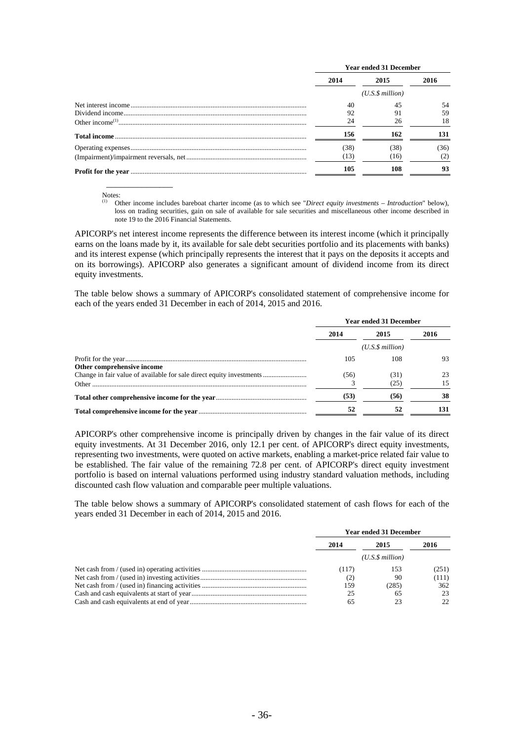| <b>Year ended 31 December</b> |                      |      |  |
|-------------------------------|----------------------|------|--|
| 2014                          | 2015                 | 2016 |  |
|                               | $(U.S.\$ \$ million) |      |  |
| 40                            | 45                   | 54   |  |
| 92                            |                      | 59   |  |
|                               | 26                   | 18   |  |
| 156                           | 162                  | 131  |  |
| (38)                          | (38)                 | (36) |  |
| (13)                          | (16)                 |      |  |
| 105                           | 108                  | 93   |  |

Notes:

 $\overline{\phantom{a}}$  , which is a set of the set of the set of the set of the set of the set of the set of the set of the set of the set of the set of the set of the set of the set of the set of the set of the set of the set of th

(1) Other income includes bareboat charter income (as to which see "*Direct equity investments* – *Introduction*" below), loss on trading securities, gain on sale of available for sale securities and miscellaneous other income described in note 19 to the 2016 Financial Statements.

APICORP's net interest income represents the difference between its interest income (which it principally earns on the loans made by it, its available for sale debt securities portfolio and its placements with banks) and its interest expense (which principally represents the interest that it pays on the deposits it accepts and on its borrowings). APICORP also generates a significant amount of dividend income from its direct equity investments.

The table below shows a summary of APICORP's consolidated statement of comprehensive income for each of the years ended 31 December in each of 2014, 2015 and 2016.

|                            |      | <b>Year ended 31 December</b> |      |  |  |
|----------------------------|------|-------------------------------|------|--|--|
|                            | 2014 | 2015                          | 2016 |  |  |
|                            |      | $(U.S.\$ \$ million)          |      |  |  |
|                            | 105  | 108                           | 93   |  |  |
| Other comprehensive income |      |                               |      |  |  |
|                            | (56) | (31)                          | 23   |  |  |
|                            |      | (25)                          | 15   |  |  |
|                            | (53) | (56)                          | 38   |  |  |
|                            | 52   | 52                            | 131  |  |  |

APICORP's other comprehensive income is principally driven by changes in the fair value of its direct equity investments. At 31 December 2016, only 12.1 per cent. of APICORP's direct equity investments, representing two investments, were quoted on active markets, enabling a market-price related fair value to be established. The fair value of the remaining 72.8 per cent. of APICORP's direct equity investment portfolio is based on internal valuations performed using industry standard valuation methods, including discounted cash flow valuation and comparable peer multiple valuations.

The table below shows a summary of APICORP's consolidated statement of cash flows for each of the years ended 31 December in each of 2014, 2015 and 2016.

| <b>Year ended 31 December</b> |                 |       |  |
|-------------------------------|-----------------|-------|--|
| 2014                          | 2015            | 2016  |  |
|                               | (U.S.S.million) |       |  |
| (117)                         | 153             | (251) |  |
| (2)                           | 90              | (111) |  |
| 159                           | (285)           | 362   |  |
| 25                            | 65              | 23    |  |
| 65                            | 23              | 22    |  |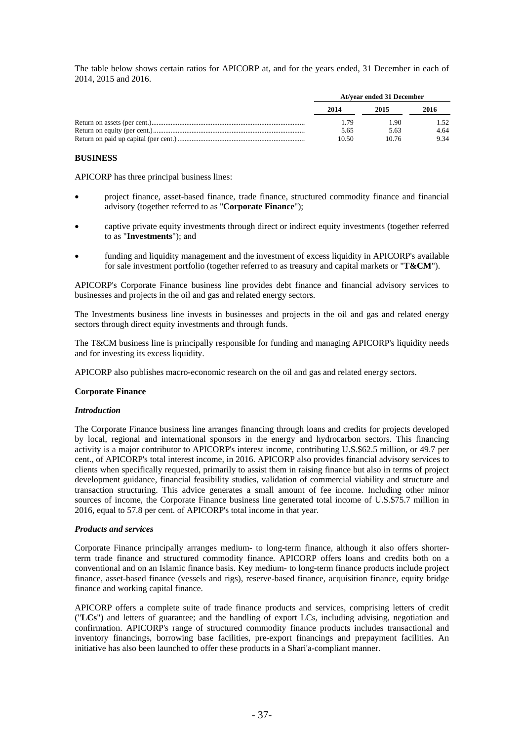The table below shows certain ratios for APICORP at, and for the years ended, 31 December in each of 2014, 2015 and 2016.

| At/year ended 31 December |       |      |  |
|---------------------------|-------|------|--|
| 2014                      | 2015  | 2016 |  |
| 1.79                      | 1.90  | 1.52 |  |
| 5.65                      | 5.63  | 4.64 |  |
| 10.50                     | 10.76 | 9.34 |  |

#### **BUSINESS**

APICORP has three principal business lines:

- project finance, asset-based finance, trade finance, structured commodity finance and financial advisory (together referred to as "**Corporate Finance**");
- captive private equity investments through direct or indirect equity investments (together referred to as "**Investments**"); and
- funding and liquidity management and the investment of excess liquidity in APICORP's available for sale investment portfolio (together referred to as treasury and capital markets or "**T&CM**").

APICORP's Corporate Finance business line provides debt finance and financial advisory services to businesses and projects in the oil and gas and related energy sectors.

The Investments business line invests in businesses and projects in the oil and gas and related energy sectors through direct equity investments and through funds.

The T&CM business line is principally responsible for funding and managing APICORP's liquidity needs and for investing its excess liquidity.

APICORP also publishes macro-economic research on the oil and gas and related energy sectors.

### **Corporate Finance**

#### *Introduction*

The Corporate Finance business line arranges financing through loans and credits for projects developed by local, regional and international sponsors in the energy and hydrocarbon sectors. This financing activity is a major contributor to APICORP's interest income, contributing U.S.\$62.5 million, or 49.7 per cent., of APICORP's total interest income, in 2016. APICORP also provides financial advisory services to clients when specifically requested, primarily to assist them in raising finance but also in terms of project development guidance, financial feasibility studies, validation of commercial viability and structure and transaction structuring. This advice generates a small amount of fee income. Including other minor sources of income, the Corporate Finance business line generated total income of U.S.\$75.7 million in 2016, equal to 57.8 per cent. of APICORP's total income in that year.

#### *Products and services*

Corporate Finance principally arranges medium- to long-term finance, although it also offers shorterterm trade finance and structured commodity finance. APICORP offers loans and credits both on a conventional and on an Islamic finance basis. Key medium- to long-term finance products include project finance, asset-based finance (vessels and rigs), reserve-based finance, acquisition finance, equity bridge finance and working capital finance.

APICORP offers a complete suite of trade finance products and services, comprising letters of credit ("**LCs**") and letters of guarantee; and the handling of export LCs, including advising, negotiation and confirmation. APICORP's range of structured commodity finance products includes transactional and inventory financings, borrowing base facilities, pre-export financings and prepayment facilities. An initiative has also been launched to offer these products in a Shari'a-compliant manner.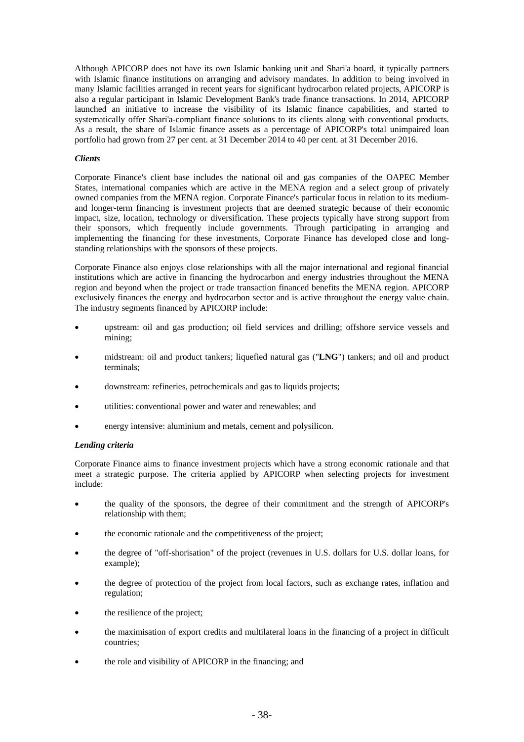Although APICORP does not have its own Islamic banking unit and Shari'a board, it typically partners with Islamic finance institutions on arranging and advisory mandates. In addition to being involved in many Islamic facilities arranged in recent years for significant hydrocarbon related projects, APICORP is also a regular participant in Islamic Development Bank's trade finance transactions. In 2014, APICORP launched an initiative to increase the visibility of its Islamic finance capabilities, and started to systematically offer Shari'a-compliant finance solutions to its clients along with conventional products. As a result, the share of Islamic finance assets as a percentage of APICORP's total unimpaired loan portfolio had grown from 27 per cent. at 31 December 2014 to 40 per cent. at 31 December 2016.

#### *Clients*

Corporate Finance's client base includes the national oil and gas companies of the OAPEC Member States, international companies which are active in the MENA region and a select group of privately owned companies from the MENA region. Corporate Finance's particular focus in relation to its mediumand longer-term financing is investment projects that are deemed strategic because of their economic impact, size, location, technology or diversification. These projects typically have strong support from their sponsors, which frequently include governments. Through participating in arranging and implementing the financing for these investments, Corporate Finance has developed close and longstanding relationships with the sponsors of these projects.

Corporate Finance also enjoys close relationships with all the major international and regional financial institutions which are active in financing the hydrocarbon and energy industries throughout the MENA region and beyond when the project or trade transaction financed benefits the MENA region. APICORP exclusively finances the energy and hydrocarbon sector and is active throughout the energy value chain. The industry segments financed by APICORP include:

- upstream: oil and gas production; oil field services and drilling; offshore service vessels and mining;
- midstream: oil and product tankers; liquefied natural gas ("**LNG**") tankers; and oil and product terminals;
- downstream: refineries, petrochemicals and gas to liquids projects;
- utilities: conventional power and water and renewables; and
- energy intensive: aluminium and metals, cement and polysilicon.

### *Lending criteria*

Corporate Finance aims to finance investment projects which have a strong economic rationale and that meet a strategic purpose. The criteria applied by APICORP when selecting projects for investment include:

- the quality of the sponsors, the degree of their commitment and the strength of APICORP's relationship with them;
- the economic rationale and the competitiveness of the project;
- the degree of "off-shorisation" of the project (revenues in U.S. dollars for U.S. dollar loans, for example);
- the degree of protection of the project from local factors, such as exchange rates, inflation and regulation;
- the resilience of the project;
- the maximisation of export credits and multilateral loans in the financing of a project in difficult countries;
- the role and visibility of APICORP in the financing; and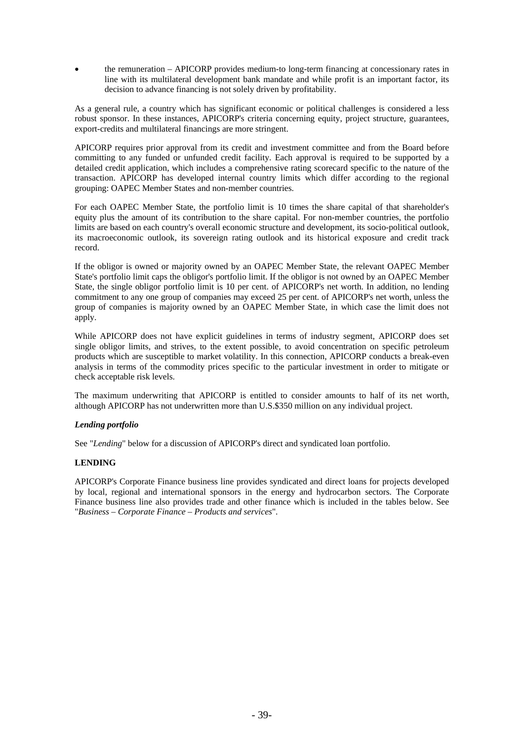the remuneration – APICORP provides medium-to long-term financing at concessionary rates in line with its multilateral development bank mandate and while profit is an important factor, its decision to advance financing is not solely driven by profitability.

As a general rule, a country which has significant economic or political challenges is considered a less robust sponsor. In these instances, APICORP's criteria concerning equity, project structure, guarantees, export-credits and multilateral financings are more stringent.

APICORP requires prior approval from its credit and investment committee and from the Board before committing to any funded or unfunded credit facility. Each approval is required to be supported by a detailed credit application, which includes a comprehensive rating scorecard specific to the nature of the transaction. APICORP has developed internal country limits which differ according to the regional grouping: OAPEC Member States and non-member countries.

For each OAPEC Member State, the portfolio limit is 10 times the share capital of that shareholder's equity plus the amount of its contribution to the share capital. For non-member countries, the portfolio limits are based on each country's overall economic structure and development, its socio-political outlook, its macroeconomic outlook, its sovereign rating outlook and its historical exposure and credit track record.

If the obligor is owned or majority owned by an OAPEC Member State, the relevant OAPEC Member State's portfolio limit caps the obligor's portfolio limit. If the obligor is not owned by an OAPEC Member State, the single obligor portfolio limit is 10 per cent. of APICORP's net worth. In addition, no lending commitment to any one group of companies may exceed 25 per cent. of APICORP's net worth, unless the group of companies is majority owned by an OAPEC Member State, in which case the limit does not apply.

While APICORP does not have explicit guidelines in terms of industry segment, APICORP does set single obligor limits, and strives, to the extent possible, to avoid concentration on specific petroleum products which are susceptible to market volatility. In this connection, APICORP conducts a break-even analysis in terms of the commodity prices specific to the particular investment in order to mitigate or check acceptable risk levels.

The maximum underwriting that APICORP is entitled to consider amounts to half of its net worth, although APICORP has not underwritten more than U.S.\$350 million on any individual project.

# *Lending portfolio*

See "*Lending*" below for a discussion of APICORP's direct and syndicated loan portfolio.

### **LENDING**

APICORP's Corporate Finance business line provides syndicated and direct loans for projects developed by local, regional and international sponsors in the energy and hydrocarbon sectors. The Corporate Finance business line also provides trade and other finance which is included in the tables below. See "*Business – Corporate Finance – Products and services*".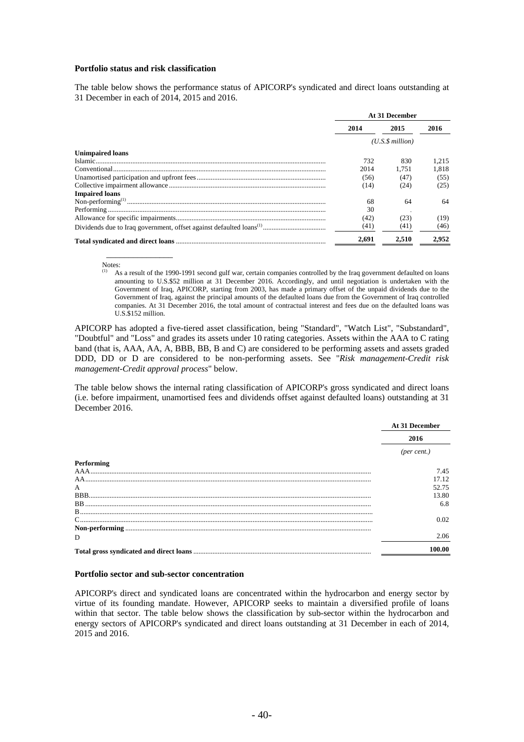#### **Portfolio status and risk classification**

The table below shows the performance status of APICORP's syndicated and direct loans outstanding at 31 December in each of 2014, 2015 and 2016.

|                         | At 31 December   |       |       |
|-------------------------|------------------|-------|-------|
|                         | 2014             | 2015  | 2016  |
|                         | (U.S.S. million) |       |       |
| <b>Unimpaired loans</b> |                  |       |       |
|                         | 732              | 830   | 1.215 |
|                         | 2014             | 1.751 | 1.818 |
|                         | (56)             | (47)  | (55)  |
|                         | (14)             | (24)  | (25)  |
| <b>Impaired loans</b>   |                  |       |       |
|                         | 68               | 64    | 64    |
|                         | 30               |       |       |
|                         | (42)             | (23)  | (19)  |
|                         | (41)             | (41)  | (46)  |
|                         | 2.691            | 2.510 | 2.952 |

Notes:

 $\overline{\phantom{a}}$   $\overline{\phantom{a}}$   $\overline{\phantom{a}}$   $\overline{\phantom{a}}$   $\overline{\phantom{a}}$   $\overline{\phantom{a}}$   $\overline{\phantom{a}}$   $\overline{\phantom{a}}$   $\overline{\phantom{a}}$   $\overline{\phantom{a}}$   $\overline{\phantom{a}}$   $\overline{\phantom{a}}$   $\overline{\phantom{a}}$   $\overline{\phantom{a}}$   $\overline{\phantom{a}}$   $\overline{\phantom{a}}$   $\overline{\phantom{a}}$   $\overline{\phantom{a}}$   $\overline{\$ 

As a result of the 1990-1991 second gulf war, certain companies controlled by the Iraq government defaulted on loans amounting to U.S.\$52 million at 31 December 2016. Accordingly, and until negotiation is undertaken with the Government of Iraq, APICORP, starting from 2003, has made a primary offset of the unpaid dividends due to the Government of Iraq, against the principal amounts of the defaulted loans due from the Government of Iraq controlled companies. At 31 December 2016, the total amount of contractual interest and fees due on the defaulted loans was U.S.\$152 million.

APICORP has adopted a five-tiered asset classification, being "Standard", "Watch List", "Substandard", "Doubtful" and "Loss" and grades its assets under 10 rating categories. Assets within the AAA to C rating band (that is, AAA, AA, A, BBB, BB, B and C) are considered to be performing assets and assets graded DDD, DD or D are considered to be non-performing assets. See "*Risk management-Credit risk management-Credit approval process*" below.

The table below shows the internal rating classification of APICORP's gross syndicated and direct loans (i.e. before impairment, unamortised fees and dividends offset against defaulted loans) outstanding at 31 December 2016.

|                | At 31 December |
|----------------|----------------|
|                | 2016           |
|                | (per cent.)    |
| Performing     |                |
|                | 7.45           |
| AA             | 17.12          |
| $\overline{A}$ | 52.75          |
|                | 13.80          |
|                | 6.8            |
|                |                |
|                | 0.02           |
|                |                |
| D              | 2.06           |
|                | 100.00         |

#### **Portfolio sector and sub-sector concentration**

APICORP's direct and syndicated loans are concentrated within the hydrocarbon and energy sector by virtue of its founding mandate. However, APICORP seeks to maintain a diversified profile of loans within that sector. The table below shows the classification by sub-sector within the hydrocarbon and energy sectors of APICORP's syndicated and direct loans outstanding at 31 December in each of 2014, 2015 and 2016.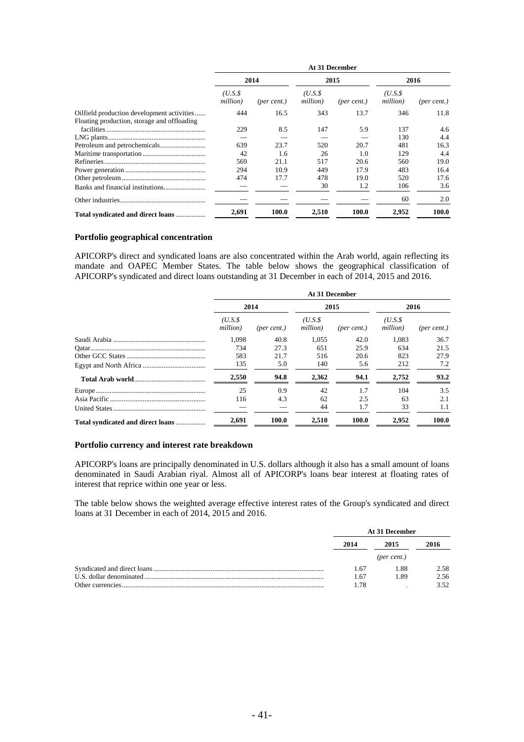|                                             | At 31 December     |             |                     |                      |                    |                      |
|---------------------------------------------|--------------------|-------------|---------------------|----------------------|--------------------|----------------------|
|                                             | 2014               |             | 2015                |                      | 2016               |                      |
|                                             | (U.S.S<br>million) | (per cent.) | (U.S.\$<br>million) | $(\text{per cent.})$ | (U.S.S<br>million) | $(\text{per cent.})$ |
| Oilfield production development activities  | 444                | 16.5        | 343                 | 13.7                 | 346                | 11.8                 |
| Floating production, storage and offloading |                    |             |                     |                      |                    |                      |
|                                             | 229                | 8.5         | 147                 | 5.9                  | 137                | $4.6^{\circ}$        |
|                                             |                    |             |                     |                      | 130                | 4.4                  |
|                                             | 639                | 23.7        | 520                 | 20.7                 | 481                | 16.3                 |
|                                             | 42                 | 1.6         | 26                  | 1.0                  | 129                | 4.4                  |
|                                             | 569                | 21.1        | 517                 | 20.6                 | 560                | 19.0                 |
|                                             | 294                | 10.9        | 449                 | 17.9                 | 483                | 16.4                 |
|                                             | 474                | 17.7        | 478                 | 19.0                 | 520                | 17.6                 |
|                                             |                    |             | 30                  | 1.2                  | 106                | 3.6                  |
|                                             |                    |             |                     |                      | 60                 | 2.0                  |
| Total syndicated and direct loans           | 2,691              | 100.0       | 2,510               | 100.0                | 2,952              | 100.0                |

#### **Portfolio geographical concentration**

APICORP's direct and syndicated loans are also concentrated within the Arab world, again reflecting its mandate and OAPEC Member States. The table below shows the geographical classification of APICORP's syndicated and direct loans outstanding at 31 December in each of 2014, 2015 and 2016.

|                                   | At 31 December     |             |                    |                      |                    |                      |  |
|-----------------------------------|--------------------|-------------|--------------------|----------------------|--------------------|----------------------|--|
|                                   |                    | 2014        | 2015               |                      | 2016               |                      |  |
|                                   | (U.S.S<br>million) | (per cent.) | (U.S.S<br>million) | $(\text{per cent.})$ | (U.S.S<br>million) | $(\text{per cent.})$ |  |
|                                   | 1.098              | 40.8        | 1.055              | 42.0                 | 1.083              | 36.7                 |  |
|                                   | 734                | 27.3        | 651                | 25.9                 | 634                | 21.5                 |  |
|                                   | 583                | 21.7        | 516                | 20.6                 | 823                | 27.9                 |  |
|                                   | 135                | 5.0         | 140                | 5.6                  | 212                | 7.2                  |  |
|                                   | 2.550              | 94.8        | 2.362              | 94.1                 | 2.752              | 93.2                 |  |
|                                   | 25                 | 0.9         | 42                 | 1.7                  | 104                | 3.5                  |  |
|                                   | 116                | 4.3         | 62                 | 2.5                  | 63                 | 2.1                  |  |
|                                   |                    |             | 44                 | 1.7                  | 33                 | 1.1                  |  |
| Total syndicated and direct loans | 2,691              | 100.0       | 2.510              | 100.0                | 2.952              | 100.0                |  |

#### **Portfolio currency and interest rate breakdown**

APICORP's loans are principally denominated in U.S. dollars although it also has a small amount of loans denominated in Saudi Arabian riyal. Almost all of APICORP's loans bear interest at floating rates of interest that reprice within one year or less.

The table below shows the weighted average effective interest rates of the Group's syndicated and direct loans at 31 December in each of 2014, 2015 and 2016.

|                  |      | At 31 December |      |  |
|------------------|------|----------------|------|--|
|                  | 2014 | 2015           | 2016 |  |
|                  |      | (per cent.)    |      |  |
|                  | 1.67 | 1.88           | 2.58 |  |
|                  | 1.67 | 1.89           | 2.56 |  |
| Other currencies | 1.78 |                | 3.52 |  |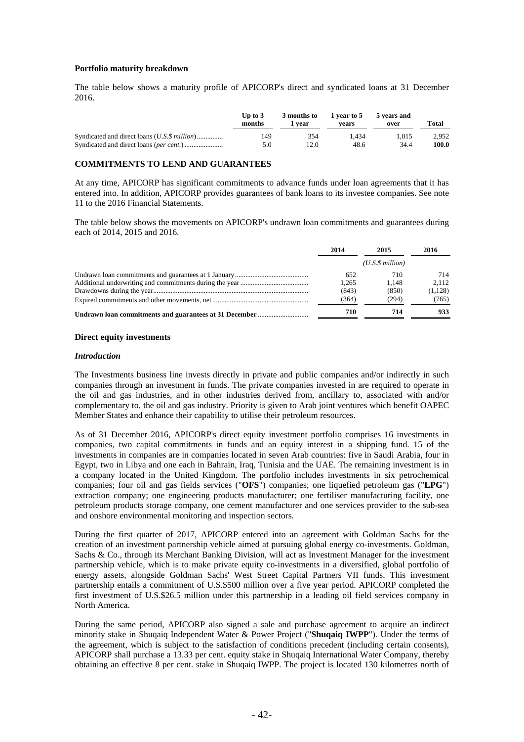#### **Portfolio maturity breakdown**

The table below shows a maturity profile of APICORP's direct and syndicated loans at 31 December 2016.

|                                               | Up to $3$<br>months | 3 months to<br>. vear | 1 year to 5<br>vears | 5 years and<br>over | Total |
|-----------------------------------------------|---------------------|-----------------------|----------------------|---------------------|-------|
| Syndicated and direct loans (U.S. \$ million) | 149                 | 354                   | 1.434                | 1.015               | 2.952 |
|                                               | 5.0                 | 12.0                  | 48.6                 | 34.4                | 100.0 |

#### **COMMITMENTS TO LEND AND GUARANTEES**

At any time, APICORP has significant commitments to advance funds under loan agreements that it has entered into. In addition, APICORP provides guarantees of bank loans to its investee companies. See note 11 to the 2016 Financial Statements.

The table below shows the movements on APICORP's undrawn loan commitments and guarantees during each of 2014, 2015 and 2016.

| 2014  | 2015            | 2016    |
|-------|-----------------|---------|
|       | (U.S.S.million) |         |
| 652   | 710             | 714     |
| 1.265 | 1.148           | 2.112   |
| (843) | (850)           | (1,128) |
| (364) | (294)           | (765)   |
| 710   | 714             | 933     |

#### **Direct equity investments**

#### *Introduction*

The Investments business line invests directly in private and public companies and/or indirectly in such companies through an investment in funds. The private companies invested in are required to operate in the oil and gas industries, and in other industries derived from, ancillary to, associated with and/or complementary to, the oil and gas industry. Priority is given to Arab joint ventures which benefit OAPEC Member States and enhance their capability to utilise their petroleum resources.

As of 31 December 2016, APICORP's direct equity investment portfolio comprises 16 investments in companies, two capital commitments in funds and an equity interest in a shipping fund. 15 of the investments in companies are in companies located in seven Arab countries: five in Saudi Arabia, four in Egypt, two in Libya and one each in Bahrain, Iraq, Tunisia and the UAE. The remaining investment is in a company located in the United Kingdom. The portfolio includes investments in six petrochemical companies; four oil and gas fields services ("**OFS**") companies; one liquefied petroleum gas ("**LPG**") extraction company; one engineering products manufacturer; one fertiliser manufacturing facility, one petroleum products storage company, one cement manufacturer and one services provider to the sub-sea and onshore environmental monitoring and inspection sectors.

During the first quarter of 2017, APICORP entered into an agreement with Goldman Sachs for the creation of an investment partnership vehicle aimed at pursuing global energy co-investments. Goldman, Sachs & Co., through its Merchant Banking Division, will act as Investment Manager for the investment partnership vehicle, which is to make private equity co-investments in a diversified, global portfolio of energy assets, alongside Goldman Sachs' West Street Capital Partners VII funds. This investment partnership entails a commitment of U.S.\$500 million over a five year period. APICORP completed the first investment of U.S.\$26.5 million under this partnership in a leading oil field services company in North America.

During the same period, APICORP also signed a sale and purchase agreement to acquire an indirect minority stake in Shuqaiq Independent Water & Power Project ("**Shuqaiq IWPP**"). Under the terms of the agreement, which is subject to the satisfaction of conditions precedent (including certain consents), APICORP shall purchase a 13.33 per cent. equity stake in Shuqaiq International Water Company, thereby obtaining an effective 8 per cent. stake in Shuqaiq IWPP. The project is located 130 kilometres north of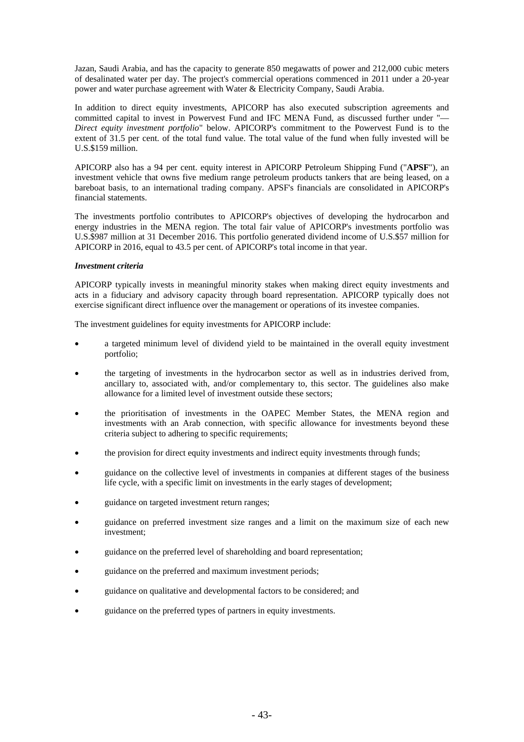Jazan, Saudi Arabia, and has the capacity to generate 850 megawatts of power and 212,000 cubic meters of desalinated water per day. The project's commercial operations commenced in 2011 under a 20-year power and water purchase agreement with Water & Electricity Company, Saudi Arabia.

In addition to direct equity investments, APICORP has also executed subscription agreements and committed capital to invest in Powervest Fund and IFC MENA Fund, as discussed further under "— *Direct equity investment portfolio*" below. APICORP's commitment to the Powervest Fund is to the extent of 31.5 per cent. of the total fund value. The total value of the fund when fully invested will be U.S.\$159 million.

APICORP also has a 94 per cent. equity interest in APICORP Petroleum Shipping Fund ("**APSF**"), an investment vehicle that owns five medium range petroleum products tankers that are being leased, on a bareboat basis, to an international trading company. APSF's financials are consolidated in APICORP's financial statements.

The investments portfolio contributes to APICORP's objectives of developing the hydrocarbon and energy industries in the MENA region. The total fair value of APICORP's investments portfolio was U.S.\$987 million at 31 December 2016. This portfolio generated dividend income of U.S.\$57 million for APICORP in 2016, equal to 43.5 per cent. of APICORP's total income in that year.

### *Investment criteria*

APICORP typically invests in meaningful minority stakes when making direct equity investments and acts in a fiduciary and advisory capacity through board representation. APICORP typically does not exercise significant direct influence over the management or operations of its investee companies.

The investment guidelines for equity investments for APICORP include:

- a targeted minimum level of dividend yield to be maintained in the overall equity investment portfolio;
- the targeting of investments in the hydrocarbon sector as well as in industries derived from, ancillary to, associated with, and/or complementary to, this sector. The guidelines also make allowance for a limited level of investment outside these sectors;
- the prioritisation of investments in the OAPEC Member States, the MENA region and investments with an Arab connection, with specific allowance for investments beyond these criteria subject to adhering to specific requirements;
- the provision for direct equity investments and indirect equity investments through funds;
- guidance on the collective level of investments in companies at different stages of the business life cycle, with a specific limit on investments in the early stages of development;
- guidance on targeted investment return ranges;
- guidance on preferred investment size ranges and a limit on the maximum size of each new investment;
- guidance on the preferred level of shareholding and board representation;
- guidance on the preferred and maximum investment periods;
- guidance on qualitative and developmental factors to be considered; and
- guidance on the preferred types of partners in equity investments.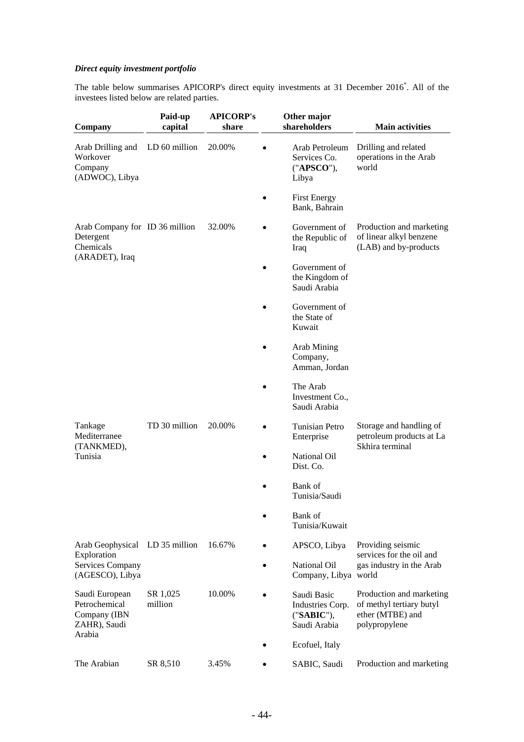# *Direct equity investment portfolio*

The table below summarises APICORP's direct equity investments at 31 December 2016<sup>\*</sup>. All of the investees listed below are related parties.

| Company                                                         | Paid-up<br>capital  | <b>APICORP's</b><br>share |   | Other major<br>shareholders                                   | <b>Main activities</b>                                                                    |
|-----------------------------------------------------------------|---------------------|---------------------------|---|---------------------------------------------------------------|-------------------------------------------------------------------------------------------|
| Arab Drilling and<br>Workover<br>Company<br>(ADWOC), Libya      | LD 60 million       | 20.00%                    |   | Arab Petroleum<br>Services Co.<br>("APSCO"),<br>Libya         | Drilling and related<br>operations in the Arab<br>world                                   |
|                                                                 |                     |                           |   | <b>First Energy</b><br>Bank, Bahrain                          |                                                                                           |
| Arab Company for ID 36 million<br>Detergent<br>Chemicals        |                     | 32.00%                    |   | Government of<br>the Republic of<br>Iraq                      | Production and marketing<br>of linear alkyl benzene<br>(LAB) and by-products              |
| (ARADET), Iraq                                                  |                     |                           |   | Government of<br>the Kingdom of<br>Saudi Arabia               |                                                                                           |
|                                                                 |                     |                           |   | Government of<br>the State of<br>Kuwait                       |                                                                                           |
|                                                                 |                     |                           |   | Arab Mining<br>Company,<br>Amman, Jordan                      |                                                                                           |
|                                                                 |                     |                           |   | The Arab<br>Investment Co.,<br>Saudi Arabia                   |                                                                                           |
| Tankage<br>Mediterranee                                         | TD 30 million       | 20.00%                    |   | Tunisian Petro<br>Enterprise                                  | Storage and handling of<br>petroleum products at La<br>Skhira terminal                    |
| (TANKMED),<br>Tunisia                                           |                     |                           |   | National Oil<br>Dist. Co.                                     |                                                                                           |
|                                                                 |                     |                           |   | Bank of<br>Tunisia/Saudi                                      |                                                                                           |
|                                                                 |                     |                           |   | Bank of<br>Tunisia/Kuwait                                     |                                                                                           |
| Arab Geophysical                                                | LD 35 million       | 16.67%                    |   | APSCO, Libya                                                  | Providing seismic<br>services for the oil and                                             |
| Exploration<br>Services Company<br>(AGESCO), Libya              |                     |                           |   | National Oil<br>Company, Libya world                          | gas industry in the Arab                                                                  |
| Saudi European<br>Petrochemical<br>Company (IBN<br>ZAHR), Saudi | SR 1,025<br>million | 10.00%                    |   | Saudi Basic<br>Industries Corp.<br>("SABIC"),<br>Saudi Arabia | Production and marketing<br>of methyl tertiary butyl<br>ether (MTBE) and<br>polypropylene |
| Arabia                                                          |                     |                           |   | Ecofuel, Italy                                                |                                                                                           |
| The Arabian                                                     | SR 8,510            | 3.45%                     | ٠ | SABIC, Saudi                                                  | Production and marketing                                                                  |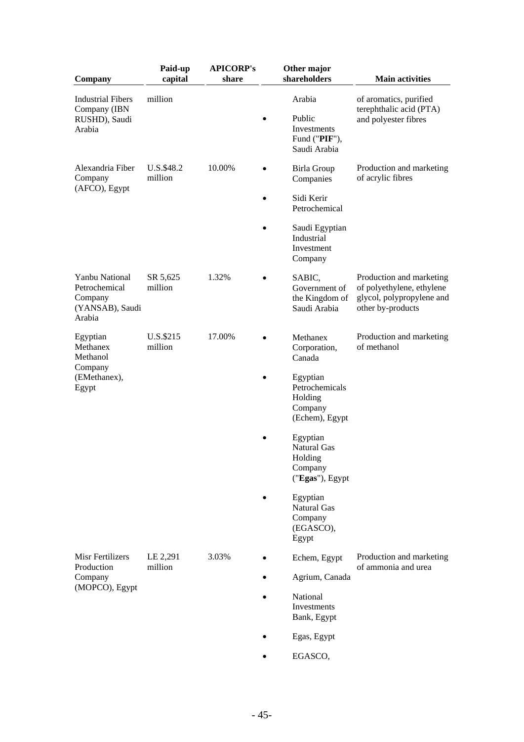| Company                                                                        | Paid-up<br>capital    | <b>APICORP's</b><br>share | Other major<br>shareholders                                             | <b>Main activities</b>                                                                                  |
|--------------------------------------------------------------------------------|-----------------------|---------------------------|-------------------------------------------------------------------------|---------------------------------------------------------------------------------------------------------|
| <b>Industrial Fibers</b><br>Company (IBN<br>RUSHD), Saudi<br>Arabia            | million               |                           | Arabia<br>Public<br>Investments<br>Fund ("PIF"),                        | of aromatics, purified<br>terephthalic acid (PTA)<br>and polyester fibres                               |
| Alexandria Fiber<br>Company                                                    | U.S.\$48.2<br>million | 10.00%                    | Saudi Arabia<br>Birla Group<br>Companies                                | Production and marketing<br>of acrylic fibres                                                           |
| (AFCO), Egypt                                                                  |                       |                           | Sidi Kerir<br>Petrochemical                                             |                                                                                                         |
|                                                                                |                       |                           | Saudi Egyptian<br>Industrial<br>Investment<br>Company                   |                                                                                                         |
| <b>Yanbu National</b><br>Petrochemical<br>Company<br>(YANSAB), Saudi<br>Arabia | SR 5,625<br>million   | 1.32%                     | SABIC,<br>Government of<br>the Kingdom of<br>Saudi Arabia               | Production and marketing<br>of polyethylene, ethylene<br>glycol, polypropylene and<br>other by-products |
| Egyptian<br>Methanex<br>Methanol                                               | U.S.\$215<br>million  | 17.00%                    | Methanex<br>Corporation,<br>Canada                                      | Production and marketing<br>of methanol                                                                 |
| Company<br>(EMethanex),<br>Egypt                                               |                       |                           | Egyptian<br>Petrochemicals<br>Holding<br>Company<br>(Echem), Egypt      |                                                                                                         |
|                                                                                |                       |                           | Egyptian<br><b>Natural Gas</b><br>Holding<br>Company<br>("Egas"), Egypt |                                                                                                         |
|                                                                                |                       |                           | Egyptian<br>Natural Gas<br>Company<br>(EGASCO),<br>Egypt                |                                                                                                         |
| Misr Fertilizers<br>Production                                                 | LE 2,291<br>million   | 3.03%                     | Echem, Egypt                                                            | Production and marketing<br>of ammonia and urea                                                         |
| Company<br>(MOPCO), Egypt                                                      |                       |                           | Agrium, Canada                                                          |                                                                                                         |
|                                                                                |                       |                           | National<br>Investments<br>Bank, Egypt                                  |                                                                                                         |
|                                                                                |                       |                           | Egas, Egypt                                                             |                                                                                                         |
|                                                                                |                       |                           | EGASCO,                                                                 |                                                                                                         |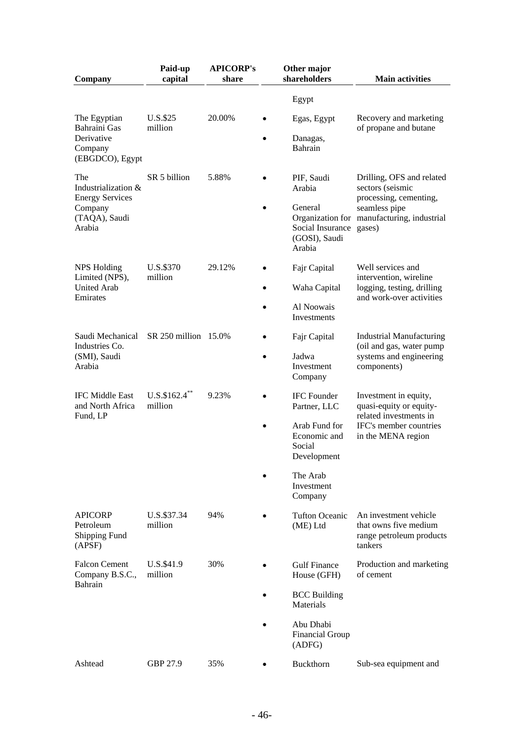| Company                                                | Paid-up<br>capital          | <b>APICORP's</b><br>share                              |                                              | Other major<br>shareholders                            | <b>Main activities</b>                                                                |
|--------------------------------------------------------|-----------------------------|--------------------------------------------------------|----------------------------------------------|--------------------------------------------------------|---------------------------------------------------------------------------------------|
|                                                        |                             |                                                        |                                              |                                                        |                                                                                       |
|                                                        |                             |                                                        |                                              | Egypt                                                  |                                                                                       |
| The Egyptian<br>Bahraini Gas                           | U.S.\$25<br>million         | 20.00%                                                 |                                              | Egas, Egypt                                            | Recovery and marketing<br>of propane and butane                                       |
| Derivative<br>Company<br>(EBGDCO), Egypt               |                             |                                                        |                                              | Danagas,<br>Bahrain                                    |                                                                                       |
| The<br>Industrialization &<br><b>Energy Services</b>   | SR 5 billion                | 5.88%                                                  |                                              | PIF, Saudi<br>Arabia                                   | Drilling, OFS and related<br>sectors (seismic<br>processing, cementing,               |
| Company<br>(TAQA), Saudi<br>Arabia                     |                             |                                                        |                                              | General<br>Social Insurance<br>(GOSI), Saudi<br>Arabia | seamless pipe<br>Organization for manufacturing, industrial<br>gases)                 |
| <b>NPS Holding</b><br>Limited (NPS),                   | U.S.\$370<br>million        | 29.12%                                                 |                                              | Fajr Capital                                           | Well services and<br>intervention, wireline                                           |
| <b>United Arab</b><br>Emirates                         |                             |                                                        |                                              | Waha Capital                                           | logging, testing, drilling<br>and work-over activities                                |
|                                                        |                             |                                                        |                                              | Al Noowais<br>Investments                              |                                                                                       |
| Saudi Mechanical<br>Industries Co.                     | SR 250 million 15.0%        |                                                        |                                              | Fajr Capital                                           | <b>Industrial Manufacturing</b><br>(oil and gas, water pump                           |
| (SMI), Saudi<br>Arabia                                 |                             |                                                        | ٠                                            | Jadwa<br>Investment<br>Company                         | systems and engineering<br>components)                                                |
| <b>IFC Middle East</b><br>and North Africa<br>Fund, LP | $U.S.\$162.4$ **<br>million | 9.23%                                                  |                                              | <b>IFC</b> Founder<br>Partner, LLC                     | Investment in equity,<br>quasi-equity or equity-<br>related investments in            |
| $\bullet$                                              |                             | Arab Fund for<br>Economic and<br>Social<br>Development | IFC's member countries<br>in the MENA region |                                                        |                                                                                       |
|                                                        |                             |                                                        |                                              | The Arab<br>Investment<br>Company                      |                                                                                       |
| <b>APICORP</b><br>Petroleum<br>Shipping Fund<br>(APSF) | U.S.\$37.34<br>million      | 94%                                                    |                                              | <b>Tufton Oceanic</b><br>(ME) Ltd                      | An investment vehicle<br>that owns five medium<br>range petroleum products<br>tankers |
| <b>Falcon Cement</b><br>Company B.S.C.,                | U.S.\$41.9<br>million       | 30%                                                    |                                              | <b>Gulf Finance</b><br>House (GFH)                     | Production and marketing<br>of cement                                                 |
| Bahrain                                                |                             |                                                        |                                              | <b>BCC</b> Building<br>Materials                       |                                                                                       |
|                                                        |                             |                                                        |                                              | Abu Dhabi<br><b>Financial Group</b><br>(ADFG)          |                                                                                       |
| Ashtead                                                | GBP 27.9                    | 35%                                                    |                                              | Buckthorn                                              | Sub-sea equipment and                                                                 |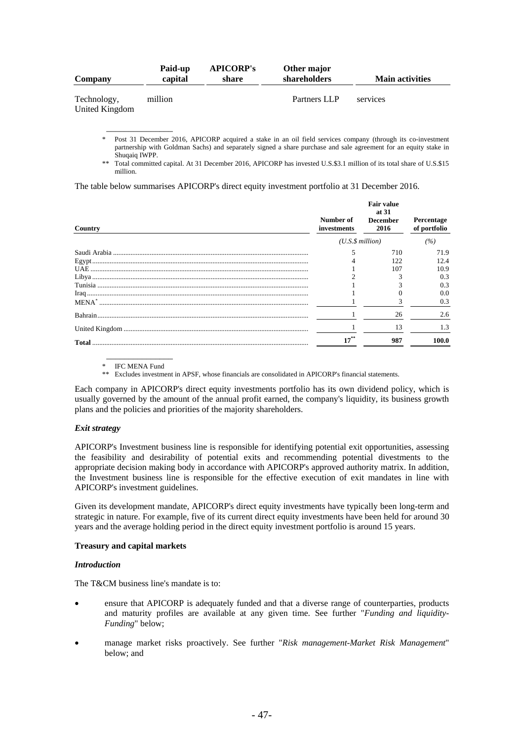| Company                       | Paid-up<br>capital | <b>APICORP's</b><br>share | Other major<br>shareholders | <b>Main activities</b> |
|-------------------------------|--------------------|---------------------------|-----------------------------|------------------------|
| Technology,<br>United Kingdom | million            |                           | Partners LLP                | services               |

Post 31 December 2016, APICORP acquired a stake in an oil field services company (through its co-investment partnership with Goldman Sachs) and separately signed a share purchase and sale agreement for an equity stake in Shuqaiq IWPP.

\*\* Total committed capital. At 31 December 2016, APICORP has invested U.S.\$3.1 million of its total share of U.S.\$15 million.

The table below summarises APICORP's direct equity investment portfolio at 31 December 2016.

| Country                       | Number of<br>investments | <b>Fair value</b><br>at 31<br>December<br>2016 | Percentage<br>of portfolio |  |
|-------------------------------|--------------------------|------------------------------------------------|----------------------------|--|
|                               |                          | (U.S.S.million)                                |                            |  |
|                               |                          | 710                                            | 71.9                       |  |
| ${\bf Egypt.}\label{def:ex3}$ |                          | 122                                            | 12.4                       |  |
|                               |                          | 107                                            | 10.9                       |  |
|                               |                          |                                                | 0.3                        |  |
|                               |                          |                                                | 0.3                        |  |
|                               |                          |                                                | 0.0                        |  |
|                               |                          |                                                | 0.3                        |  |
|                               |                          | 26                                             | 2.6                        |  |
|                               |                          | 13                                             | 1.3                        |  |
| Total                         |                          | 987                                            | 100.0                      |  |

 $\overline{\phantom{a}}$  , which is a set of the set of the set of the set of the set of the set of the set of the set of the set of the set of the set of the set of the set of the set of the set of the set of the set of the set of th IFC MENA Fund

 $\overline{\phantom{a}}$   $\overline{\phantom{a}}$   $\overline{\phantom{a}}$   $\overline{\phantom{a}}$   $\overline{\phantom{a}}$   $\overline{\phantom{a}}$   $\overline{\phantom{a}}$   $\overline{\phantom{a}}$   $\overline{\phantom{a}}$   $\overline{\phantom{a}}$   $\overline{\phantom{a}}$   $\overline{\phantom{a}}$   $\overline{\phantom{a}}$   $\overline{\phantom{a}}$   $\overline{\phantom{a}}$   $\overline{\phantom{a}}$   $\overline{\phantom{a}}$   $\overline{\phantom{a}}$   $\overline{\$ 

\*\* Excludes investment in APSF, whose financials are consolidated in APICORP's financial statements.

Each company in APICORP's direct equity investments portfolio has its own dividend policy, which is usually governed by the amount of the annual profit earned, the company's liquidity, its business growth plans and the policies and priorities of the majority shareholders.

### *Exit strategy*

APICORP's Investment business line is responsible for identifying potential exit opportunities, assessing the feasibility and desirability of potential exits and recommending potential divestments to the appropriate decision making body in accordance with APICORP's approved authority matrix. In addition, the Investment business line is responsible for the effective execution of exit mandates in line with APICORP's investment guidelines.

Given its development mandate, APICORP's direct equity investments have typically been long-term and strategic in nature. For example, five of its current direct equity investments have been held for around 30 years and the average holding period in the direct equity investment portfolio is around 15 years.

### **Treasury and capital markets**

### *Introduction*

The T&CM business line's mandate is to:

- ensure that APICORP is adequately funded and that a diverse range of counterparties, products and maturity profiles are available at any given time. See further "*Funding and liquidity-Funding*" below;
- manage market risks proactively. See further "*Risk management-Market Risk Management*" below; and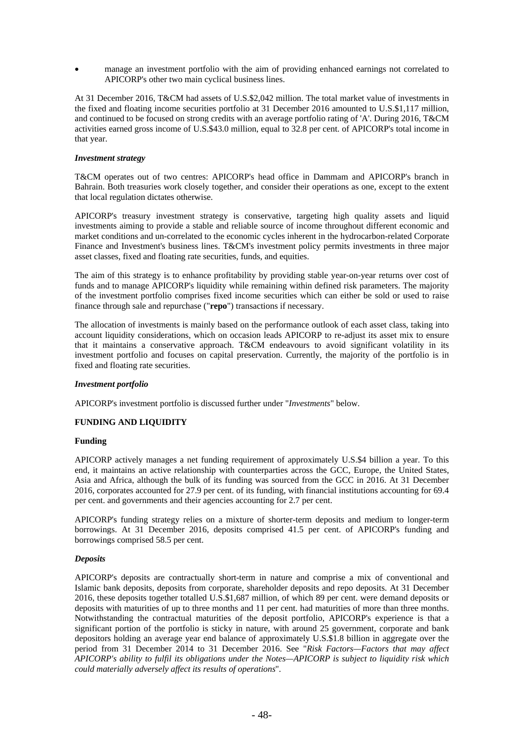manage an investment portfolio with the aim of providing enhanced earnings not correlated to APICORP's other two main cyclical business lines.

At 31 December 2016, T&CM had assets of U.S.\$2,042 million. The total market value of investments in the fixed and floating income securities portfolio at 31 December 2016 amounted to U.S.\$1,117 million, and continued to be focused on strong credits with an average portfolio rating of 'A'. During 2016, T&CM activities earned gross income of U.S.\$43.0 million, equal to 32.8 per cent. of APICORP's total income in that year.

#### *Investment strategy*

T&CM operates out of two centres: APICORP's head office in Dammam and APICORP's branch in Bahrain. Both treasuries work closely together, and consider their operations as one, except to the extent that local regulation dictates otherwise.

APICORP's treasury investment strategy is conservative, targeting high quality assets and liquid investments aiming to provide a stable and reliable source of income throughout different economic and market conditions and un-correlated to the economic cycles inherent in the hydrocarbon-related Corporate Finance and Investment's business lines. T&CM's investment policy permits investments in three major asset classes, fixed and floating rate securities, funds, and equities.

The aim of this strategy is to enhance profitability by providing stable year-on-year returns over cost of funds and to manage APICORP's liquidity while remaining within defined risk parameters. The majority of the investment portfolio comprises fixed income securities which can either be sold or used to raise finance through sale and repurchase ("**repo**") transactions if necessary.

The allocation of investments is mainly based on the performance outlook of each asset class, taking into account liquidity considerations, which on occasion leads APICORP to re-adjust its asset mix to ensure that it maintains a conservative approach. T&CM endeavours to avoid significant volatility in its investment portfolio and focuses on capital preservation. Currently, the majority of the portfolio is in fixed and floating rate securities.

### *Investment portfolio*

APICORP's investment portfolio is discussed further under "*Investments*" below.

### **FUNDING AND LIQUIDITY**

### **Funding**

APICORP actively manages a net funding requirement of approximately U.S.\$4 billion a year. To this end, it maintains an active relationship with counterparties across the GCC, Europe, the United States, Asia and Africa, although the bulk of its funding was sourced from the GCC in 2016. At 31 December 2016, corporates accounted for 27.9 per cent. of its funding, with financial institutions accounting for 69.4 per cent. and governments and their agencies accounting for 2.7 per cent.

APICORP's funding strategy relies on a mixture of shorter-term deposits and medium to longer-term borrowings. At 31 December 2016, deposits comprised 41.5 per cent. of APICORP's funding and borrowings comprised 58.5 per cent.

### *Deposits*

APICORP's deposits are contractually short-term in nature and comprise a mix of conventional and Islamic bank deposits, deposits from corporate, shareholder deposits and repo deposits. At 31 December 2016, these deposits together totalled U.S.\$1,687 million, of which 89 per cent. were demand deposits or deposits with maturities of up to three months and 11 per cent. had maturities of more than three months. Notwithstanding the contractual maturities of the deposit portfolio, APICORP's experience is that a significant portion of the portfolio is sticky in nature, with around 25 government, corporate and bank depositors holding an average year end balance of approximately U.S.\$1.8 billion in aggregate over the period from 31 December 2014 to 31 December 2016. See "*Risk Factors—Factors that may affect APICORP's ability to fulfil its obligations under the Notes—APICORP is subject to liquidity risk which could materially adversely affect its results of operations*"*.*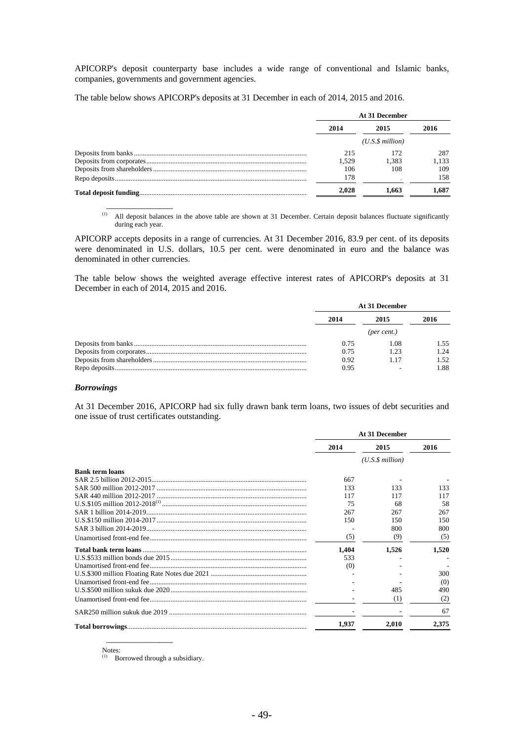APICORP's deposit counterparty base includes a wide range of conventional and Islamic banks, companies, governments and government agencies.

The table below shows APICORP's deposits at 31 December in each of 2014, 2015 and 2016.

| At 31 December |                 |       |  |
|----------------|-----------------|-------|--|
| 2014           | 2015            | 2016  |  |
|                | (U.S.S.million) |       |  |
| 215            | 172             | 287   |  |
| 1.529          | 1.383           | 1,133 |  |
| 106            | 108             | 109   |  |
| 178            |                 | 158   |  |
| 2.028          | 1.663           | 1.687 |  |

(1) All deposit balances in the above table are shown at 31 December. Certain deposit balances fluctuate significantly during each year.

APICORP accepts deposits in a range of currencies. At 31 December 2016, 83.9 per cent. of its deposits were denominated in U.S. dollars, 10.5 per cent. were denominated in euro and the balance was denominated in other currencies.

The table below shows the weighted average effective interest rates of APICORP's deposits at 31 December in each of 2014, 2015 and 2016.

| At 31 December |             |      |  |
|----------------|-------------|------|--|
| 2014           | 2015        | 2016 |  |
|                | (per cent.) |      |  |
| 0.75           | 1.08        | 1.55 |  |
| 0.75           | 1.23        | 1.24 |  |
| 0.92           | 1.17        | 1.52 |  |
| 0.95           |             | 1.88 |  |

#### *Borrowings*

 $\overline{\phantom{a}}$  , which is a set of the set of the set of the set of the set of the set of the set of the set of the set of the set of the set of the set of the set of the set of the set of the set of the set of the set of th

At 31 December 2016, APICORP had six fully drawn bank term loans, two issues of debt securities and one issue of trust certificates outstanding.

|                        |       | At 31 December       |       |
|------------------------|-------|----------------------|-------|
|                        | 2014  | 2015                 | 2016  |
|                        |       | $(U.S.\$ \$ million) |       |
| <b>Bank term loans</b> |       |                      |       |
|                        | 667   |                      |       |
|                        | 133   | 133                  | 133   |
|                        | 117   | 117                  | 117   |
|                        | 75    | 68                   | 58    |
|                        | 267   | 267                  | 267   |
|                        | 150   | 150                  | 150   |
|                        |       | 800                  | 800   |
|                        | (5)   | (9)                  | (5)   |
|                        | 1,404 | 1,526                | 1,520 |
|                        | 533   |                      |       |
|                        | (0)   |                      |       |
|                        |       |                      | 300   |
|                        |       |                      | (0)   |
|                        |       | 485                  | 490   |
|                        |       | (1)                  | (2)   |
|                        |       |                      | 67    |
|                        | 1.937 | 2.010                | 2,375 |

Notes:<br> $\frac{(1)}{(1)}$ 

Borrowed through a subsidiary.

 $\overline{\phantom{a}}$  , which is a set of the set of the set of the set of the set of the set of the set of the set of the set of the set of the set of the set of the set of the set of the set of the set of the set of the set of th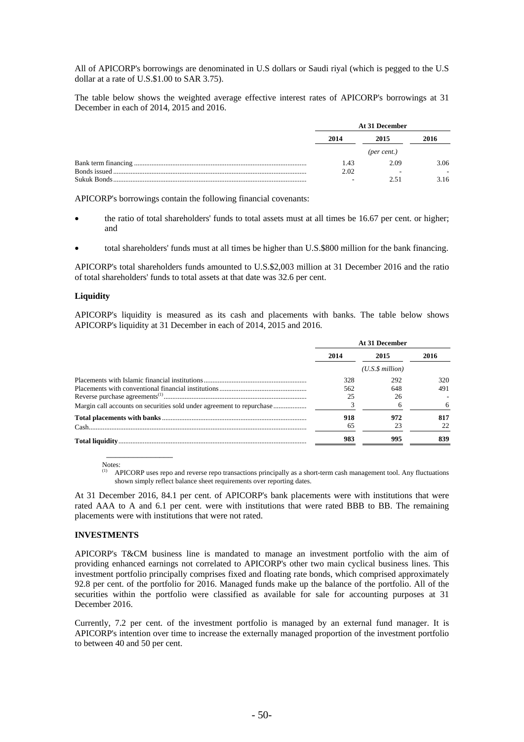All of APICORP's borrowings are denominated in U.S dollars or Saudi riyal (which is pegged to the U.S dollar at a rate of U.S.\$1.00 to SAR 3.75).

The table below shows the weighted average effective interest rates of APICORP's borrowings at 31 December in each of 2014, 2015 and 2016.

|      | At 31 December |      |  |  |
|------|----------------|------|--|--|
| 2014 | 2015           | 2016 |  |  |
|      | (per cent.)    |      |  |  |
| 1.43 | 2.09           | 3.06 |  |  |
| 2.02 |                |      |  |  |
|      | 2.51           | 3.16 |  |  |

APICORP's borrowings contain the following financial covenants:

- the ratio of total shareholders' funds to total assets must at all times be 16.67 per cent. or higher; and
- total shareholders' funds must at all times be higher than U.S.\$800 million for the bank financing.

APICORP's total shareholders funds amounted to U.S.\$2,003 million at 31 December 2016 and the ratio of total shareholders' funds to total assets at that date was 32.6 per cent.

#### **Liquidity**

APICORP's liquidity is measured as its cash and placements with banks. The table below shows APICORP's liquidity at 31 December in each of 2014, 2015 and 2016.

|      | At 31 December       |      |  |  |
|------|----------------------|------|--|--|
| 2014 | 2015                 | 2016 |  |  |
|      | $(U.S.\$ \$ million) |      |  |  |
| 328  | 292                  | 320  |  |  |
| 562  | 648                  | 491  |  |  |
| 25   | 26                   |      |  |  |
|      |                      | 6    |  |  |
| 918  | 972                  | 817  |  |  |
| 65   | 23                   | 22   |  |  |
| 983  | 995                  | 839  |  |  |

Notes:

 $\overline{\phantom{a}}$  , which is a set of the set of the set of the set of the set of the set of the set of the set of the set of the set of the set of the set of the set of the set of the set of the set of the set of the set of th

(1) APICORP uses repo and reverse repo transactions principally as a short-term cash management tool. Any fluctuations shown simply reflect balance sheet requirements over reporting dates.

At 31 December 2016, 84.1 per cent. of APICORP's bank placements were with institutions that were rated AAA to A and 6.1 per cent. were with institutions that were rated BBB to BB. The remaining placements were with institutions that were not rated.

#### **INVESTMENTS**

APICORP's T&CM business line is mandated to manage an investment portfolio with the aim of providing enhanced earnings not correlated to APICORP's other two main cyclical business lines. This investment portfolio principally comprises fixed and floating rate bonds, which comprised approximately 92.8 per cent. of the portfolio for 2016. Managed funds make up the balance of the portfolio. All of the securities within the portfolio were classified as available for sale for accounting purposes at 31 December 2016.

Currently, 7.2 per cent. of the investment portfolio is managed by an external fund manager. It is APICORP's intention over time to increase the externally managed proportion of the investment portfolio to between 40 and 50 per cent.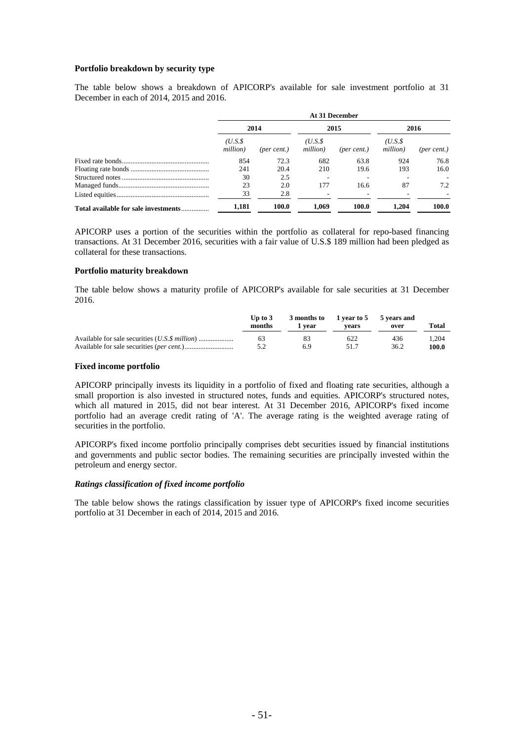#### **Portfolio breakdown by security type**

The table below shows a breakdown of APICORP's available for sale investment portfolio at 31 December in each of 2014, 2015 and 2016.

|                                      | At 31 December     |                      |                    |             |                     |                      |  |
|--------------------------------------|--------------------|----------------------|--------------------|-------------|---------------------|----------------------|--|
|                                      | 2014               |                      | 2015               |             | 2016                |                      |  |
|                                      | (U.S.S<br>million) | $(\text{per cent.})$ | (U.S.S<br>million) | (per cent.) | (U.S.\$<br>million) | $(\text{per cent.})$ |  |
|                                      | 854                | 72.3                 | 682                | 63.8        | 924                 | 76.8                 |  |
|                                      | 241                | 20.4                 | 210                | 19.6        | 193                 | 16.0                 |  |
|                                      | 30                 | 2.5                  |                    |             |                     |                      |  |
|                                      | 23                 | 2.0                  | 177                | 16.6        | 87                  | 7.2                  |  |
|                                      | 33                 | 2.8                  |                    |             |                     |                      |  |
| Total available for sale investments | 1.181              | 100.0                | 1.069              | 100.0       | 1.204               | 100.0                |  |

APICORP uses a portion of the securities within the portfolio as collateral for repo-based financing transactions. At 31 December 2016, securities with a fair value of U.S.\$ 189 million had been pledged as collateral for these transactions.

#### **Portfolio maturity breakdown**

The table below shows a maturity profile of APICORP's available for sale securities at 31 December 2016.

| Up to $3$<br>months | l vear | 3 months to 1 year to 5 5 years and<br>vears | over | Total |
|---------------------|--------|----------------------------------------------|------|-------|
| 63                  | 83     | 622                                          | 436  | .204  |
|                     | 6.9    | 51.7                                         | 36.2 | 100.0 |

#### **Fixed income portfolio**

APICORP principally invests its liquidity in a portfolio of fixed and floating rate securities, although a small proportion is also invested in structured notes, funds and equities. APICORP's structured notes, which all matured in 2015, did not bear interest. At 31 December 2016, APICORP's fixed income portfolio had an average credit rating of 'A'. The average rating is the weighted average rating of securities in the portfolio.

APICORP's fixed income portfolio principally comprises debt securities issued by financial institutions and governments and public sector bodies. The remaining securities are principally invested within the petroleum and energy sector.

### *Ratings classification of fixed income portfolio*

The table below shows the ratings classification by issuer type of APICORP's fixed income securities portfolio at 31 December in each of 2014, 2015 and 2016.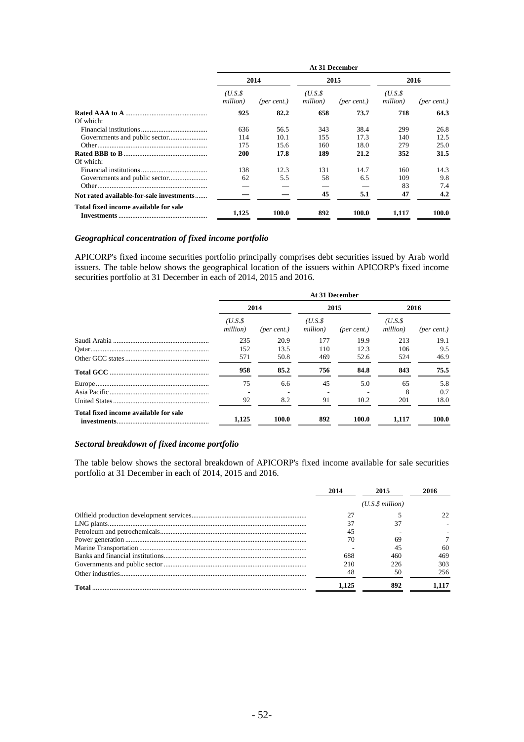|                                          | At 31 December     |             |                    |             |                    |                      |
|------------------------------------------|--------------------|-------------|--------------------|-------------|--------------------|----------------------|
|                                          | 2014               |             |                    | 2015        |                    | 2016                 |
|                                          | (U.S.S<br>million) | (per cent.) | (U.S.S<br>million) | (per cent.) | (U.S.S<br>million) | $(\text{per cent.})$ |
|                                          | 925                | 82.2        | 658                | 73.7        | 718                | 64.3                 |
| Of which:                                |                    |             |                    |             |                    |                      |
|                                          | 636                | 56.5        | 343                | 38.4        | 299                | 26.8                 |
|                                          | 114                | 10.1        | 155                | 17.3        | 140                | 12.5                 |
|                                          | 175                | 15.6        | 160                | 18.0        | 279                | 25.0                 |
|                                          | 200                | 17.8        | 189                | 21.2        | 352                | 31.5                 |
| Of which:                                |                    |             |                    |             |                    |                      |
|                                          | 138                | 12.3        | 131                | 14.7        | 160                | 14.3                 |
|                                          | 62                 | 5.5         | 58                 | 6.5         | 109                | 9.8                  |
|                                          |                    |             |                    |             | 83                 | 7.4                  |
| Not rated available-for-sale investments |                    |             | 45                 | 5.1         | 47                 | 4.2                  |
| Total fixed income available for sale    | 1,125              | 100.0       | 892                | 100.0       | 1,117              | 100.0                |

# *Geographical concentration of fixed income portfolio*

APICORP's fixed income securities portfolio principally comprises debt securities issued by Arab world issuers. The table below shows the geographical location of the issuers within APICORP's fixed income securities portfolio at 31 December in each of 2014, 2015 and 2016.

|                                       | At 31 December     |             |                    |             |                    |                      |  |
|---------------------------------------|--------------------|-------------|--------------------|-------------|--------------------|----------------------|--|
|                                       | 2014               |             |                    | 2015        |                    | 2016                 |  |
|                                       | (U.S.S<br>million) | (per cent.) | (U.S.S<br>million) | (per cent.) | (U.S.S<br>million) | $(\text{per cent.})$ |  |
|                                       | 235                | 20.9        | 177                | 19.9        | 213                | 19.1                 |  |
|                                       | 152                | 13.5        | 110                | 12.3        | 106                | 9.5                  |  |
|                                       | 571                | 50.8        | 469                | 52.6        | 524                | 46.9                 |  |
|                                       | 958                | 85.2        | 756                | 84.8        | 843                | 75.5                 |  |
|                                       | 75                 | 6.6         | 45                 | 5.0         | 65                 | 5.8                  |  |
|                                       |                    |             |                    |             | 8                  | 0.7                  |  |
|                                       | 92                 | 8.2         | 91                 | 10.2        | 201                | 18.0                 |  |
| Total fixed income available for sale | 1,125              | 100.0       | 892                | 100.0       | 1,117              | 100.0                |  |

# *Sectoral breakdown of fixed income portfolio*

The table below shows the sectoral breakdown of APICORP's fixed income available for sale securities portfolio at 31 December in each of 2014, 2015 and 2016.

|       | 2014  |                 |      |
|-------|-------|-----------------|------|
|       |       | (U.S.S.million) |      |
|       |       |                 |      |
|       |       |                 |      |
|       |       |                 |      |
|       |       | 69              |      |
|       |       | 45              | 60   |
|       | 688   | 460             | 469  |
|       | 210   | 226             | 303  |
|       |       | 50              | 256. |
| Total | 1.125 | 892             |      |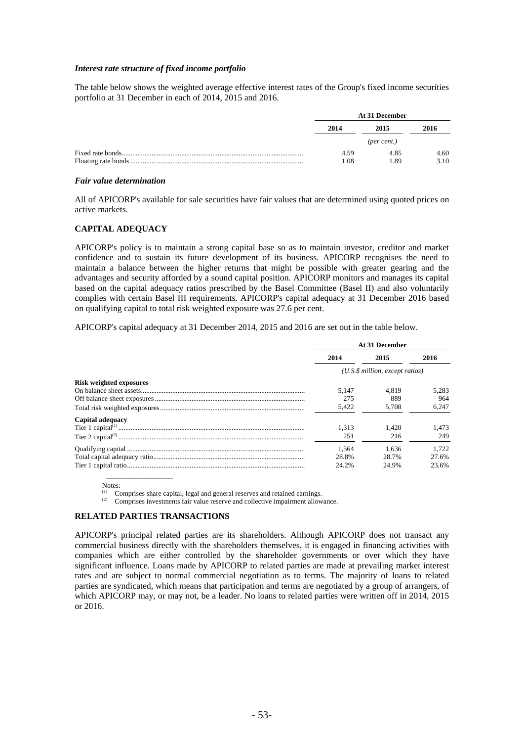#### *Interest rate structure of fixed income portfolio*

The table below shows the weighted average effective interest rates of the Group's fixed income securities portfolio at 31 December in each of 2014, 2015 and 2016.

| At 31 December |      |      |  |
|----------------|------|------|--|
| 2014<br>2015   |      | 2016 |  |
|                |      |      |  |
| 4.59           | 4.85 | 4.60 |  |
| 1.08           | 1.89 | 3.10 |  |

#### *Fair value determination*

All of APICORP's available for sale securities have fair values that are determined using quoted prices on active markets.

### **CAPITAL ADEQUACY**

APICORP's policy is to maintain a strong capital base so as to maintain investor, creditor and market confidence and to sustain its future development of its business. APICORP recognises the need to maintain a balance between the higher returns that might be possible with greater gearing and the advantages and security afforded by a sound capital position. APICORP monitors and manages its capital based on the capital adequacy ratios prescribed by the Basel Committee (Basel II) and also voluntarily complies with certain Basel III requirements. APICORP's capital adequacy at 31 December 2016 based on qualifying capital to total risk weighted exposure was 27.6 per cent.

APICORP's capital adequacy at 31 December 2014, 2015 and 2016 are set out in the table below.

|                                | At 31 December                  |       |       |  |
|--------------------------------|---------------------------------|-------|-------|--|
|                                | 2014                            | 2015  | 2016  |  |
|                                | (U.S.\$ million, except ratios) |       |       |  |
| <b>Risk weighted exposures</b> |                                 |       |       |  |
|                                | 5.147                           | 4.819 | 5.283 |  |
|                                | 275                             | 889   | 964   |  |
|                                | 5,422                           | 5.708 | 6.247 |  |
| Capital adequacy               |                                 |       |       |  |
|                                | 1.313                           | 1.420 | 1.473 |  |
|                                | 251                             | 216   | 249   |  |
|                                | 1.564                           | 1.636 | 1.722 |  |
|                                | 28.8%                           | 28.7% | 27.6% |  |
|                                | 24.2%                           | 24.9% | 23.6% |  |
|                                |                                 |       |       |  |

Notes:

(1) Comprises share capital, legal and general reserves and retained earnings.<br>  $\frac{1}{2}$  Comprises investments fair value reserve and collective impairment allowance.

#### **RELATED PARTIES TRANSACTIONS**

APICORP's principal related parties are its shareholders. Although APICORP does not transact any commercial business directly with the shareholders themselves, it is engaged in financing activities with companies which are either controlled by the shareholder governments or over which they have significant influence. Loans made by APICORP to related parties are made at prevailing market interest rates and are subject to normal commercial negotiation as to terms. The majority of loans to related parties are syndicated, which means that participation and terms are negotiated by a group of arrangers, of which APICORP may, or may not, be a leader. No loans to related parties were written off in 2014, 2015 or 2016.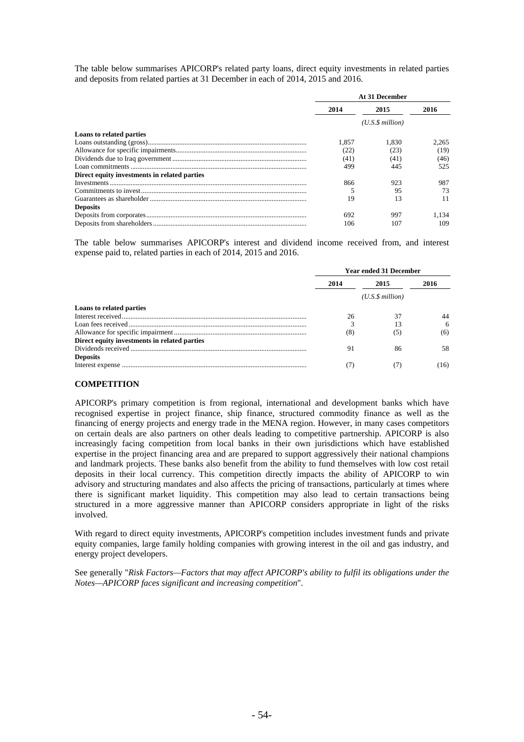The table below summarises APICORP's related party loans, direct equity investments in related parties and deposits from related parties at 31 December in each of 2014, 2015 and 2016.

|                                              | At 31 December |                      |       |
|----------------------------------------------|----------------|----------------------|-------|
|                                              | 2014           | 2015                 | 2016  |
|                                              |                | $(U.S.\$ \$ million) |       |
| Loans to related parties                     |                |                      |       |
|                                              | 1.857          | 1.830                | 2.265 |
|                                              | (22)           | (23)                 | (19)  |
|                                              | (41)           | (41)                 | (46)  |
|                                              | 499            | 445                  | 525   |
| Direct equity investments in related parties |                |                      |       |
|                                              | 866            | 923                  | 987   |
|                                              |                | 95                   | 73    |
|                                              | 19             | 13                   | 11    |
| <b>Deposits</b>                              |                |                      |       |
|                                              | 692            | 997                  | .134  |
|                                              | 106            | 107                  | 109   |

The table below summarises APICORP's interest and dividend income received from, and interest expense paid to, related parties in each of 2014, 2015 and 2016.

|                                              | <b>Year ended 31 December</b> |      |       |  |
|----------------------------------------------|-------------------------------|------|-------|--|
|                                              | 2014                          | 2015 | 2016  |  |
|                                              | $(U.S.\$ \$ million)          |      |       |  |
| Loans to related parties                     |                               |      |       |  |
|                                              | 26                            | 37   | 44    |  |
|                                              |                               | 13   | 6     |  |
|                                              | (8)                           | (5)  | (6)   |  |
| Direct equity investments in related parties |                               |      |       |  |
|                                              | 91                            | 86   | 58.   |  |
| <b>Deposits</b>                              |                               |      |       |  |
|                                              |                               |      | (16). |  |

# **COMPETITION**

APICORP's primary competition is from regional, international and development banks which have recognised expertise in project finance, ship finance, structured commodity finance as well as the financing of energy projects and energy trade in the MENA region. However, in many cases competitors on certain deals are also partners on other deals leading to competitive partnership. APICORP is also increasingly facing competition from local banks in their own jurisdictions which have established expertise in the project financing area and are prepared to support aggressively their national champions and landmark projects. These banks also benefit from the ability to fund themselves with low cost retail deposits in their local currency. This competition directly impacts the ability of APICORP to win advisory and structuring mandates and also affects the pricing of transactions, particularly at times where there is significant market liquidity. This competition may also lead to certain transactions being structured in a more aggressive manner than APICORP considers appropriate in light of the risks involved.

With regard to direct equity investments, APICORP's competition includes investment funds and private equity companies, large family holding companies with growing interest in the oil and gas industry, and energy project developers.

See generally "*Risk Factors—Factors that may affect APICORP's ability to fulfil its obligations under the Notes—APICORP faces significant and increasing competition*".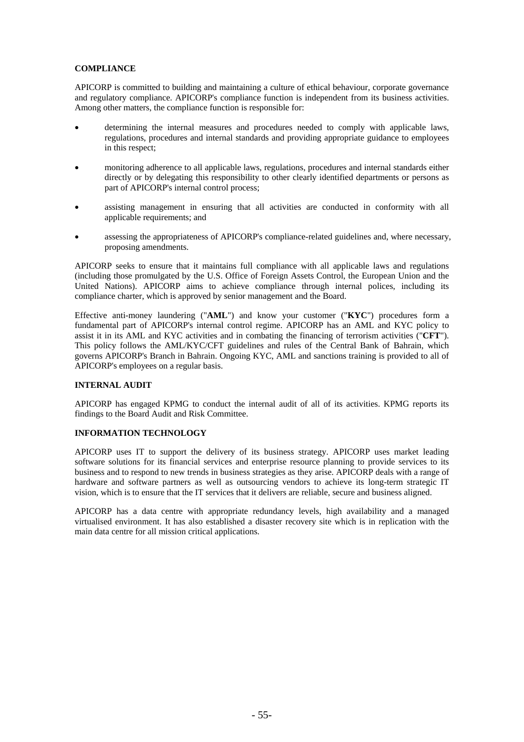# **COMPLIANCE**

APICORP is committed to building and maintaining a culture of ethical behaviour, corporate governance and regulatory compliance. APICORP's compliance function is independent from its business activities. Among other matters, the compliance function is responsible for:

- determining the internal measures and procedures needed to comply with applicable laws, regulations, procedures and internal standards and providing appropriate guidance to employees in this respect;
- monitoring adherence to all applicable laws, regulations, procedures and internal standards either directly or by delegating this responsibility to other clearly identified departments or persons as part of APICORP's internal control process;
- assisting management in ensuring that all activities are conducted in conformity with all applicable requirements; and
- assessing the appropriateness of APICORP's compliance-related guidelines and, where necessary, proposing amendments.

APICORP seeks to ensure that it maintains full compliance with all applicable laws and regulations (including those promulgated by the U.S. Office of Foreign Assets Control, the European Union and the United Nations). APICORP aims to achieve compliance through internal polices, including its compliance charter, which is approved by senior management and the Board.

Effective anti-money laundering ("**AML**") and know your customer ("**KYC**") procedures form a fundamental part of APICORP's internal control regime. APICORP has an AML and KYC policy to assist it in its AML and KYC activities and in combating the financing of terrorism activities ("**CFT**"). This policy follows the AML/KYC/CFT guidelines and rules of the Central Bank of Bahrain, which governs APICORP's Branch in Bahrain. Ongoing KYC, AML and sanctions training is provided to all of APICORP's employees on a regular basis.

### **INTERNAL AUDIT**

APICORP has engaged KPMG to conduct the internal audit of all of its activities. KPMG reports its findings to the Board Audit and Risk Committee.

### **INFORMATION TECHNOLOGY**

APICORP uses IT to support the delivery of its business strategy. APICORP uses market leading software solutions for its financial services and enterprise resource planning to provide services to its business and to respond to new trends in business strategies as they arise. APICORP deals with a range of hardware and software partners as well as outsourcing vendors to achieve its long-term strategic IT vision, which is to ensure that the IT services that it delivers are reliable, secure and business aligned.

APICORP has a data centre with appropriate redundancy levels, high availability and a managed virtualised environment. It has also established a disaster recovery site which is in replication with the main data centre for all mission critical applications.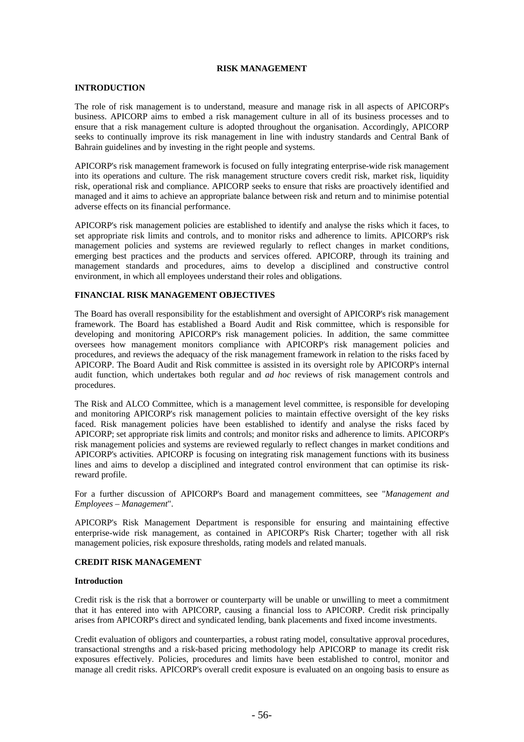#### **RISK MANAGEMENT**

#### **INTRODUCTION**

The role of risk management is to understand, measure and manage risk in all aspects of APICORP's business. APICORP aims to embed a risk management culture in all of its business processes and to ensure that a risk management culture is adopted throughout the organisation. Accordingly, APICORP seeks to continually improve its risk management in line with industry standards and Central Bank of Bahrain guidelines and by investing in the right people and systems.

APICORP's risk management framework is focused on fully integrating enterprise-wide risk management into its operations and culture. The risk management structure covers credit risk, market risk, liquidity risk, operational risk and compliance. APICORP seeks to ensure that risks are proactively identified and managed and it aims to achieve an appropriate balance between risk and return and to minimise potential adverse effects on its financial performance.

APICORP's risk management policies are established to identify and analyse the risks which it faces, to set appropriate risk limits and controls, and to monitor risks and adherence to limits. APICORP's risk management policies and systems are reviewed regularly to reflect changes in market conditions, emerging best practices and the products and services offered. APICORP, through its training and management standards and procedures, aims to develop a disciplined and constructive control environment, in which all employees understand their roles and obligations.

# **FINANCIAL RISK MANAGEMENT OBJECTIVES**

The Board has overall responsibility for the establishment and oversight of APICORP's risk management framework. The Board has established a Board Audit and Risk committee, which is responsible for developing and monitoring APICORP's risk management policies. In addition, the same committee oversees how management monitors compliance with APICORP's risk management policies and procedures, and reviews the adequacy of the risk management framework in relation to the risks faced by APICORP. The Board Audit and Risk committee is assisted in its oversight role by APICORP's internal audit function, which undertakes both regular and *ad hoc* reviews of risk management controls and procedures.

The Risk and ALCO Committee, which is a management level committee, is responsible for developing and monitoring APICORP's risk management policies to maintain effective oversight of the key risks faced. Risk management policies have been established to identify and analyse the risks faced by APICORP; set appropriate risk limits and controls; and monitor risks and adherence to limits. APICORP's risk management policies and systems are reviewed regularly to reflect changes in market conditions and APICORP's activities. APICORP is focusing on integrating risk management functions with its business lines and aims to develop a disciplined and integrated control environment that can optimise its riskreward profile.

For a further discussion of APICORP's Board and management committees, see "*Management and Employees – Management*".

APICORP's Risk Management Department is responsible for ensuring and maintaining effective enterprise-wide risk management, as contained in APICORP's Risk Charter; together with all risk management policies, risk exposure thresholds, rating models and related manuals.

#### **CREDIT RISK MANAGEMENT**

#### **Introduction**

Credit risk is the risk that a borrower or counterparty will be unable or unwilling to meet a commitment that it has entered into with APICORP, causing a financial loss to APICORP. Credit risk principally arises from APICORP's direct and syndicated lending, bank placements and fixed income investments.

Credit evaluation of obligors and counterparties, a robust rating model, consultative approval procedures, transactional strengths and a risk-based pricing methodology help APICORP to manage its credit risk exposures effectively. Policies, procedures and limits have been established to control, monitor and manage all credit risks. APICORP's overall credit exposure is evaluated on an ongoing basis to ensure as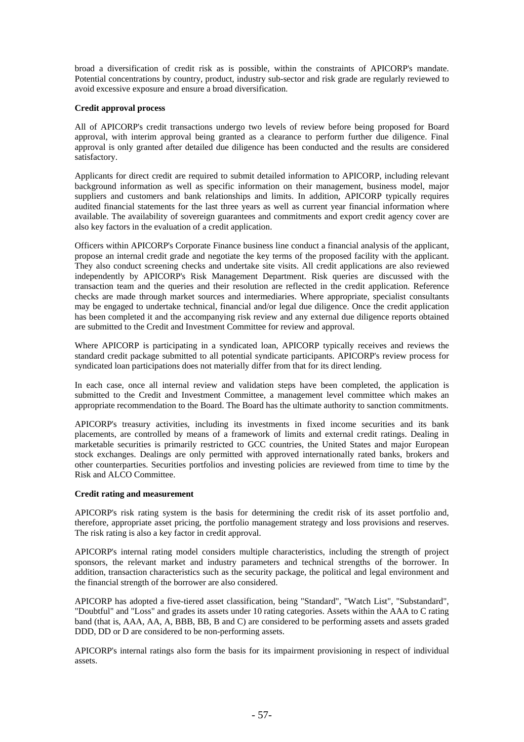broad a diversification of credit risk as is possible, within the constraints of APICORP's mandate. Potential concentrations by country, product, industry sub-sector and risk grade are regularly reviewed to avoid excessive exposure and ensure a broad diversification.

### **Credit approval process**

All of APICORP's credit transactions undergo two levels of review before being proposed for Board approval, with interim approval being granted as a clearance to perform further due diligence. Final approval is only granted after detailed due diligence has been conducted and the results are considered satisfactory.

Applicants for direct credit are required to submit detailed information to APICORP, including relevant background information as well as specific information on their management, business model, major suppliers and customers and bank relationships and limits. In addition, APICORP typically requires audited financial statements for the last three years as well as current year financial information where available. The availability of sovereign guarantees and commitments and export credit agency cover are also key factors in the evaluation of a credit application.

Officers within APICORP's Corporate Finance business line conduct a financial analysis of the applicant, propose an internal credit grade and negotiate the key terms of the proposed facility with the applicant. They also conduct screening checks and undertake site visits. All credit applications are also reviewed independently by APICORP's Risk Management Department. Risk queries are discussed with the transaction team and the queries and their resolution are reflected in the credit application. Reference checks are made through market sources and intermediaries. Where appropriate, specialist consultants may be engaged to undertake technical, financial and/or legal due diligence. Once the credit application has been completed it and the accompanying risk review and any external due diligence reports obtained are submitted to the Credit and Investment Committee for review and approval.

Where APICORP is participating in a syndicated loan, APICORP typically receives and reviews the standard credit package submitted to all potential syndicate participants. APICORP's review process for syndicated loan participations does not materially differ from that for its direct lending.

In each case, once all internal review and validation steps have been completed, the application is submitted to the Credit and Investment Committee, a management level committee which makes an appropriate recommendation to the Board. The Board has the ultimate authority to sanction commitments.

APICORP's treasury activities, including its investments in fixed income securities and its bank placements, are controlled by means of a framework of limits and external credit ratings. Dealing in marketable securities is primarily restricted to GCC countries, the United States and major European stock exchanges. Dealings are only permitted with approved internationally rated banks, brokers and other counterparties. Securities portfolios and investing policies are reviewed from time to time by the Risk and ALCO Committee.

### **Credit rating and measurement**

APICORP's risk rating system is the basis for determining the credit risk of its asset portfolio and, therefore, appropriate asset pricing, the portfolio management strategy and loss provisions and reserves. The risk rating is also a key factor in credit approval.

APICORP's internal rating model considers multiple characteristics, including the strength of project sponsors, the relevant market and industry parameters and technical strengths of the borrower. In addition, transaction characteristics such as the security package, the political and legal environment and the financial strength of the borrower are also considered.

APICORP has adopted a five-tiered asset classification, being "Standard", "Watch List", "Substandard", "Doubtful" and "Loss" and grades its assets under 10 rating categories. Assets within the AAA to C rating band (that is, AAA, AA, A, BBB, BB, B and C) are considered to be performing assets and assets graded DDD, DD or D are considered to be non-performing assets.

APICORP's internal ratings also form the basis for its impairment provisioning in respect of individual assets.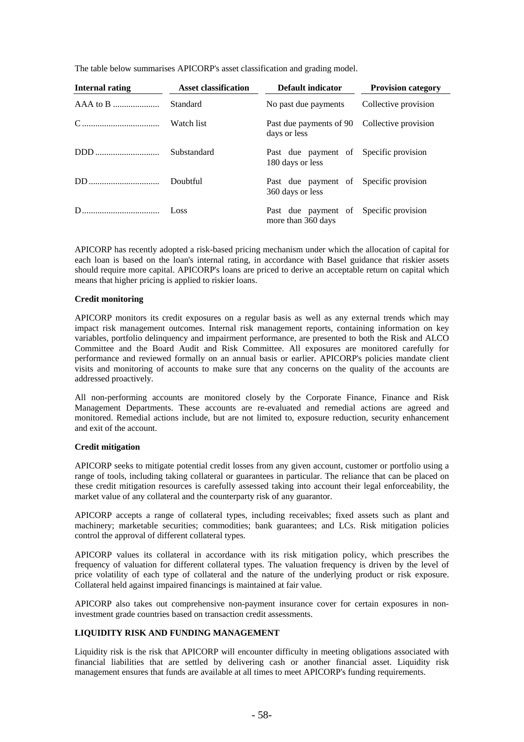The table below summarises APICORP's asset classification and grading model.

| Internal rating | <b>Asset classification</b> | Default indicator                                            | <b>Provision category</b> |
|-----------------|-----------------------------|--------------------------------------------------------------|---------------------------|
|                 | Standard                    | No past due payments                                         | Collective provision      |
|                 | Watch list                  | Past due payments of 90 Collective provision<br>days or less |                           |
|                 | Substandard                 | Past due payment of Specific provision<br>180 days or less   |                           |
|                 | Doubtful                    | Past due payment of Specific provision<br>360 days or less   |                           |
|                 |                             | Past due payment of Specific provision<br>more than 360 days |                           |

APICORP has recently adopted a risk-based pricing mechanism under which the allocation of capital for each loan is based on the loan's internal rating, in accordance with Basel guidance that riskier assets should require more capital. APICORP's loans are priced to derive an acceptable return on capital which means that higher pricing is applied to riskier loans.

### **Credit monitoring**

APICORP monitors its credit exposures on a regular basis as well as any external trends which may impact risk management outcomes. Internal risk management reports, containing information on key variables, portfolio delinquency and impairment performance, are presented to both the Risk and ALCO Committee and the Board Audit and Risk Committee. All exposures are monitored carefully for performance and reviewed formally on an annual basis or earlier. APICORP's policies mandate client visits and monitoring of accounts to make sure that any concerns on the quality of the accounts are addressed proactively.

All non-performing accounts are monitored closely by the Corporate Finance, Finance and Risk Management Departments. These accounts are re-evaluated and remedial actions are agreed and monitored. Remedial actions include, but are not limited to, exposure reduction, security enhancement and exit of the account.

#### **Credit mitigation**

APICORP seeks to mitigate potential credit losses from any given account, customer or portfolio using a range of tools, including taking collateral or guarantees in particular. The reliance that can be placed on these credit mitigation resources is carefully assessed taking into account their legal enforceability, the market value of any collateral and the counterparty risk of any guarantor.

APICORP accepts a range of collateral types, including receivables; fixed assets such as plant and machinery; marketable securities; commodities; bank guarantees; and LCs. Risk mitigation policies control the approval of different collateral types.

APICORP values its collateral in accordance with its risk mitigation policy, which prescribes the frequency of valuation for different collateral types. The valuation frequency is driven by the level of price volatility of each type of collateral and the nature of the underlying product or risk exposure. Collateral held against impaired financings is maintained at fair value.

APICORP also takes out comprehensive non-payment insurance cover for certain exposures in noninvestment grade countries based on transaction credit assessments.

### **LIQUIDITY RISK AND FUNDING MANAGEMENT**

Liquidity risk is the risk that APICORP will encounter difficulty in meeting obligations associated with financial liabilities that are settled by delivering cash or another financial asset. Liquidity risk management ensures that funds are available at all times to meet APICORP's funding requirements.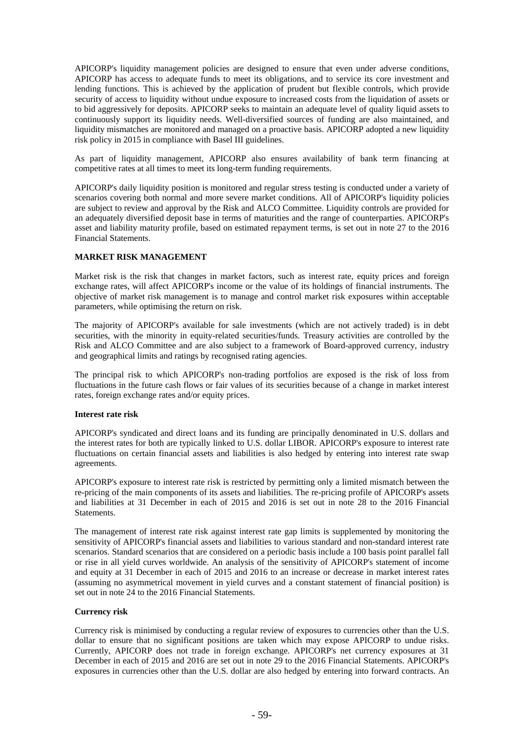APICORP's liquidity management policies are designed to ensure that even under adverse conditions, APICORP has access to adequate funds to meet its obligations, and to service its core investment and lending functions. This is achieved by the application of prudent but flexible controls, which provide security of access to liquidity without undue exposure to increased costs from the liquidation of assets or to bid aggressively for deposits. APICORP seeks to maintain an adequate level of quality liquid assets to continuously support its liquidity needs. Well-diversified sources of funding are also maintained, and liquidity mismatches are monitored and managed on a proactive basis. APICORP adopted a new liquidity risk policy in 2015 in compliance with Basel III guidelines.

As part of liquidity management, APICORP also ensures availability of bank term financing at competitive rates at all times to meet its long-term funding requirements.

APICORP's daily liquidity position is monitored and regular stress testing is conducted under a variety of scenarios covering both normal and more severe market conditions. All of APICORP's liquidity policies are subject to review and approval by the Risk and ALCO Committee. Liquidity controls are provided for an adequately diversified deposit base in terms of maturities and the range of counterparties. APICORP's asset and liability maturity profile, based on estimated repayment terms, is set out in note 27 to the 2016 Financial Statements.

### **MARKET RISK MANAGEMENT**

Market risk is the risk that changes in market factors, such as interest rate, equity prices and foreign exchange rates, will affect APICORP's income or the value of its holdings of financial instruments. The objective of market risk management is to manage and control market risk exposures within acceptable parameters, while optimising the return on risk.

The majority of APICORP's available for sale investments (which are not actively traded) is in debt securities, with the minority in equity-related securities/funds. Treasury activities are controlled by the Risk and ALCO Committee and are also subject to a framework of Board-approved currency, industry and geographical limits and ratings by recognised rating agencies.

The principal risk to which APICORP's non-trading portfolios are exposed is the risk of loss from fluctuations in the future cash flows or fair values of its securities because of a change in market interest rates, foreign exchange rates and/or equity prices.

### **Interest rate risk**

APICORP's syndicated and direct loans and its funding are principally denominated in U.S. dollars and the interest rates for both are typically linked to U.S. dollar LIBOR. APICORP's exposure to interest rate fluctuations on certain financial assets and liabilities is also hedged by entering into interest rate swap agreements.

APICORP's exposure to interest rate risk is restricted by permitting only a limited mismatch between the re-pricing of the main components of its assets and liabilities. The re-pricing profile of APICORP's assets and liabilities at 31 December in each of 2015 and 2016 is set out in note 28 to the 2016 Financial Statements.

The management of interest rate risk against interest rate gap limits is supplemented by monitoring the sensitivity of APICORP's financial assets and liabilities to various standard and non-standard interest rate scenarios. Standard scenarios that are considered on a periodic basis include a 100 basis point parallel fall or rise in all yield curves worldwide. An analysis of the sensitivity of APICORP's statement of income and equity at 31 December in each of 2015 and 2016 to an increase or decrease in market interest rates (assuming no asymmetrical movement in yield curves and a constant statement of financial position) is set out in note 24 to the 2016 Financial Statements.

#### **Currency risk**

Currency risk is minimised by conducting a regular review of exposures to currencies other than the U.S. dollar to ensure that no significant positions are taken which may expose APICORP to undue risks. Currently, APICORP does not trade in foreign exchange. APICORP's net currency exposures at 31 December in each of 2015 and 2016 are set out in note 29 to the 2016 Financial Statements. APICORP's exposures in currencies other than the U.S. dollar are also hedged by entering into forward contracts. An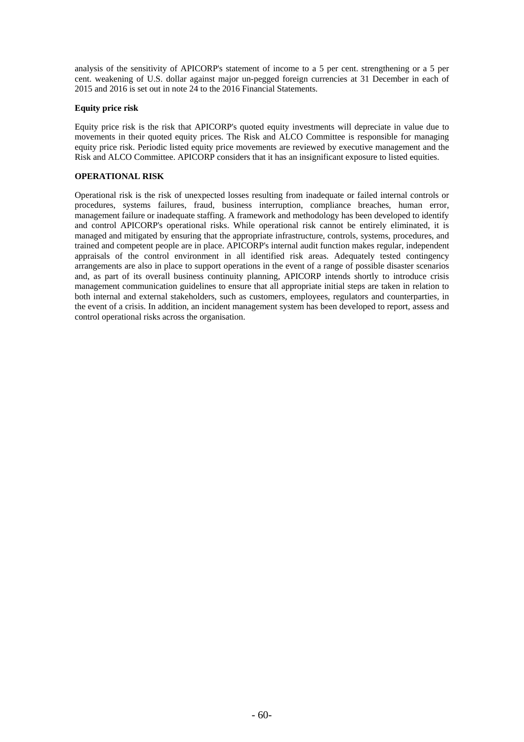analysis of the sensitivity of APICORP's statement of income to a 5 per cent. strengthening or a 5 per cent. weakening of U.S. dollar against major un-pegged foreign currencies at 31 December in each of 2015 and 2016 is set out in note 24 to the 2016 Financial Statements.

### **Equity price risk**

Equity price risk is the risk that APICORP's quoted equity investments will depreciate in value due to movements in their quoted equity prices. The Risk and ALCO Committee is responsible for managing equity price risk. Periodic listed equity price movements are reviewed by executive management and the Risk and ALCO Committee. APICORP considers that it has an insignificant exposure to listed equities.

### **OPERATIONAL RISK**

Operational risk is the risk of unexpected losses resulting from inadequate or failed internal controls or procedures, systems failures, fraud, business interruption, compliance breaches, human error, management failure or inadequate staffing. A framework and methodology has been developed to identify and control APICORP's operational risks. While operational risk cannot be entirely eliminated, it is managed and mitigated by ensuring that the appropriate infrastructure, controls, systems, procedures, and trained and competent people are in place. APICORP's internal audit function makes regular, independent appraisals of the control environment in all identified risk areas. Adequately tested contingency arrangements are also in place to support operations in the event of a range of possible disaster scenarios and, as part of its overall business continuity planning, APICORP intends shortly to introduce crisis management communication guidelines to ensure that all appropriate initial steps are taken in relation to both internal and external stakeholders, such as customers, employees, regulators and counterparties, in the event of a crisis. In addition, an incident management system has been developed to report, assess and control operational risks across the organisation.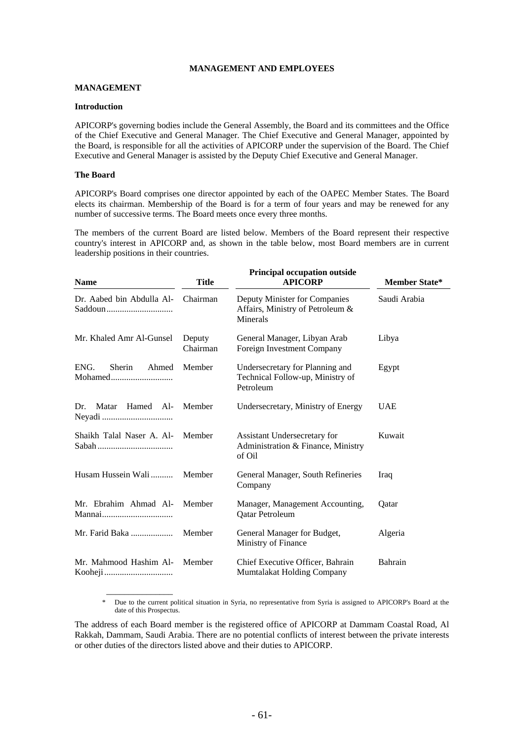### **MANAGEMENT AND EMPLOYEES**

#### **MANAGEMENT**

#### **Introduction**

APICORP's governing bodies include the General Assembly, the Board and its committees and the Office of the Chief Executive and General Manager. The Chief Executive and General Manager, appointed by the Board, is responsible for all the activities of APICORP under the supervision of the Board. The Chief Executive and General Manager is assisted by the Deputy Chief Executive and General Manager.

#### **The Board**

 $\overline{\phantom{a}}$  , which is a set of the set of the set of the set of the set of the set of the set of the set of the set of the set of the set of the set of the set of the set of the set of the set of the set of the set of th

APICORP's Board comprises one director appointed by each of the OAPEC Member States. The Board elects its chairman. Membership of the Board is for a term of four years and may be renewed for any number of successive terms. The Board meets once every three months.

The members of the current Board are listed below. Members of the Board represent their respective country's interest in APICORP and, as shown in the table below, most Board members are in current leadership positions in their countries.

| <b>Name</b>                        | Title              | <b>Principal occupation outside</b><br><b>APICORP</b>                            | <b>Member State*</b> |
|------------------------------------|--------------------|----------------------------------------------------------------------------------|----------------------|
| Dr. Aabed bin Abdulla Al-          | Chairman           | Deputy Minister for Companies<br>Affairs, Ministry of Petroleum &<br>Minerals    | Saudi Arabia         |
| Mr. Khaled Amr Al-Gunsel           | Deputy<br>Chairman | General Manager, Libyan Arab<br>Foreign Investment Company                       | Libya                |
| ENG.<br>Sherin<br>Ahmed<br>Mohamed | Member             | Undersecretary for Planning and<br>Technical Follow-up, Ministry of<br>Petroleum | Egypt                |
| Hamed Al-<br>Dr.<br>Matar          | Member             | Undersecretary, Ministry of Energy                                               | <b>UAE</b>           |
| Shaikh Talal Naser A. Al-          | Member             | Assistant Undersecretary for<br>Administration & Finance, Ministry<br>of Oil     | Kuwait               |
| Husam Hussein Wali                 | Member             | General Manager, South Refineries<br>Company                                     | Iraq                 |
| Mr. Ebrahim Ahmad Al-              | Member             | Manager, Management Accounting,<br>Qatar Petroleum                               | Qatar                |
| Mr. Farid Baka                     | Member             | General Manager for Budget,<br>Ministry of Finance                               | Algeria              |
| Mr. Mahmood Hashim Al-             | Member             | Chief Executive Officer, Bahrain<br>Mumtalakat Holding Company                   | Bahrain              |

Due to the current political situation in Syria, no representative from Syria is assigned to APICORP's Board at the date of this Prospectus.

The address of each Board member is the registered office of APICORP at Dammam Coastal Road, Al Rakkah, Dammam, Saudi Arabia. There are no potential conflicts of interest between the private interests or other duties of the directors listed above and their duties to APICORP.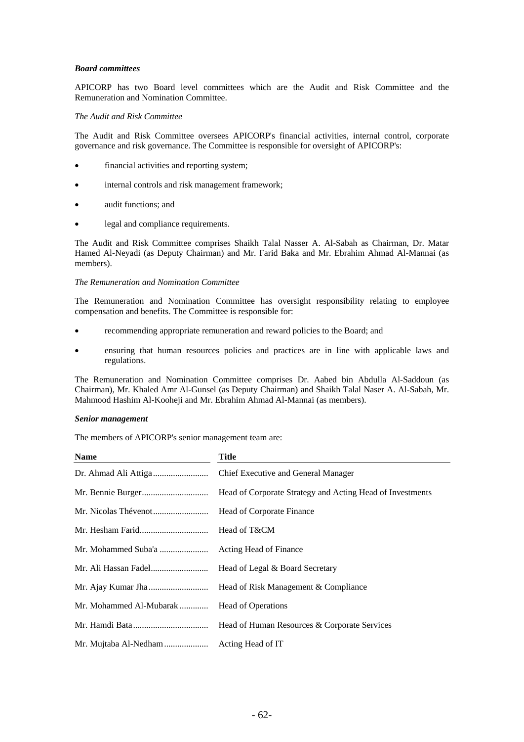# *Board committees*

APICORP has two Board level committees which are the Audit and Risk Committee and the Remuneration and Nomination Committee.

# *The Audit and Risk Committee*

The Audit and Risk Committee oversees APICORP's financial activities, internal control, corporate governance and risk governance. The Committee is responsible for oversight of APICORP's:

- financial activities and reporting system;
- internal controls and risk management framework;
- audit functions; and
- legal and compliance requirements.

The Audit and Risk Committee comprises Shaikh Talal Nasser A. Al-Sabah as Chairman, Dr. Matar Hamed Al-Neyadi (as Deputy Chairman) and Mr. Farid Baka and Mr. Ebrahim Ahmad Al-Mannai (as members).

#### *The Remuneration and Nomination Committee*

The Remuneration and Nomination Committee has oversight responsibility relating to employee compensation and benefits. The Committee is responsible for:

- recommending appropriate remuneration and reward policies to the Board; and
- ensuring that human resources policies and practices are in line with applicable laws and regulations.

The Remuneration and Nomination Committee comprises Dr. Aabed bin Abdulla Al-Saddoun (as Chairman), Mr. Khaled Amr Al-Gunsel (as Deputy Chairman) and Shaikh Talal Naser A. Al-Sabah, Mr. Mahmood Hashim Al-Kooheji and Mr. Ebrahim Ahmad Al-Mannai (as members).

# *Senior management*

The members of APICORP's senior management team are:

| Name                    | Title                                                     |
|-------------------------|-----------------------------------------------------------|
|                         | Chief Executive and General Manager                       |
|                         | Head of Corporate Strategy and Acting Head of Investments |
|                         | Head of Corporate Finance                                 |
|                         | Head of T&CM                                              |
| Mr. Mohammed Suba'a     | Acting Head of Finance                                    |
|                         | Head of Legal & Board Secretary                           |
|                         | Head of Risk Management & Compliance                      |
| Mr. Mohammed Al-Mubarak | <b>Head of Operations</b>                                 |
|                         | Head of Human Resources & Corporate Services              |
| Mr. Mujtaba Al-Nedham   | Acting Head of IT                                         |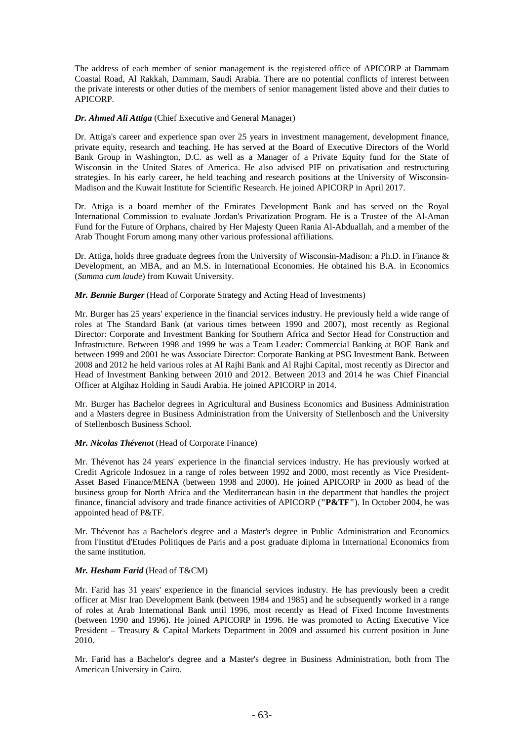The address of each member of senior management is the registered office of APICORP at Dammam Coastal Road, Al Rakkah, Dammam, Saudi Arabia. There are no potential conflicts of interest between the private interests or other duties of the members of senior management listed above and their duties to APICORP.

*Dr. Ahmed Ali Attiga* (Chief Executive and General Manager)

Dr. Attiga's career and experience span over 25 years in investment management, development finance, private equity, research and teaching. He has served at the Board of Executive Directors of the World Bank Group in Washington, D.C. as well as a Manager of a Private Equity fund for the State of Wisconsin in the United States of America. He also advised PIF on privatisation and restructuring strategies. In his early career, he held teaching and research positions at the University of Wisconsin-Madison and the Kuwait Institute for Scientific Research. He joined APICORP in April 2017.

Dr. Attiga is a board member of the Emirates Development Bank and has served on the Royal International Commission to evaluate Jordan's Privatization Program. He is a Trustee of the Al-Aman Fund for the Future of Orphans, chaired by Her Majesty Queen Rania Al-Abduallah, and a member of the Arab Thought Forum among many other various professional affiliations.

Dr. Attiga, holds three graduate degrees from the University of Wisconsin-Madison: a Ph.D. in Finance & Development, an MBA, and an M.S. in International Economies. He obtained his B.A. in Economics (*Summa cum laude*) from Kuwait University.

*Mr. Bennie Burger* (Head of Corporate Strategy and Acting Head of Investments)

Mr. Burger has 25 years' experience in the financial services industry. He previously held a wide range of roles at The Standard Bank (at various times between 1990 and 2007), most recently as Regional Director: Corporate and Investment Banking for Southern Africa and Sector Head for Construction and Infrastructure. Between 1998 and 1999 he was a Team Leader: Commercial Banking at BOE Bank and between 1999 and 2001 he was Associate Director: Corporate Banking at PSG Investment Bank. Between 2008 and 2012 he held various roles at Al Rajhi Bank and Al Rajhi Capital, most recently as Director and Head of Investment Banking between 2010 and 2012. Between 2013 and 2014 he was Chief Financial Officer at Algihaz Holding in Saudi Arabia. He joined APICORP in 2014.

Mr. Burger has Bachelor degrees in Agricultural and Business Economics and Business Administration and a Masters degree in Business Administration from the University of Stellenbosch and the University of Stellenbosch Business School.

# *Mr. Nicolas Thévenot* (Head of Corporate Finance)

Mr. Thévenot has 24 years' experience in the financial services industry. He has previously worked at Credit Agricole Indosuez in a range of roles between 1992 and 2000, most recently as Vice President-Asset Based Finance/MENA (between 1998 and 2000). He joined APICORP in 2000 as head of the business group for North Africa and the Mediterranean basin in the department that handles the project finance, financial advisory and trade finance activities of APICORP (**"P&TF"**). In October 2004, he was appointed head of P&TF.

Mr. Thévenot has a Bachelor's degree and a Master's degree in Public Administration and Economics from l'Institut d'Etudes Politiques de Paris and a post graduate diploma in International Economics from the same institution.

# *Mr. Hesham Farid* (Head of T&CM)

Mr. Farid has 31 years' experience in the financial services industry. He has previously been a credit officer at Misr Iran Development Bank (between 1984 and 1985) and he subsequently worked in a range of roles at Arab International Bank until 1996, most recently as Head of Fixed Income Investments (between 1990 and 1996). He joined APICORP in 1996. He was promoted to Acting Executive Vice President – Treasury & Capital Markets Department in 2009 and assumed his current position in June 2010.

Mr. Farid has a Bachelor's degree and a Master's degree in Business Administration, both from The American University in Cairo.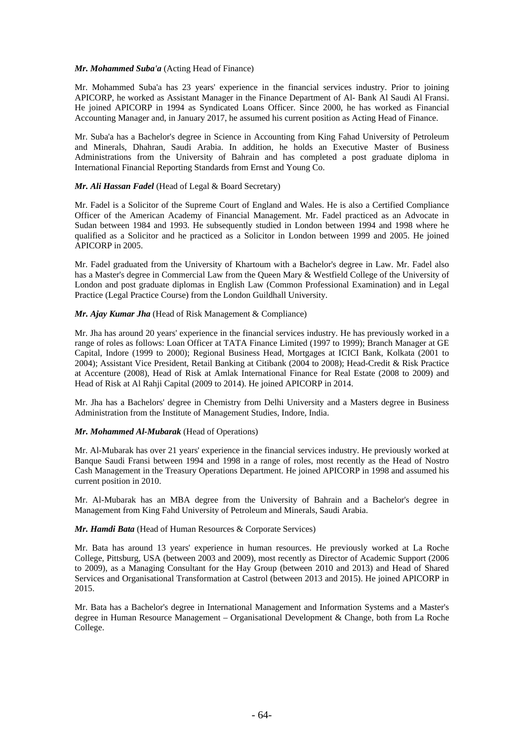# *Mr. Mohammed Suba'a* (Acting Head of Finance)

Mr. Mohammed Suba'a has 23 years' experience in the financial services industry. Prior to joining APICORP, he worked as Assistant Manager in the Finance Department of Al- Bank Al Saudi Al Fransi. He joined APICORP in 1994 as Syndicated Loans Officer. Since 2000, he has worked as Financial Accounting Manager and, in January 2017, he assumed his current position as Acting Head of Finance.

Mr. Suba'a has a Bachelor's degree in Science in Accounting from King Fahad University of Petroleum and Minerals, Dhahran, Saudi Arabia. In addition, he holds an Executive Master of Business Administrations from the University of Bahrain and has completed a post graduate diploma in International Financial Reporting Standards from Ernst and Young Co.

# *Mr. Ali Hassan Fadel* (Head of Legal & Board Secretary)

Mr. Fadel is a Solicitor of the Supreme Court of England and Wales. He is also a Certified Compliance Officer of the American Academy of Financial Management. Mr. Fadel practiced as an Advocate in Sudan between 1984 and 1993. He subsequently studied in London between 1994 and 1998 where he qualified as a Solicitor and he practiced as a Solicitor in London between 1999 and 2005. He joined APICORP in 2005.

Mr. Fadel graduated from the University of Khartoum with a Bachelor's degree in Law. Mr. Fadel also has a Master's degree in Commercial Law from the Queen Mary & Westfield College of the University of London and post graduate diplomas in English Law (Common Professional Examination) and in Legal Practice (Legal Practice Course) from the London Guildhall University.

# *Mr. Ajay Kumar Jha* (Head of Risk Management & Compliance)

Mr. Jha has around 20 years' experience in the financial services industry. He has previously worked in a range of roles as follows: Loan Officer at TATA Finance Limited (1997 to 1999); Branch Manager at GE Capital, Indore (1999 to 2000); Regional Business Head, Mortgages at ICICI Bank, Kolkata (2001 to 2004); Assistant Vice President, Retail Banking at Citibank (2004 to 2008); Head-Credit & Risk Practice at Accenture (2008), Head of Risk at Amlak International Finance for Real Estate (2008 to 2009) and Head of Risk at Al Rahji Capital (2009 to 2014). He joined APICORP in 2014.

Mr. Jha has a Bachelors' degree in Chemistry from Delhi University and a Masters degree in Business Administration from the Institute of Management Studies, Indore, India.

# *Mr. Mohammed Al-Mubarak* (Head of Operations)

Mr. Al-Mubarak has over 21 years' experience in the financial services industry. He previously worked at Banque Saudi Fransi between 1994 and 1998 in a range of roles, most recently as the Head of Nostro Cash Management in the Treasury Operations Department. He joined APICORP in 1998 and assumed his current position in 2010.

Mr. Al-Mubarak has an MBA degree from the University of Bahrain and a Bachelor's degree in Management from King Fahd University of Petroleum and Minerals, Saudi Arabia.

#### *Mr. Hamdi Bata* (Head of Human Resources & Corporate Services)

Mr. Bata has around 13 years' experience in human resources. He previously worked at La Roche College, Pittsburg, USA (between 2003 and 2009), most recently as Director of Academic Support (2006 to 2009), as a Managing Consultant for the Hay Group (between 2010 and 2013) and Head of Shared Services and Organisational Transformation at Castrol (between 2013 and 2015). He joined APICORP in 2015.

Mr. Bata has a Bachelor's degree in International Management and Information Systems and a Master's degree in Human Resource Management – Organisational Development & Change, both from La Roche College.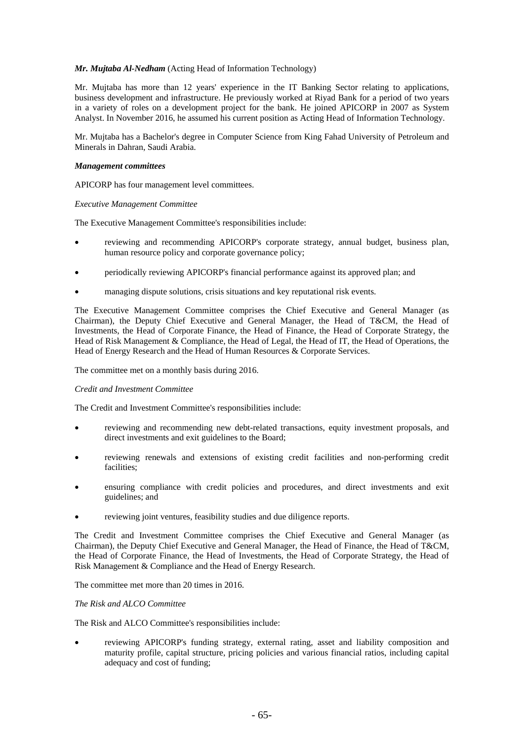# *Mr. Mujtaba Al-Nedham* (Acting Head of Information Technology)

Mr. Mujtaba has more than 12 years' experience in the IT Banking Sector relating to applications, business development and infrastructure. He previously worked at Riyad Bank for a period of two years in a variety of roles on a development project for the bank. He joined APICORP in 2007 as System Analyst. In November 2016, he assumed his current position as Acting Head of Information Technology.

Mr. Mujtaba has a Bachelor's degree in Computer Science from King Fahad University of Petroleum and Minerals in Dahran, Saudi Arabia.

#### *Management committees*

APICORP has four management level committees.

#### *Executive Management Committee*

The Executive Management Committee's responsibilities include:

- reviewing and recommending APICORP's corporate strategy, annual budget, business plan, human resource policy and corporate governance policy;
- periodically reviewing APICORP's financial performance against its approved plan; and
- managing dispute solutions, crisis situations and key reputational risk events.

The Executive Management Committee comprises the Chief Executive and General Manager (as Chairman), the Deputy Chief Executive and General Manager, the Head of T&CM, the Head of Investments, the Head of Corporate Finance, the Head of Finance, the Head of Corporate Strategy, the Head of Risk Management & Compliance, the Head of Legal, the Head of IT, the Head of Operations, the Head of Energy Research and the Head of Human Resources & Corporate Services.

The committee met on a monthly basis during 2016.

#### *Credit and Investment Committee*

The Credit and Investment Committee's responsibilities include:

- reviewing and recommending new debt-related transactions, equity investment proposals, and direct investments and exit guidelines to the Board;
- reviewing renewals and extensions of existing credit facilities and non-performing credit facilities;
- ensuring compliance with credit policies and procedures, and direct investments and exit guidelines; and
- reviewing joint ventures, feasibility studies and due diligence reports.

The Credit and Investment Committee comprises the Chief Executive and General Manager (as Chairman), the Deputy Chief Executive and General Manager, the Head of Finance, the Head of T&CM, the Head of Corporate Finance, the Head of Investments, the Head of Corporate Strategy, the Head of Risk Management & Compliance and the Head of Energy Research.

The committee met more than 20 times in 2016.

# *The Risk and ALCO Committee*

The Risk and ALCO Committee's responsibilities include:

 reviewing APICORP's funding strategy, external rating, asset and liability composition and maturity profile, capital structure, pricing policies and various financial ratios, including capital adequacy and cost of funding;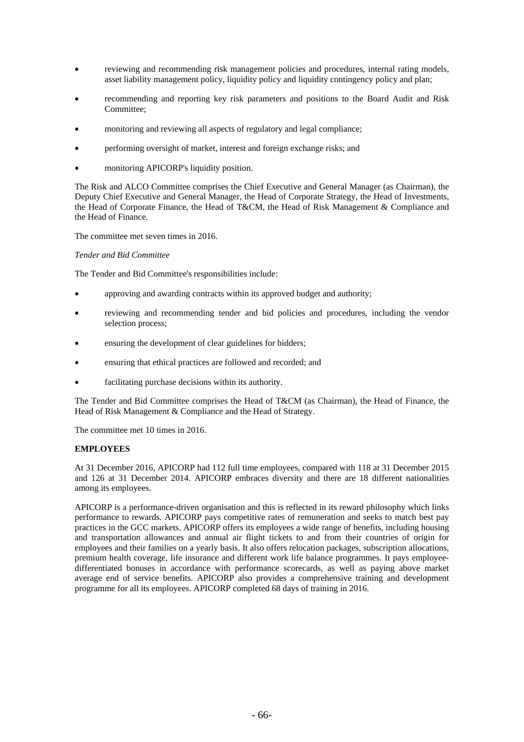- reviewing and recommending risk management policies and procedures, internal rating models, asset liability management policy, liquidity policy and liquidity contingency policy and plan;
- recommending and reporting key risk parameters and positions to the Board Audit and Risk Committee;
- monitoring and reviewing all aspects of regulatory and legal compliance;
- performing oversight of market, interest and foreign exchange risks; and
- monitoring APICORP's liquidity position.

The Risk and ALCO Committee comprises the Chief Executive and General Manager (as Chairman), the Deputy Chief Executive and General Manager, the Head of Corporate Strategy, the Head of Investments, the Head of Corporate Finance, the Head of T&CM, the Head of Risk Management & Compliance and the Head of Finance.

The committee met seven times in 2016.

# *Tender and Bid Committee*

The Tender and Bid Committee's responsibilities include:

- approving and awarding contracts within its approved budget and authority;
- reviewing and recommending tender and bid policies and procedures, including the vendor selection process;
- ensuring the development of clear guidelines for bidders;
- ensuring that ethical practices are followed and recorded; and
- facilitating purchase decisions within its authority.

The Tender and Bid Committee comprises the Head of T&CM (as Chairman), the Head of Finance, the Head of Risk Management & Compliance and the Head of Strategy.

The committee met 10 times in 2016.

# **EMPLOYEES**

At 31 December 2016, APICORP had 112 full time employees, compared with 118 at 31 December 2015 and 126 at 31 December 2014. APICORP embraces diversity and there are 18 different nationalities among its employees.

APICORP is a performance-driven organisation and this is reflected in its reward philosophy which links performance to rewards. APICORP pays competitive rates of remuneration and seeks to match best pay practices in the GCC markets. APICORP offers its employees a wide range of benefits, including housing and transportation allowances and annual air flight tickets to and from their countries of origin for employees and their families on a yearly basis. It also offers relocation packages, subscription allocations, premium health coverage, life insurance and different work life balance programmes. It pays employeedifferentiated bonuses in accordance with performance scorecards, as well as paying above market average end of service benefits. APICORP also provides a comprehensive training and development programme for all its employees. APICORP completed 68 days of training in 2016.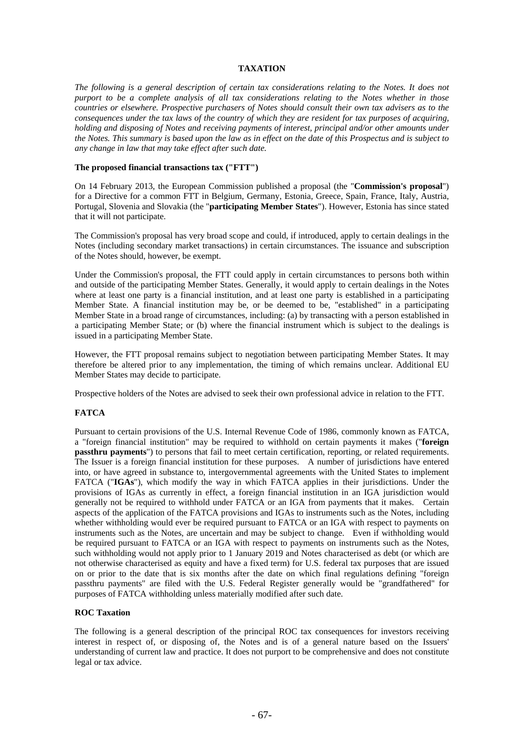# **TAXATION**

*The following is a general description of certain tax considerations relating to the Notes. It does not purport to be a complete analysis of all tax considerations relating to the Notes whether in those countries or elsewhere. Prospective purchasers of Notes should consult their own tax advisers as to the consequences under the tax laws of the country of which they are resident for tax purposes of acquiring, holding and disposing of Notes and receiving payments of interest, principal and/or other amounts under the Notes. This summary is based upon the law as in effect on the date of this Prospectus and is subject to any change in law that may take effect after such date.* 

# **The proposed financial transactions tax ("FTT")**

On 14 February 2013, the European Commission published a proposal (the "**Commission's proposal**") for a Directive for a common FTT in Belgium, Germany, Estonia, Greece, Spain, France, Italy, Austria, Portugal, Slovenia and Slovakia (the "**participating Member States**"). However, Estonia has since stated that it will not participate.

The Commission's proposal has very broad scope and could, if introduced, apply to certain dealings in the Notes (including secondary market transactions) in certain circumstances. The issuance and subscription of the Notes should, however, be exempt.

Under the Commission's proposal, the FTT could apply in certain circumstances to persons both within and outside of the participating Member States. Generally, it would apply to certain dealings in the Notes where at least one party is a financial institution, and at least one party is established in a participating Member State. A financial institution may be, or be deemed to be, "established" in a participating Member State in a broad range of circumstances, including: (a) by transacting with a person established in a participating Member State; or (b) where the financial instrument which is subject to the dealings is issued in a participating Member State.

However, the FTT proposal remains subject to negotiation between participating Member States. It may therefore be altered prior to any implementation, the timing of which remains unclear. Additional EU Member States may decide to participate.

Prospective holders of the Notes are advised to seek their own professional advice in relation to the FTT.

## **FATCA**

Pursuant to certain provisions of the U.S. Internal Revenue Code of 1986, commonly known as FATCA, a "foreign financial institution" may be required to withhold on certain payments it makes ("**foreign passthru payments**") to persons that fail to meet certain certification, reporting, or related requirements. The Issuer is a foreign financial institution for these purposes. A number of jurisdictions have entered into, or have agreed in substance to, intergovernmental agreements with the United States to implement FATCA ("**IGAs**"), which modify the way in which FATCA applies in their jurisdictions. Under the provisions of IGAs as currently in effect, a foreign financial institution in an IGA jurisdiction would generally not be required to withhold under FATCA or an IGA from payments that it makes. Certain aspects of the application of the FATCA provisions and IGAs to instruments such as the Notes, including whether withholding would ever be required pursuant to FATCA or an IGA with respect to payments on instruments such as the Notes, are uncertain and may be subject to change. Even if withholding would be required pursuant to FATCA or an IGA with respect to payments on instruments such as the Notes, such withholding would not apply prior to 1 January 2019 and Notes characterised as debt (or which are not otherwise characterised as equity and have a fixed term) for U.S. federal tax purposes that are issued on or prior to the date that is six months after the date on which final regulations defining "foreign passthru payments" are filed with the U.S. Federal Register generally would be "grandfathered" for purposes of FATCA withholding unless materially modified after such date.

#### **ROC Taxation**

The following is a general description of the principal ROC tax consequences for investors receiving interest in respect of, or disposing of, the Notes and is of a general nature based on the Issuers' understanding of current law and practice. It does not purport to be comprehensive and does not constitute legal or tax advice.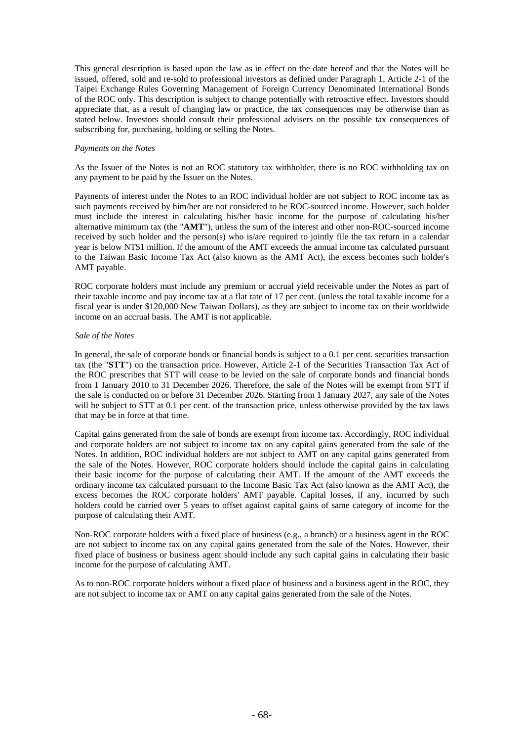This general description is based upon the law as in effect on the date hereof and that the Notes will be issued, offered, sold and re-sold to professional investors as defined under Paragraph 1, Article 2-1 of the Taipei Exchange Rules Governing Management of Foreign Currency Denominated International Bonds of the ROC only. This description is subject to change potentially with retroactive effect. Investors should appreciate that, as a result of changing law or practice, the tax consequences may be otherwise than as stated below. Investors should consult their professional advisers on the possible tax consequences of subscribing for, purchasing, holding or selling the Notes.

# *Payments on the Notes*

As the Issuer of the Notes is not an ROC statutory tax withholder, there is no ROC withholding tax on any payment to be paid by the Issuer on the Notes.

Payments of interest under the Notes to an ROC individual holder are not subject to ROC income tax as such payments received by him/her are not considered to be ROC-sourced income. However, such holder must include the interest in calculating his/her basic income for the purpose of calculating his/her alternative minimum tax (the "**AMT**"), unless the sum of the interest and other non-ROC-sourced income received by such holder and the person(s) who is/are required to jointly file the tax return in a calendar year is below NT\$1 million. If the amount of the AMT exceeds the annual income tax calculated pursuant to the Taiwan Basic Income Tax Act (also known as the AMT Act), the excess becomes such holder's AMT payable.

ROC corporate holders must include any premium or accrual yield receivable under the Notes as part of their taxable income and pay income tax at a flat rate of 17 per cent. (unless the total taxable income for a fiscal year is under \$120,000 New Taiwan Dollars), as they are subject to income tax on their worldwide income on an accrual basis. The AMT is not applicable.

# *Sale of the Notes*

In general, the sale of corporate bonds or financial bonds is subject to a 0.1 per cent. securities transaction tax (the "**STT**") on the transaction price. However, Article 2-1 of the Securities Transaction Tax Act of the ROC prescribes that STT will cease to be levied on the sale of corporate bonds and financial bonds from 1 January 2010 to 31 December 2026. Therefore, the sale of the Notes will be exempt from STT if the sale is conducted on or before 31 December 2026. Starting from 1 January 2027, any sale of the Notes will be subject to STT at 0.1 per cent. of the transaction price, unless otherwise provided by the tax laws that may be in force at that time.

Capital gains generated from the sale of bonds are exempt from income tax. Accordingly, ROC individual and corporate holders are not subject to income tax on any capital gains generated from the sale of the Notes. In addition, ROC individual holders are not subject to AMT on any capital gains generated from the sale of the Notes. However, ROC corporate holders should include the capital gains in calculating their basic income for the purpose of calculating their AMT. If the amount of the AMT exceeds the ordinary income tax calculated pursuant to the Income Basic Tax Act (also known as the AMT Act), the excess becomes the ROC corporate holders' AMT payable. Capital losses, if any, incurred by such holders could be carried over 5 years to offset against capital gains of same category of income for the purpose of calculating their AMT.

Non-ROC corporate holders with a fixed place of business (e.g., a branch) or a business agent in the ROC are not subject to income tax on any capital gains generated from the sale of the Notes. However, their fixed place of business or business agent should include any such capital gains in calculating their basic income for the purpose of calculating AMT.

As to non-ROC corporate holders without a fixed place of business and a business agent in the ROC, they are not subject to income tax or AMT on any capital gains generated from the sale of the Notes.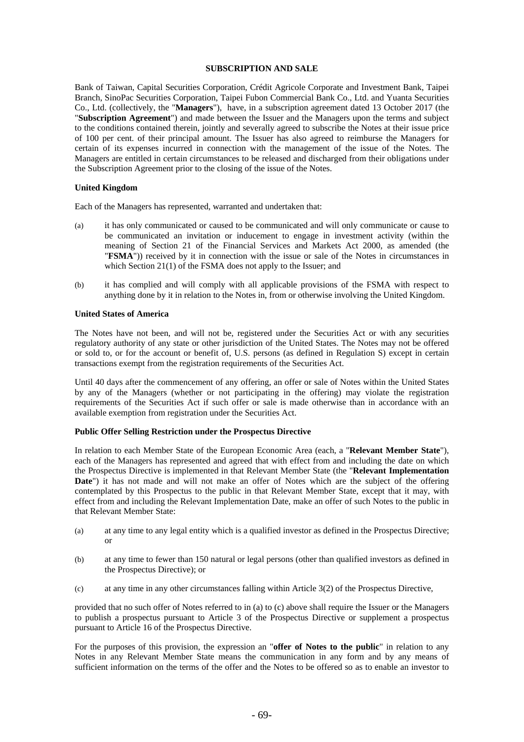### **SUBSCRIPTION AND SALE**

Bank of Taiwan, Capital Securities Corporation, Crédit Agricole Corporate and Investment Bank, Taipei Branch, SinoPac Securities Corporation, Taipei Fubon Commercial Bank Co., Ltd. and Yuanta Securities Co., Ltd. (collectively, the "**Managers**"), have, in a subscription agreement dated 13 October 2017 (the "**Subscription Agreement**") and made between the Issuer and the Managers upon the terms and subject to the conditions contained therein, jointly and severally agreed to subscribe the Notes at their issue price of 100 per cent. of their principal amount. The Issuer has also agreed to reimburse the Managers for certain of its expenses incurred in connection with the management of the issue of the Notes. The Managers are entitled in certain circumstances to be released and discharged from their obligations under the Subscription Agreement prior to the closing of the issue of the Notes.

# **United Kingdom**

Each of the Managers has represented, warranted and undertaken that:

- (a) it has only communicated or caused to be communicated and will only communicate or cause to be communicated an invitation or inducement to engage in investment activity (within the meaning of Section 21 of the Financial Services and Markets Act 2000, as amended (the "**FSMA**")) received by it in connection with the issue or sale of the Notes in circumstances in which Section 21(1) of the FSMA does not apply to the Issuer; and
- (b) it has complied and will comply with all applicable provisions of the FSMA with respect to anything done by it in relation to the Notes in, from or otherwise involving the United Kingdom.

# **United States of America**

The Notes have not been, and will not be, registered under the Securities Act or with any securities regulatory authority of any state or other jurisdiction of the United States. The Notes may not be offered or sold to, or for the account or benefit of, U.S. persons (as defined in Regulation S) except in certain transactions exempt from the registration requirements of the Securities Act.

Until 40 days after the commencement of any offering, an offer or sale of Notes within the United States by any of the Managers (whether or not participating in the offering) may violate the registration requirements of the Securities Act if such offer or sale is made otherwise than in accordance with an available exemption from registration under the Securities Act.

#### **Public Offer Selling Restriction under the Prospectus Directive**

In relation to each Member State of the European Economic Area (each, a "**Relevant Member State**"), each of the Managers has represented and agreed that with effect from and including the date on which the Prospectus Directive is implemented in that Relevant Member State (the "**Relevant Implementation**  Date") it has not made and will not make an offer of Notes which are the subject of the offering contemplated by this Prospectus to the public in that Relevant Member State, except that it may, with effect from and including the Relevant Implementation Date, make an offer of such Notes to the public in that Relevant Member State:

- (a) at any time to any legal entity which is a qualified investor as defined in the Prospectus Directive; or
- (b) at any time to fewer than 150 natural or legal persons (other than qualified investors as defined in the Prospectus Directive); or
- (c) at any time in any other circumstances falling within Article 3(2) of the Prospectus Directive,

provided that no such offer of Notes referred to in (a) to (c) above shall require the Issuer or the Managers to publish a prospectus pursuant to Article 3 of the Prospectus Directive or supplement a prospectus pursuant to Article 16 of the Prospectus Directive.

For the purposes of this provision, the expression an "**offer of Notes to the public**" in relation to any Notes in any Relevant Member State means the communication in any form and by any means of sufficient information on the terms of the offer and the Notes to be offered so as to enable an investor to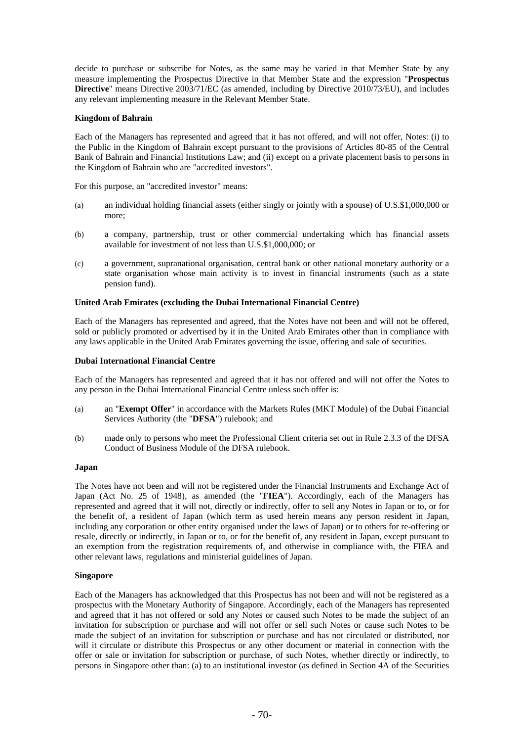decide to purchase or subscribe for Notes, as the same may be varied in that Member State by any measure implementing the Prospectus Directive in that Member State and the expression "**Prospectus Directive**" means Directive 2003/71/EC (as amended, including by Directive 2010/73/EU), and includes any relevant implementing measure in the Relevant Member State.

# **Kingdom of Bahrain**

Each of the Managers has represented and agreed that it has not offered, and will not offer, Notes: (i) to the Public in the Kingdom of Bahrain except pursuant to the provisions of Articles 80-85 of the Central Bank of Bahrain and Financial Institutions Law; and (ii) except on a private placement basis to persons in the Kingdom of Bahrain who are "accredited investors".

For this purpose, an "accredited investor" means:

- (a) an individual holding financial assets (either singly or jointly with a spouse) of U.S.\$1,000,000 or more;
- (b) a company, partnership, trust or other commercial undertaking which has financial assets available for investment of not less than U.S.\$1,000,000; or
- (c) a government, supranational organisation, central bank or other national monetary authority or a state organisation whose main activity is to invest in financial instruments (such as a state pension fund).

# **United Arab Emirates (excluding the Dubai International Financial Centre)**

Each of the Managers has represented and agreed, that the Notes have not been and will not be offered, sold or publicly promoted or advertised by it in the United Arab Emirates other than in compliance with any laws applicable in the United Arab Emirates governing the issue, offering and sale of securities.

### **Dubai International Financial Centre**

Each of the Managers has represented and agreed that it has not offered and will not offer the Notes to any person in the Dubai International Financial Centre unless such offer is:

- (a) an "**Exempt Offer**" in accordance with the Markets Rules (MKT Module) of the Dubai Financial Services Authority (the "**DFSA**") rulebook; and
- (b) made only to persons who meet the Professional Client criteria set out in Rule 2.3.3 of the DFSA Conduct of Business Module of the DFSA rulebook.

### **Japan**

The Notes have not been and will not be registered under the Financial Instruments and Exchange Act of Japan (Act No. 25 of 1948), as amended (the "**FIEA**"). Accordingly, each of the Managers has represented and agreed that it will not, directly or indirectly, offer to sell any Notes in Japan or to, or for the benefit of, a resident of Japan (which term as used herein means any person resident in Japan, including any corporation or other entity organised under the laws of Japan) or to others for re-offering or resale, directly or indirectly, in Japan or to, or for the benefit of, any resident in Japan, except pursuant to an exemption from the registration requirements of, and otherwise in compliance with, the FIEA and other relevant laws, regulations and ministerial guidelines of Japan.

#### **Singapore**

Each of the Managers has acknowledged that this Prospectus has not been and will not be registered as a prospectus with the Monetary Authority of Singapore. Accordingly, each of the Managers has represented and agreed that it has not offered or sold any Notes or caused such Notes to be made the subject of an invitation for subscription or purchase and will not offer or sell such Notes or cause such Notes to be made the subject of an invitation for subscription or purchase and has not circulated or distributed, nor will it circulate or distribute this Prospectus or any other document or material in connection with the offer or sale or invitation for subscription or purchase, of such Notes, whether directly or indirectly, to persons in Singapore other than: (a) to an institutional investor (as defined in Section 4A of the Securities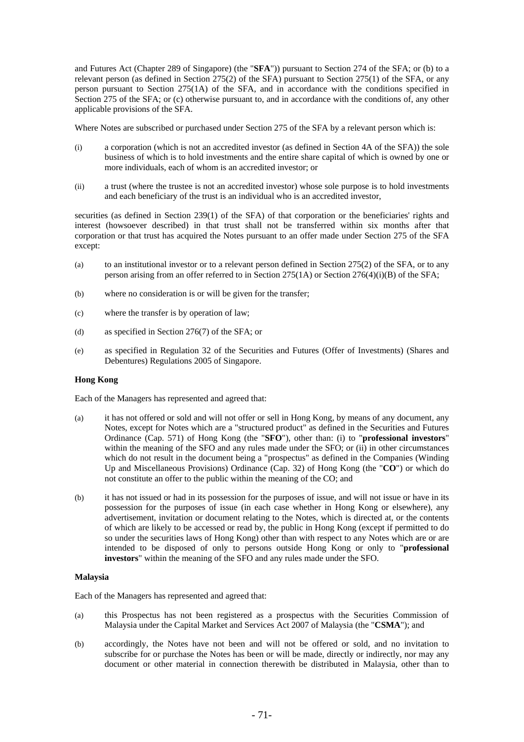and Futures Act (Chapter 289 of Singapore) (the "**SFA**")) pursuant to Section 274 of the SFA; or (b) to a relevant person (as defined in Section 275(2) of the SFA) pursuant to Section 275(1) of the SFA, or any person pursuant to Section 275(1A) of the SFA, and in accordance with the conditions specified in Section 275 of the SFA; or (c) otherwise pursuant to, and in accordance with the conditions of, any other applicable provisions of the SFA.

Where Notes are subscribed or purchased under Section 275 of the SFA by a relevant person which is:

- (i) a corporation (which is not an accredited investor (as defined in Section 4A of the SFA)) the sole business of which is to hold investments and the entire share capital of which is owned by one or more individuals, each of whom is an accredited investor; or
- (ii) a trust (where the trustee is not an accredited investor) whose sole purpose is to hold investments and each beneficiary of the trust is an individual who is an accredited investor,

securities (as defined in Section 239(1) of the SFA) of that corporation or the beneficiaries' rights and interest (howsoever described) in that trust shall not be transferred within six months after that corporation or that trust has acquired the Notes pursuant to an offer made under Section 275 of the SFA except:

- (a) to an institutional investor or to a relevant person defined in Section 275(2) of the SFA, or to any person arising from an offer referred to in Section 275(1A) or Section 276(4)(i)(B) of the SFA;
- (b) where no consideration is or will be given for the transfer;
- (c) where the transfer is by operation of law;
- (d) as specified in Section 276(7) of the SFA; or
- (e) as specified in Regulation 32 of the Securities and Futures (Offer of Investments) (Shares and Debentures) Regulations 2005 of Singapore.

# **Hong Kong**

Each of the Managers has represented and agreed that:

- (a) it has not offered or sold and will not offer or sell in Hong Kong, by means of any document, any Notes, except for Notes which are a "structured product" as defined in the Securities and Futures Ordinance (Cap. 571) of Hong Kong (the "**SFO**"), other than: (i) to "**professional investors**" within the meaning of the SFO and any rules made under the SFO; or (ii) in other circumstances which do not result in the document being a "prospectus" as defined in the Companies (Winding Up and Miscellaneous Provisions) Ordinance (Cap. 32) of Hong Kong (the "**CO**") or which do not constitute an offer to the public within the meaning of the CO; and
- (b) it has not issued or had in its possession for the purposes of issue, and will not issue or have in its possession for the purposes of issue (in each case whether in Hong Kong or elsewhere), any advertisement, invitation or document relating to the Notes, which is directed at, or the contents of which are likely to be accessed or read by, the public in Hong Kong (except if permitted to do so under the securities laws of Hong Kong) other than with respect to any Notes which are or are intended to be disposed of only to persons outside Hong Kong or only to "**professional investors**" within the meaning of the SFO and any rules made under the SFO.

# **Malaysia**

Each of the Managers has represented and agreed that:

- (a) this Prospectus has not been registered as a prospectus with the Securities Commission of Malaysia under the Capital Market and Services Act 2007 of Malaysia (the "**CSMA**"); and
- (b) accordingly, the Notes have not been and will not be offered or sold, and no invitation to subscribe for or purchase the Notes has been or will be made, directly or indirectly, nor may any document or other material in connection therewith be distributed in Malaysia, other than to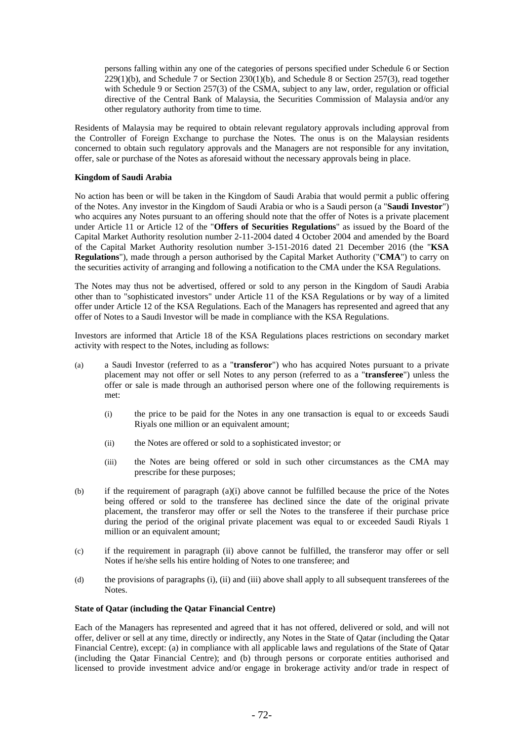persons falling within any one of the categories of persons specified under Schedule 6 or Section  $229(1)(b)$ , and Schedule 7 or Section 230(1)(b), and Schedule 8 or Section 257(3), read together with Schedule 9 or Section 257(3) of the CSMA, subject to any law, order, regulation or official directive of the Central Bank of Malaysia, the Securities Commission of Malaysia and/or any other regulatory authority from time to time.

Residents of Malaysia may be required to obtain relevant regulatory approvals including approval from the Controller of Foreign Exchange to purchase the Notes. The onus is on the Malaysian residents concerned to obtain such regulatory approvals and the Managers are not responsible for any invitation, offer, sale or purchase of the Notes as aforesaid without the necessary approvals being in place.

# **Kingdom of Saudi Arabia**

No action has been or will be taken in the Kingdom of Saudi Arabia that would permit a public offering of the Notes. Any investor in the Kingdom of Saudi Arabia or who is a Saudi person (a "**Saudi Investor**") who acquires any Notes pursuant to an offering should note that the offer of Notes is a private placement under Article 11 or Article 12 of the "**Offers of Securities Regulations**" as issued by the Board of the Capital Market Authority resolution number 2-11-2004 dated 4 October 2004 and amended by the Board of the Capital Market Authority resolution number 3-151-2016 dated 21 December 2016 (the "**KSA Regulations**"), made through a person authorised by the Capital Market Authority ("**CMA**") to carry on the securities activity of arranging and following a notification to the CMA under the KSA Regulations.

The Notes may thus not be advertised, offered or sold to any person in the Kingdom of Saudi Arabia other than to "sophisticated investors" under Article 11 of the KSA Regulations or by way of a limited offer under Article 12 of the KSA Regulations. Each of the Managers has represented and agreed that any offer of Notes to a Saudi Investor will be made in compliance with the KSA Regulations.

Investors are informed that Article 18 of the KSA Regulations places restrictions on secondary market activity with respect to the Notes, including as follows:

- (a) a Saudi Investor (referred to as a "**transferor**") who has acquired Notes pursuant to a private placement may not offer or sell Notes to any person (referred to as a "**transferee**") unless the offer or sale is made through an authorised person where one of the following requirements is met:
	- (i) the price to be paid for the Notes in any one transaction is equal to or exceeds Saudi Riyals one million or an equivalent amount;
	- (ii) the Notes are offered or sold to a sophisticated investor; or
	- (iii) the Notes are being offered or sold in such other circumstances as the CMA may prescribe for these purposes;
- (b) if the requirement of paragraph (a)(i) above cannot be fulfilled because the price of the Notes being offered or sold to the transferee has declined since the date of the original private placement, the transferor may offer or sell the Notes to the transferee if their purchase price during the period of the original private placement was equal to or exceeded Saudi Riyals 1 million or an equivalent amount;
- (c) if the requirement in paragraph (ii) above cannot be fulfilled, the transferor may offer or sell Notes if he/she sells his entire holding of Notes to one transferee; and
- (d) the provisions of paragraphs (i), (ii) and (iii) above shall apply to all subsequent transferees of the Notes.

# **State of Qatar (including the Qatar Financial Centre)**

Each of the Managers has represented and agreed that it has not offered, delivered or sold, and will not offer, deliver or sell at any time, directly or indirectly, any Notes in the State of Qatar (including the Qatar Financial Centre), except: (a) in compliance with all applicable laws and regulations of the State of Qatar (including the Qatar Financial Centre); and (b) through persons or corporate entities authorised and licensed to provide investment advice and/or engage in brokerage activity and/or trade in respect of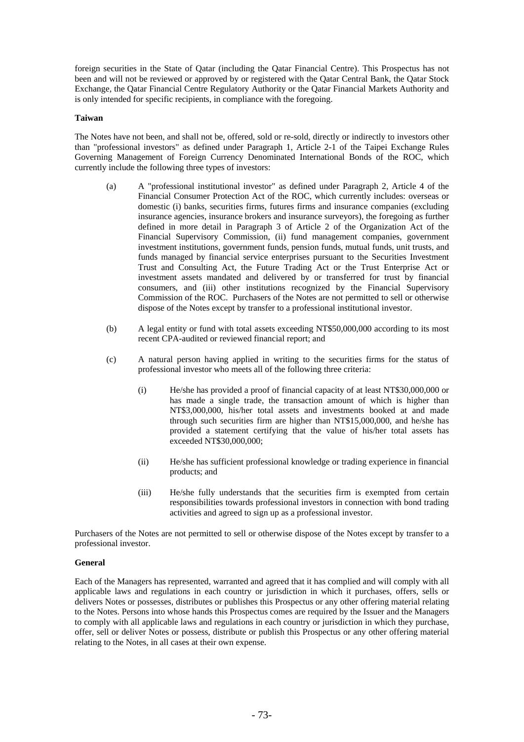foreign securities in the State of Qatar (including the Qatar Financial Centre). This Prospectus has not been and will not be reviewed or approved by or registered with the Qatar Central Bank, the Qatar Stock Exchange, the Qatar Financial Centre Regulatory Authority or the Qatar Financial Markets Authority and is only intended for specific recipients, in compliance with the foregoing.

### **Taiwan**

The Notes have not been, and shall not be, offered, sold or re-sold, directly or indirectly to investors other than "professional investors" as defined under Paragraph 1, Article 2-1 of the Taipei Exchange Rules Governing Management of Foreign Currency Denominated International Bonds of the ROC, which currently include the following three types of investors:

- (a) A "professional institutional investor" as defined under Paragraph 2, Article 4 of the Financial Consumer Protection Act of the ROC, which currently includes: overseas or domestic (i) banks, securities firms, futures firms and insurance companies (excluding insurance agencies, insurance brokers and insurance surveyors), the foregoing as further defined in more detail in Paragraph 3 of Article 2 of the Organization Act of the Financial Supervisory Commission, (ii) fund management companies, government investment institutions, government funds, pension funds, mutual funds, unit trusts, and funds managed by financial service enterprises pursuant to the Securities Investment Trust and Consulting Act, the Future Trading Act or the Trust Enterprise Act or investment assets mandated and delivered by or transferred for trust by financial consumers, and (iii) other institutions recognized by the Financial Supervisory Commission of the ROC. Purchasers of the Notes are not permitted to sell or otherwise dispose of the Notes except by transfer to a professional institutional investor.
- (b) A legal entity or fund with total assets exceeding NT\$50,000,000 according to its most recent CPA-audited or reviewed financial report; and
- (c) A natural person having applied in writing to the securities firms for the status of professional investor who meets all of the following three criteria:
	- (i) He/she has provided a proof of financial capacity of at least NT\$30,000,000 or has made a single trade, the transaction amount of which is higher than NT\$3,000,000, his/her total assets and investments booked at and made through such securities firm are higher than NT\$15,000,000, and he/she has provided a statement certifying that the value of his/her total assets has exceeded NT\$30,000,000;
	- (ii) He/she has sufficient professional knowledge or trading experience in financial products; and
	- (iii) He/she fully understands that the securities firm is exempted from certain responsibilities towards professional investors in connection with bond trading activities and agreed to sign up as a professional investor.

Purchasers of the Notes are not permitted to sell or otherwise dispose of the Notes except by transfer to a professional investor.

# **General**

Each of the Managers has represented, warranted and agreed that it has complied and will comply with all applicable laws and regulations in each country or jurisdiction in which it purchases, offers, sells or delivers Notes or possesses, distributes or publishes this Prospectus or any other offering material relating to the Notes. Persons into whose hands this Prospectus comes are required by the Issuer and the Managers to comply with all applicable laws and regulations in each country or jurisdiction in which they purchase, offer, sell or deliver Notes or possess, distribute or publish this Prospectus or any other offering material relating to the Notes, in all cases at their own expense.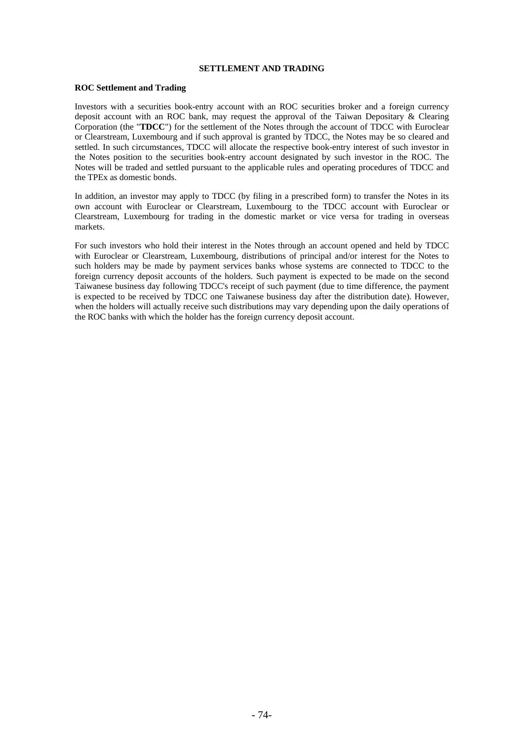# **SETTLEMENT AND TRADING**

# **ROC Settlement and Trading**

Investors with a securities book-entry account with an ROC securities broker and a foreign currency deposit account with an ROC bank, may request the approval of the Taiwan Depositary & Clearing Corporation (the "**TDCC**") for the settlement of the Notes through the account of TDCC with Euroclear or Clearstream, Luxembourg and if such approval is granted by TDCC, the Notes may be so cleared and settled. In such circumstances, TDCC will allocate the respective book-entry interest of such investor in the Notes position to the securities book-entry account designated by such investor in the ROC. The Notes will be traded and settled pursuant to the applicable rules and operating procedures of TDCC and the TPEx as domestic bonds.

In addition, an investor may apply to TDCC (by filing in a prescribed form) to transfer the Notes in its own account with Euroclear or Clearstream, Luxembourg to the TDCC account with Euroclear or Clearstream, Luxembourg for trading in the domestic market or vice versa for trading in overseas markets.

For such investors who hold their interest in the Notes through an account opened and held by TDCC with Euroclear or Clearstream, Luxembourg, distributions of principal and/or interest for the Notes to such holders may be made by payment services banks whose systems are connected to TDCC to the foreign currency deposit accounts of the holders. Such payment is expected to be made on the second Taiwanese business day following TDCC's receipt of such payment (due to time difference, the payment is expected to be received by TDCC one Taiwanese business day after the distribution date). However, when the holders will actually receive such distributions may vary depending upon the daily operations of the ROC banks with which the holder has the foreign currency deposit account.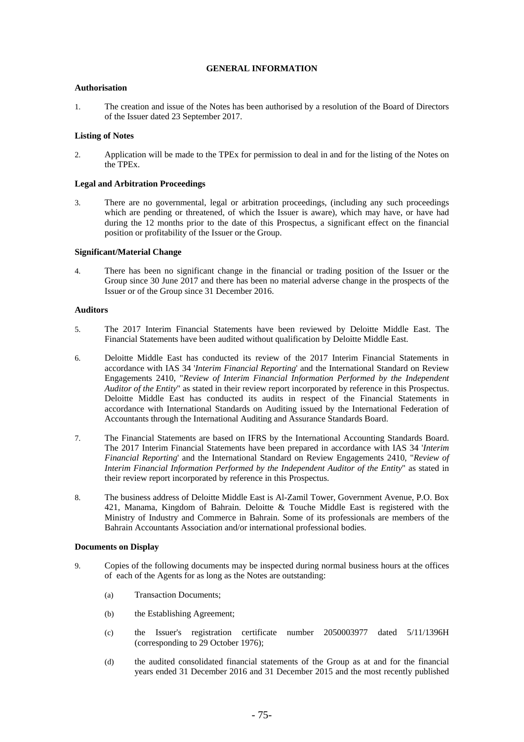# **GENERAL INFORMATION**

# **Authorisation**

1. The creation and issue of the Notes has been authorised by a resolution of the Board of Directors of the Issuer dated 23 September 2017.

# **Listing of Notes**

2. Application will be made to the TPEx for permission to deal in and for the listing of the Notes on the TPEx.

# **Legal and Arbitration Proceedings**

3. There are no governmental, legal or arbitration proceedings, (including any such proceedings which are pending or threatened, of which the Issuer is aware), which may have, or have had during the 12 months prior to the date of this Prospectus, a significant effect on the financial position or profitability of the Issuer or the Group.

#### **Significant/Material Change**

4. There has been no significant change in the financial or trading position of the Issuer or the Group since 30 June 2017 and there has been no material adverse change in the prospects of the Issuer or of the Group since 31 December 2016.

# **Auditors**

- 5. The 2017 Interim Financial Statements have been reviewed by Deloitte Middle East. The Financial Statements have been audited without qualification by Deloitte Middle East.
- 6. Deloitte Middle East has conducted its review of the 2017 Interim Financial Statements in accordance with IAS 34 '*Interim Financial Reporting*' and the International Standard on Review Engagements 2410, "*Review of Interim Financial Information Performed by the Independent Auditor of the Entity*" as stated in their review report incorporated by reference in this Prospectus. Deloitte Middle East has conducted its audits in respect of the Financial Statements in accordance with International Standards on Auditing issued by the International Federation of Accountants through the International Auditing and Assurance Standards Board.
- 7. The Financial Statements are based on IFRS by the International Accounting Standards Board. The 2017 Interim Financial Statements have been prepared in accordance with IAS 34 '*Interim Financial Reporting*' and the International Standard on Review Engagements 2410, "*Review of Interim Financial Information Performed by the Independent Auditor of the Entity*" as stated in their review report incorporated by reference in this Prospectus.
- 8. The business address of Deloitte Middle East is Al-Zamil Tower, Government Avenue, P.O. Box 421, Manama, Kingdom of Bahrain. Deloitte & Touche Middle East is registered with the Ministry of Industry and Commerce in Bahrain. Some of its professionals are members of the Bahrain Accountants Association and/or international professional bodies.

### **Documents on Display**

- 9. Copies of the following documents may be inspected during normal business hours at the offices of each of the Agents for as long as the Notes are outstanding:
	- (a) Transaction Documents;
	- (b) the Establishing Agreement;
	- (c) the Issuer's registration certificate number 2050003977 dated 5/11/1396H (corresponding to 29 October 1976);
	- (d) the audited consolidated financial statements of the Group as at and for the financial years ended 31 December 2016 and 31 December 2015 and the most recently published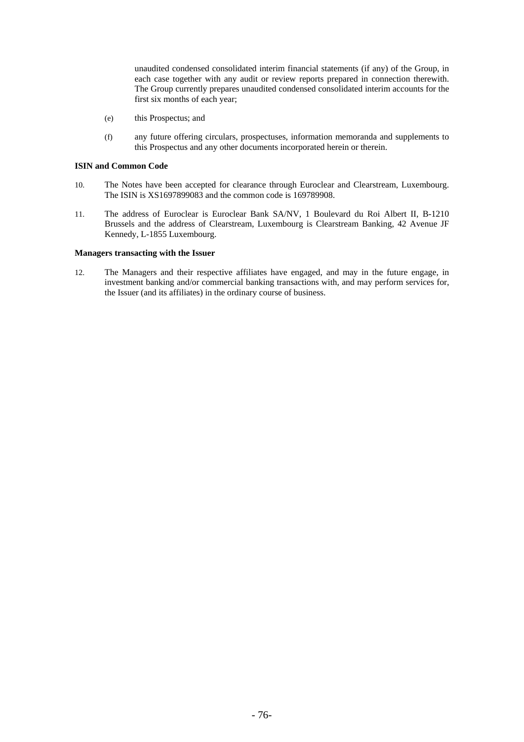unaudited condensed consolidated interim financial statements (if any) of the Group, in each case together with any audit or review reports prepared in connection therewith. The Group currently prepares unaudited condensed consolidated interim accounts for the first six months of each year;

- (e) this Prospectus; and
- (f) any future offering circulars, prospectuses, information memoranda and supplements to this Prospectus and any other documents incorporated herein or therein.

#### **ISIN and Common Code**

- 10. The Notes have been accepted for clearance through Euroclear and Clearstream, Luxembourg. The ISIN is XS1697899083 and the common code is 169789908.
- 11. The address of Euroclear is Euroclear Bank SA/NV, 1 Boulevard du Roi Albert II, B-1210 Brussels and the address of Clearstream, Luxembourg is Clearstream Banking, 42 Avenue JF Kennedy, L-1855 Luxembourg.

### **Managers transacting with the Issuer**

12. The Managers and their respective affiliates have engaged, and may in the future engage, in investment banking and/or commercial banking transactions with, and may perform services for, the Issuer (and its affiliates) in the ordinary course of business.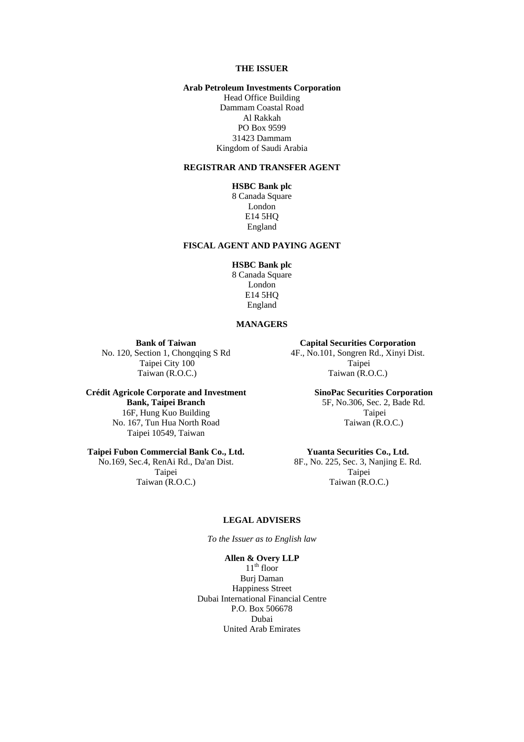# **THE ISSUER**

# **Arab Petroleum Investments Corporation**

Head Office Building Dammam Coastal Road Al Rakkah PO Box 9599 31423 Dammam Kingdom of Saudi Arabia

### **REGISTRAR AND TRANSFER AGENT**

# **HSBC Bank plc**

8 Canada Square London E14 5HQ England

# **FISCAL AGENT AND PAYING AGENT**

# **HSBC Bank plc**

8 Canada Square London E14 5HQ England

# **MANAGERS**

**Bank of Taiwan** 

No. 120, Section 1, Chongqing S Rd Taipei City 100 Taiwan (R.O.C.)

**Crédit Agricole Corporate and Investment Bank, Taipei Branch**  16F, Hung Kuo Building No. 167, Tun Hua North Road Taipei 10549, Taiwan

# **Taipei Fubon Commercial Bank Co., Ltd.**

No.169, Sec.4, RenAi Rd., Da'an Dist. Taipei Taiwan (R.O.C.)

**Capital Securities Corporation**  4F., No.101, Songren Rd., Xinyi Dist. Taipei Taiwan (R.O.C.)

> **SinoPac Securities Corporation**  5F, No.306, Sec. 2, Bade Rd. Taipei Taiwan (R.O.C.)

### **Yuanta Securities Co., Ltd.**

8F., No. 225, Sec. 3, Nanjing E. Rd. Taipei Taiwan (R.O.C.)

# **LEGAL ADVISERS**

*To the Issuer as to English law*

# **Allen & Overy LLP**

 $11<sup>th</sup>$  floor Burj Daman Happiness Street Dubai International Financial Centre P.O. Box 506678 Dubai United Arab Emirates